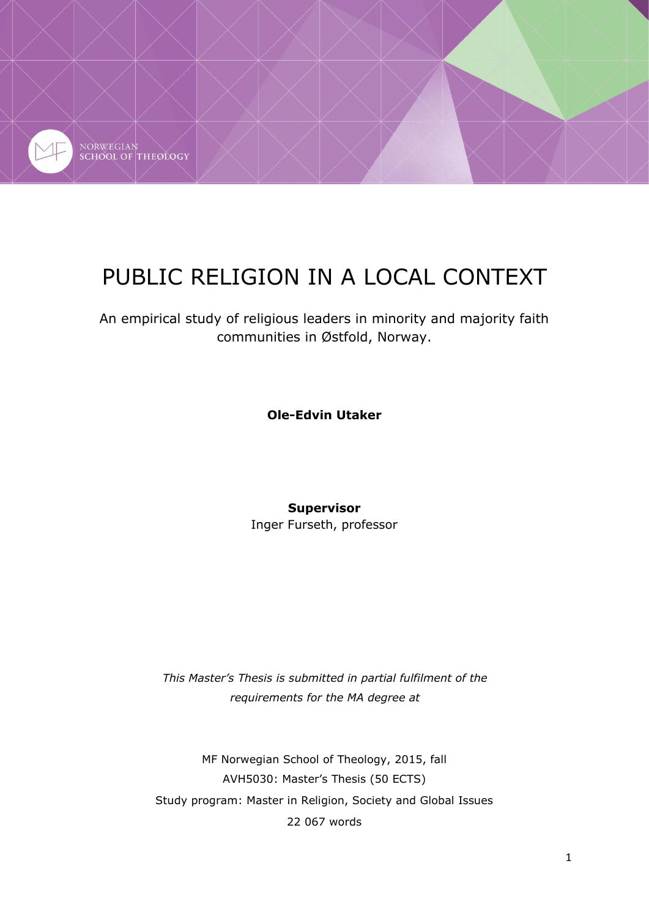

# PUBLIC RELIGION IN A LOCAL CONTEXT

An empirical study of religious leaders in minority and majority faith communities in Østfold, Norway.

**Ole-Edvin Utaker**

**Supervisor**

Inger Furseth, professor

*This Master's Thesis is submitted in partial fulfilment of the requirements for the MA degree at*

MF Norwegian School of Theology, 2015, fall AVH5030: Master's Thesis (50 ECTS) Study program: Master in Religion, Society and Global Issues 22 067 words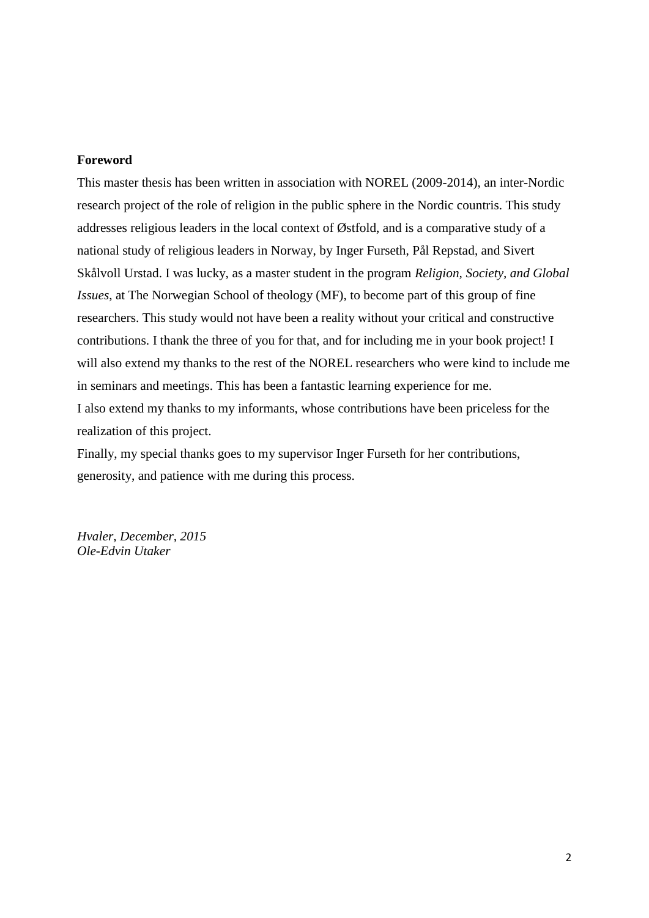#### **Foreword**

This master thesis has been written in association with NOREL (2009-2014), an inter-Nordic research project of the role of religion in the public sphere in the Nordic countris. This study addresses religious leaders in the local context of Østfold, and is a comparative study of a national study of religious leaders in Norway, by Inger Furseth, Pål Repstad, and Sivert Skålvoll Urstad. I was lucky, as a master student in the program *Religion, Society, and Global Issues*, at The Norwegian School of theology (MF), to become part of this group of fine researchers. This study would not have been a reality without your critical and constructive contributions. I thank the three of you for that, and for including me in your book project! I will also extend my thanks to the rest of the NOREL researchers who were kind to include me in seminars and meetings. This has been a fantastic learning experience for me. I also extend my thanks to my informants, whose contributions have been priceless for the realization of this project.

Finally, my special thanks goes to my supervisor Inger Furseth for her contributions, generosity, and patience with me during this process.

*Hvaler, December, 2015 Ole-Edvin Utaker*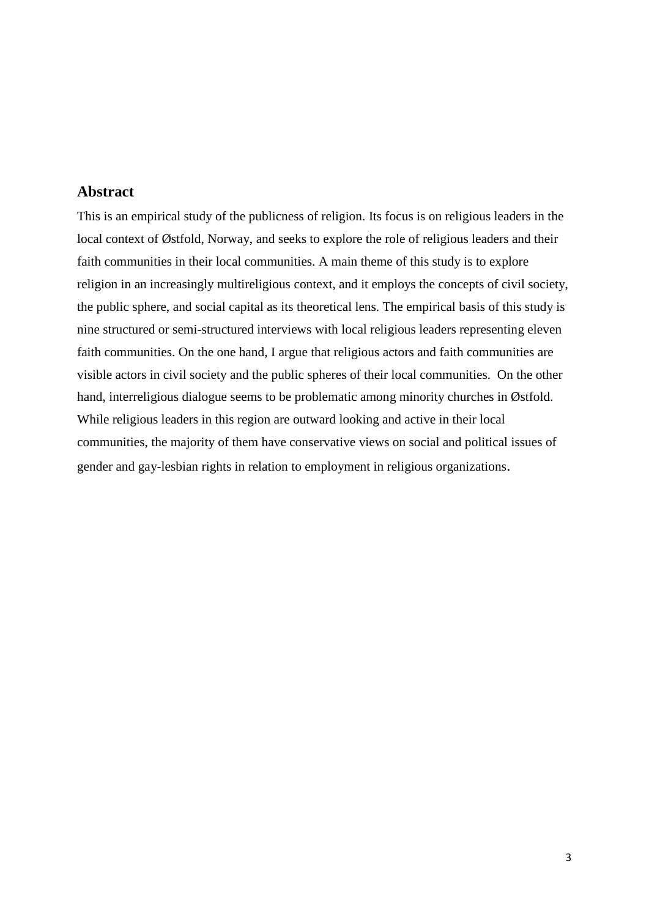## **Abstract**

This is an empirical study of the publicness of religion. Its focus is on religious leaders in the local context of Østfold, Norway, and seeks to explore the role of religious leaders and their faith communities in their local communities. A main theme of this study is to explore religion in an increasingly multireligious context, and it employs the concepts of civil society, the public sphere, and social capital as its theoretical lens. The empirical basis of this study is nine structured or semi-structured interviews with local religious leaders representing eleven faith communities. On the one hand, I argue that religious actors and faith communities are visible actors in civil society and the public spheres of their local communities. On the other hand, interreligious dialogue seems to be problematic among minority churches in Østfold. While religious leaders in this region are outward looking and active in their local communities, the majority of them have conservative views on social and political issues of gender and gay-lesbian rights in relation to employment in religious organizations.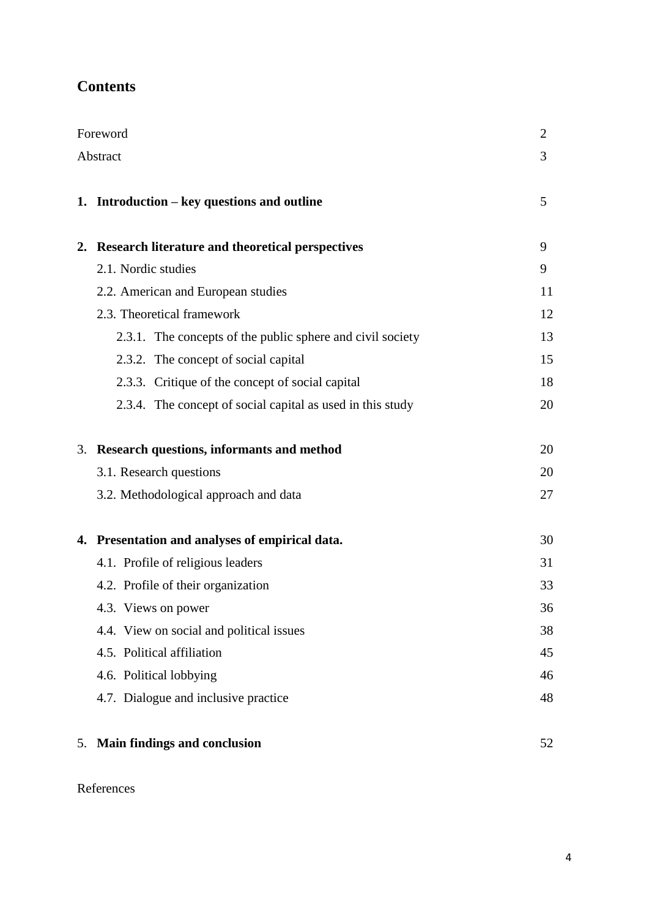## **Contents**

| Foreword | $\mathbf{2}$                                               |    |  |  |
|----------|------------------------------------------------------------|----|--|--|
| Abstract |                                                            |    |  |  |
|          |                                                            |    |  |  |
|          | 1. Introduction – key questions and outline                | 5  |  |  |
|          | 2. Research literature and theoretical perspectives        | 9  |  |  |
|          | 2.1. Nordic studies                                        | 9  |  |  |
|          | 2.2. American and European studies                         | 11 |  |  |
|          | 2.3. Theoretical framework                                 | 12 |  |  |
|          | 2.3.1. The concepts of the public sphere and civil society | 13 |  |  |
|          | 2.3.2. The concept of social capital                       | 15 |  |  |
|          | 2.3.3. Critique of the concept of social capital           | 18 |  |  |
|          | 2.3.4. The concept of social capital as used in this study | 20 |  |  |
|          | 3. Research questions, informants and method               | 20 |  |  |
|          | 3.1. Research questions                                    | 20 |  |  |
|          | 3.2. Methodological approach and data                      | 27 |  |  |
|          | 4. Presentation and analyses of empirical data.            | 30 |  |  |
|          | 4.1. Profile of religious leaders                          | 31 |  |  |
|          | 4.2. Profile of their organization                         | 33 |  |  |
|          | 4.3. Views on power                                        | 36 |  |  |
|          | 4.4. View on social and political issues                   | 38 |  |  |
|          | 4.5. Political affiliation                                 | 45 |  |  |
|          | 4.6. Political lobbying                                    | 46 |  |  |
|          | 4.7. Dialogue and inclusive practice                       | 48 |  |  |
| 5.       | <b>Main findings and conclusion</b>                        | 52 |  |  |

## References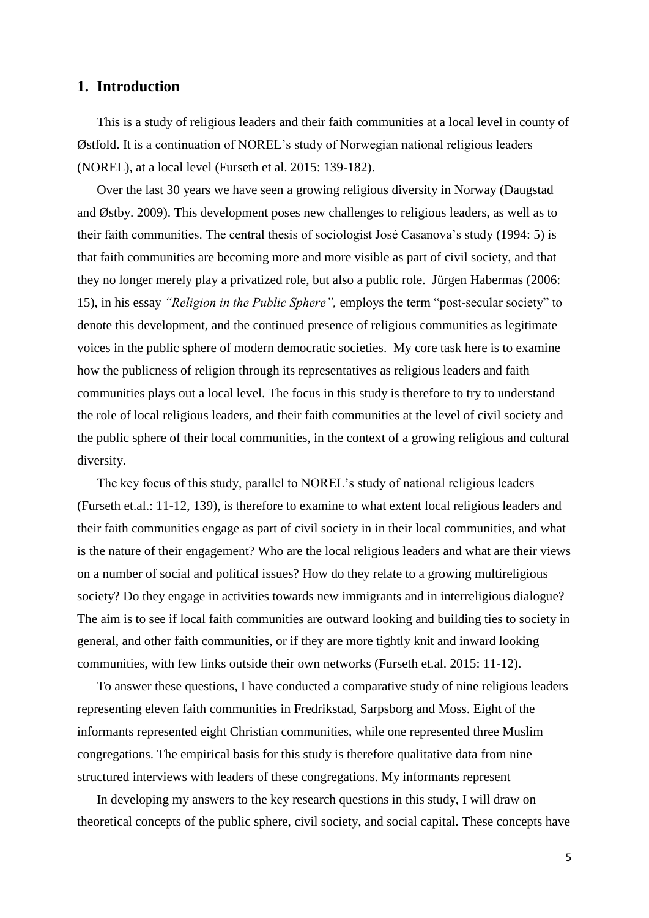## **1. Introduction**

This is a study of religious leaders and their faith communities at a local level in county of Østfold. It is a continuation of NOREL's study of Norwegian national religious leaders (NOREL), at a local level (Furseth et al. 2015: 139-182).

Over the last 30 years we have seen a growing religious diversity in Norway (Daugstad and Østby. 2009). This development poses new challenges to religious leaders, as well as to their faith communities. The central thesis of sociologist José Casanova's study (1994: 5) is that faith communities are becoming more and more visible as part of civil society, and that they no longer merely play a privatized role, but also a public role. Jürgen Habermas (2006: 15), in his essay *"Religion in the Public Sphere",* employs the term "post-secular society" to denote this development, and the continued presence of religious communities as legitimate voices in the public sphere of modern democratic societies. My core task here is to examine how the publicness of religion through its representatives as religious leaders and faith communities plays out a local level. The focus in this study is therefore to try to understand the role of local religious leaders, and their faith communities at the level of civil society and the public sphere of their local communities, in the context of a growing religious and cultural diversity.

The key focus of this study, parallel to NOREL's study of national religious leaders (Furseth et.al.: 11-12, 139), is therefore to examine to what extent local religious leaders and their faith communities engage as part of civil society in in their local communities, and what is the nature of their engagement? Who are the local religious leaders and what are their views on a number of social and political issues? How do they relate to a growing multireligious society? Do they engage in activities towards new immigrants and in interreligious dialogue? The aim is to see if local faith communities are outward looking and building ties to society in general, and other faith communities, or if they are more tightly knit and inward looking communities, with few links outside their own networks (Furseth et.al. 2015: 11-12).

To answer these questions, I have conducted a comparative study of nine religious leaders representing eleven faith communities in Fredrikstad, Sarpsborg and Moss. Eight of the informants represented eight Christian communities, while one represented three Muslim congregations. The empirical basis for this study is therefore qualitative data from nine structured interviews with leaders of these congregations. My informants represent

In developing my answers to the key research questions in this study, I will draw on theoretical concepts of the public sphere, civil society, and social capital. These concepts have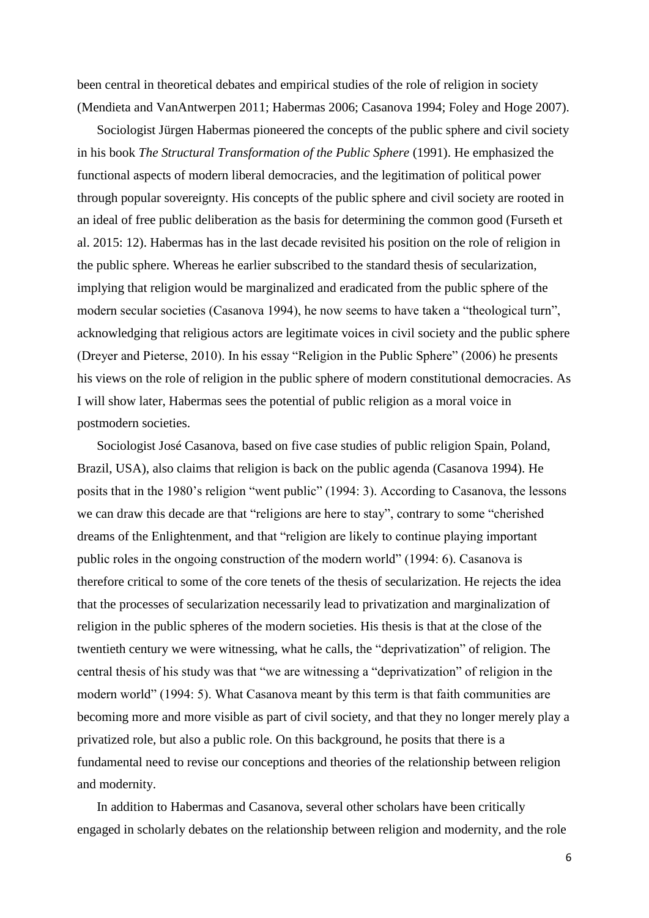been central in theoretical debates and empirical studies of the role of religion in society (Mendieta and VanAntwerpen 2011; Habermas 2006; Casanova 1994; Foley and Hoge 2007).

Sociologist Jürgen Habermas pioneered the concepts of the public sphere and civil society in his book *The Structural Transformation of the Public Sphere* (1991). He emphasized the functional aspects of modern liberal democracies, and the legitimation of political power through popular sovereignty. His concepts of the public sphere and civil society are rooted in an ideal of free public deliberation as the basis for determining the common good (Furseth et al. 2015: 12). Habermas has in the last decade revisited his position on the role of religion in the public sphere. Whereas he earlier subscribed to the standard thesis of secularization, implying that religion would be marginalized and eradicated from the public sphere of the modern secular societies (Casanova 1994), he now seems to have taken a "theological turn", acknowledging that religious actors are legitimate voices in civil society and the public sphere (Dreyer and Pieterse, 2010). In his essay "Religion in the Public Sphere" (2006) he presents his views on the role of religion in the public sphere of modern constitutional democracies. As I will show later, Habermas sees the potential of public religion as a moral voice in postmodern societies.

Sociologist José Casanova, based on five case studies of public religion Spain, Poland, Brazil, USA), also claims that religion is back on the public agenda (Casanova 1994). He posits that in the 1980's religion "went public" (1994: 3). According to Casanova, the lessons we can draw this decade are that "religions are here to stay", contrary to some "cherished dreams of the Enlightenment, and that "religion are likely to continue playing important public roles in the ongoing construction of the modern world" (1994: 6). Casanova is therefore critical to some of the core tenets of the thesis of secularization. He rejects the idea that the processes of secularization necessarily lead to privatization and marginalization of religion in the public spheres of the modern societies. His thesis is that at the close of the twentieth century we were witnessing, what he calls, the "deprivatization" of religion. The central thesis of his study was that "we are witnessing a "deprivatization" of religion in the modern world" (1994: 5). What Casanova meant by this term is that faith communities are becoming more and more visible as part of civil society, and that they no longer merely play a privatized role, but also a public role. On this background, he posits that there is a fundamental need to revise our conceptions and theories of the relationship between religion and modernity.

In addition to Habermas and Casanova, several other scholars have been critically engaged in scholarly debates on the relationship between religion and modernity, and the role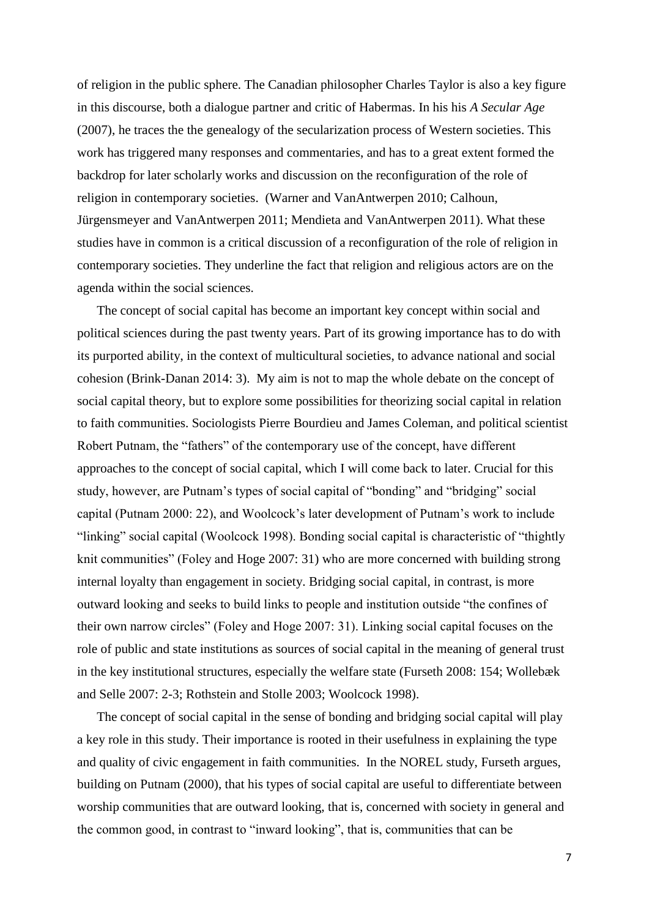of religion in the public sphere. The Canadian philosopher Charles Taylor is also a key figure in this discourse, both a dialogue partner and critic of Habermas. In his his *A Secular Age* (2007), he traces the the genealogy of the secularization process of Western societies. This work has triggered many responses and commentaries, and has to a great extent formed the backdrop for later scholarly works and discussion on the reconfiguration of the role of religion in contemporary societies. (Warner and VanAntwerpen 2010; Calhoun, Jürgensmeyer and VanAntwerpen 2011; Mendieta and VanAntwerpen 2011). What these studies have in common is a critical discussion of a reconfiguration of the role of religion in contemporary societies. They underline the fact that religion and religious actors are on the agenda within the social sciences.

The concept of social capital has become an important key concept within social and political sciences during the past twenty years. Part of its growing importance has to do with its purported ability, in the context of multicultural societies, to advance national and social cohesion (Brink-Danan 2014: 3). My aim is not to map the whole debate on the concept of social capital theory, but to explore some possibilities for theorizing social capital in relation to faith communities. Sociologists Pierre Bourdieu and James Coleman, and political scientist Robert Putnam, the "fathers" of the contemporary use of the concept, have different approaches to the concept of social capital, which I will come back to later. Crucial for this study, however, are Putnam's types of social capital of "bonding" and "bridging" social capital (Putnam 2000: 22), and Woolcock's later development of Putnam's work to include "linking" social capital (Woolcock 1998). Bonding social capital is characteristic of "thightly knit communities" (Foley and Hoge 2007: 31) who are more concerned with building strong internal loyalty than engagement in society. Bridging social capital, in contrast, is more outward looking and seeks to build links to people and institution outside "the confines of their own narrow circles" (Foley and Hoge 2007: 31). Linking social capital focuses on the role of public and state institutions as sources of social capital in the meaning of general trust in the key institutional structures, especially the welfare state (Furseth 2008: 154; Wollebæk and Selle 2007: 2-3; Rothstein and Stolle 2003; Woolcock 1998).

The concept of social capital in the sense of bonding and bridging social capital will play a key role in this study. Their importance is rooted in their usefulness in explaining the type and quality of civic engagement in faith communities. In the NOREL study, Furseth argues, building on Putnam (2000), that his types of social capital are useful to differentiate between worship communities that are outward looking, that is, concerned with society in general and the common good, in contrast to "inward looking", that is, communities that can be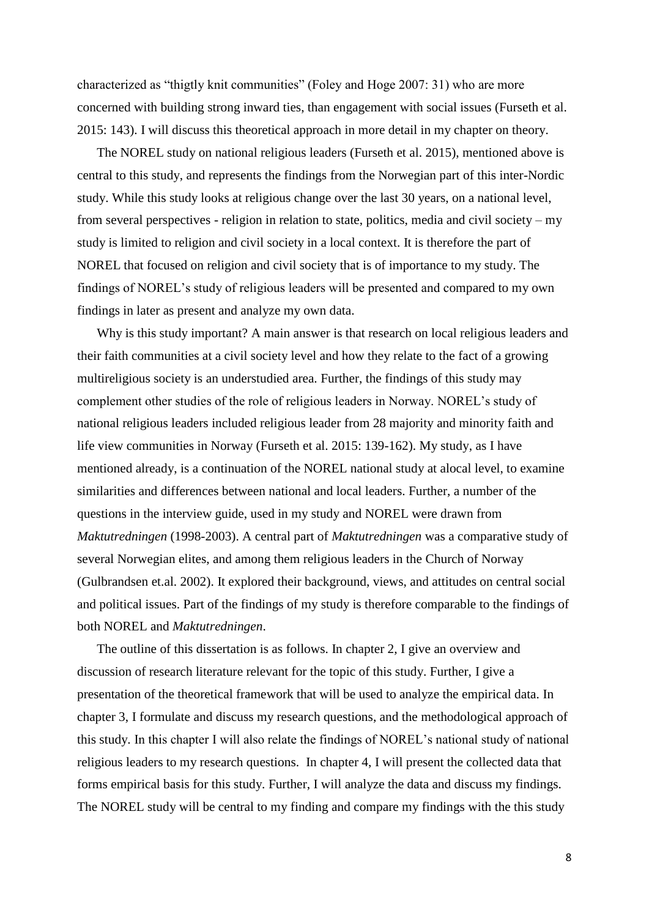characterized as "thigtly knit communities" (Foley and Hoge 2007: 31) who are more concerned with building strong inward ties, than engagement with social issues (Furseth et al. 2015: 143). I will discuss this theoretical approach in more detail in my chapter on theory.

The NOREL study on national religious leaders (Furseth et al. 2015), mentioned above is central to this study, and represents the findings from the Norwegian part of this inter-Nordic study. While this study looks at religious change over the last 30 years, on a national level, from several perspectives - religion in relation to state, politics, media and civil society – my study is limited to religion and civil society in a local context. It is therefore the part of NOREL that focused on religion and civil society that is of importance to my study. The findings of NOREL's study of religious leaders will be presented and compared to my own findings in later as present and analyze my own data.

Why is this study important? A main answer is that research on local religious leaders and their faith communities at a civil society level and how they relate to the fact of a growing multireligious society is an understudied area. Further, the findings of this study may complement other studies of the role of religious leaders in Norway. NOREL's study of national religious leaders included religious leader from 28 majority and minority faith and life view communities in Norway (Furseth et al. 2015: 139-162). My study, as I have mentioned already, is a continuation of the NOREL national study at alocal level, to examine similarities and differences between national and local leaders. Further, a number of the questions in the interview guide, used in my study and NOREL were drawn from *Maktutredningen* (1998-2003). A central part of *Maktutredningen* was a comparative study of several Norwegian elites, and among them religious leaders in the Church of Norway (Gulbrandsen et.al. 2002). It explored their background, views, and attitudes on central social and political issues. Part of the findings of my study is therefore comparable to the findings of both NOREL and *Maktutredningen*.

The outline of this dissertation is as follows. In chapter 2, I give an overview and discussion of research literature relevant for the topic of this study. Further, I give a presentation of the theoretical framework that will be used to analyze the empirical data. In chapter 3, I formulate and discuss my research questions, and the methodological approach of this study. In this chapter I will also relate the findings of NOREL's national study of national religious leaders to my research questions. In chapter 4, I will present the collected data that forms empirical basis for this study. Further, I will analyze the data and discuss my findings. The NOREL study will be central to my finding and compare my findings with the this study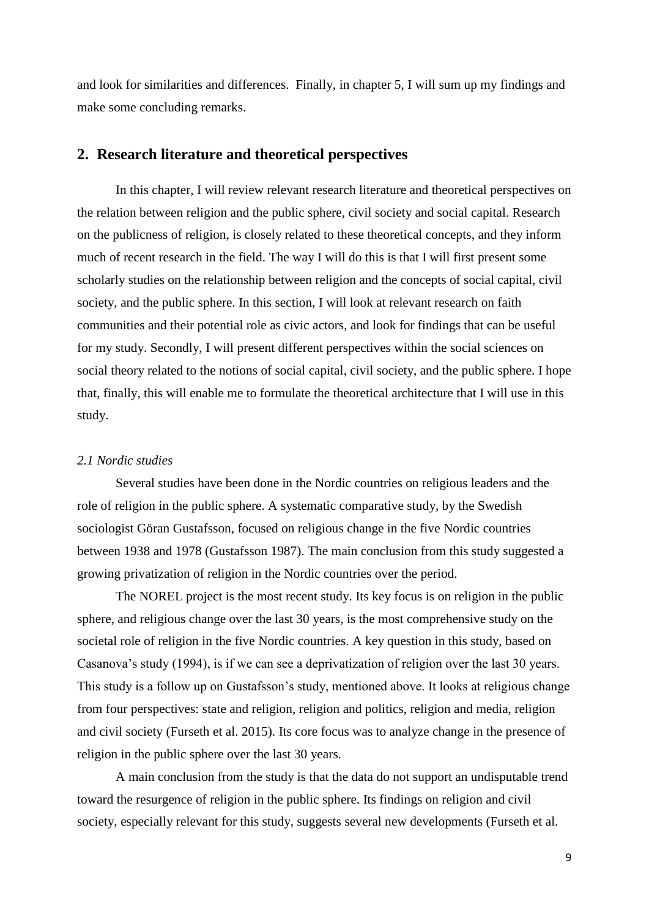and look for similarities and differences. Finally, in chapter 5, I will sum up my findings and make some concluding remarks.

## **2. Research literature and theoretical perspectives**

In this chapter, I will review relevant research literature and theoretical perspectives on the relation between religion and the public sphere, civil society and social capital. Research on the publicness of religion, is closely related to these theoretical concepts, and they inform much of recent research in the field. The way I will do this is that I will first present some scholarly studies on the relationship between religion and the concepts of social capital, civil society, and the public sphere. In this section, I will look at relevant research on faith communities and their potential role as civic actors, and look for findings that can be useful for my study. Secondly, I will present different perspectives within the social sciences on social theory related to the notions of social capital, civil society, and the public sphere. I hope that, finally, this will enable me to formulate the theoretical architecture that I will use in this study.

#### *2.1 Nordic studies*

Several studies have been done in the Nordic countries on religious leaders and the role of religion in the public sphere. A systematic comparative study, by the Swedish sociologist Göran Gustafsson, focused on religious change in the five Nordic countries between 1938 and 1978 (Gustafsson 1987). The main conclusion from this study suggested a growing privatization of religion in the Nordic countries over the period.

The NOREL project is the most recent study. Its key focus is on religion in the public sphere, and religious change over the last 30 years, is the most comprehensive study on the societal role of religion in the five Nordic countries. A key question in this study, based on Casanova's study (1994), is if we can see a deprivatization of religion over the last 30 years. This study is a follow up on Gustafsson's study, mentioned above. It looks at religious change from four perspectives: state and religion, religion and politics, religion and media, religion and civil society (Furseth et al. 2015). Its core focus was to analyze change in the presence of religion in the public sphere over the last 30 years.

A main conclusion from the study is that the data do not support an undisputable trend toward the resurgence of religion in the public sphere. Its findings on religion and civil society, especially relevant for this study, suggests several new developments (Furseth et al.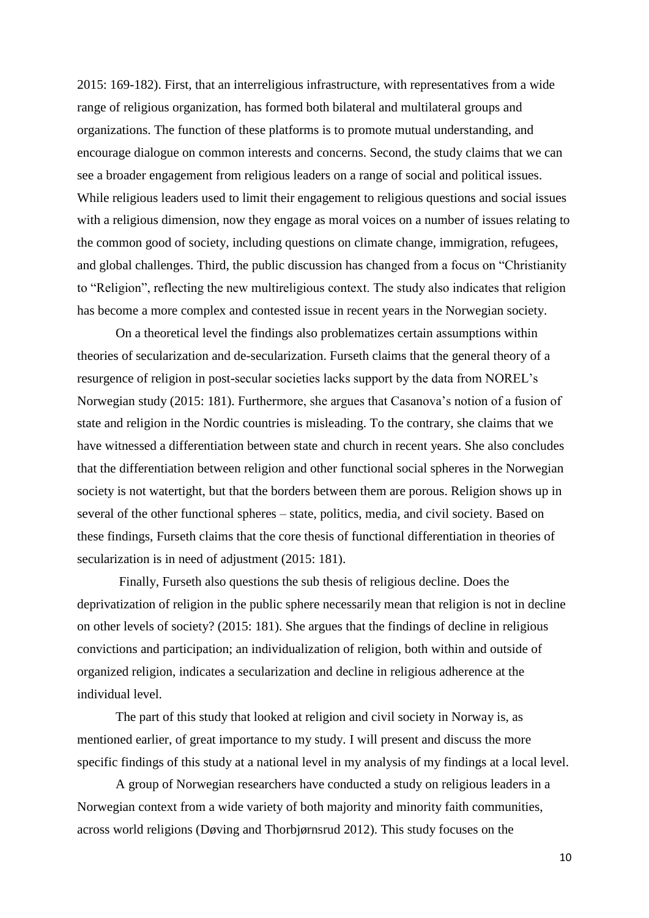2015: 169-182). First, that an interreligious infrastructure, with representatives from a wide range of religious organization, has formed both bilateral and multilateral groups and organizations. The function of these platforms is to promote mutual understanding, and encourage dialogue on common interests and concerns. Second, the study claims that we can see a broader engagement from religious leaders on a range of social and political issues. While religious leaders used to limit their engagement to religious questions and social issues with a religious dimension, now they engage as moral voices on a number of issues relating to the common good of society, including questions on climate change, immigration, refugees, and global challenges. Third, the public discussion has changed from a focus on "Christianity to "Religion", reflecting the new multireligious context. The study also indicates that religion has become a more complex and contested issue in recent years in the Norwegian society.

On a theoretical level the findings also problematizes certain assumptions within theories of secularization and de-secularization. Furseth claims that the general theory of a resurgence of religion in post-secular societies lacks support by the data from NOREL's Norwegian study (2015: 181). Furthermore, she argues that Casanova's notion of a fusion of state and religion in the Nordic countries is misleading. To the contrary, she claims that we have witnessed a differentiation between state and church in recent years. She also concludes that the differentiation between religion and other functional social spheres in the Norwegian society is not watertight, but that the borders between them are porous. Religion shows up in several of the other functional spheres – state, politics, media, and civil society. Based on these findings, Furseth claims that the core thesis of functional differentiation in theories of secularization is in need of adjustment (2015: 181).

Finally, Furseth also questions the sub thesis of religious decline. Does the deprivatization of religion in the public sphere necessarily mean that religion is not in decline on other levels of society? (2015: 181). She argues that the findings of decline in religious convictions and participation; an individualization of religion, both within and outside of organized religion, indicates a secularization and decline in religious adherence at the individual level.

The part of this study that looked at religion and civil society in Norway is, as mentioned earlier, of great importance to my study. I will present and discuss the more specific findings of this study at a national level in my analysis of my findings at a local level.

A group of Norwegian researchers have conducted a study on religious leaders in a Norwegian context from a wide variety of both majority and minority faith communities, across world religions (Døving and Thorbjørnsrud 2012). This study focuses on the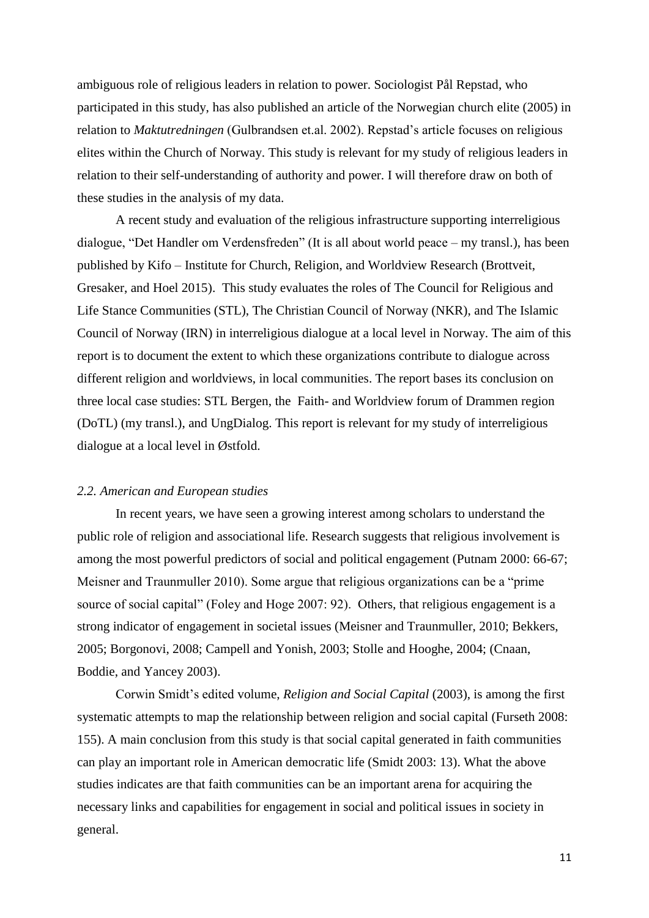ambiguous role of religious leaders in relation to power. Sociologist Pål Repstad, who participated in this study, has also published an article of the Norwegian church elite (2005) in relation to *Maktutredningen* (Gulbrandsen et.al. 2002). Repstad's article focuses on religious elites within the Church of Norway. This study is relevant for my study of religious leaders in relation to their self-understanding of authority and power. I will therefore draw on both of these studies in the analysis of my data.

A recent study and evaluation of the religious infrastructure supporting interreligious dialogue, "Det Handler om Verdensfreden" (It is all about world peace – my transl.), has been published by Kifo – Institute for Church, Religion, and Worldview Research (Brottveit, Gresaker, and Hoel 2015). This study evaluates the roles of The Council for Religious and Life Stance Communities (STL), The Christian Council of Norway (NKR), and The Islamic Council of Norway (IRN) in interreligious dialogue at a local level in Norway. The aim of this report is to document the extent to which these organizations contribute to dialogue across different religion and worldviews, in local communities. The report bases its conclusion on three local case studies: STL Bergen, the Faith- and Worldview forum of Drammen region (DoTL) (my transl.), and UngDialog. This report is relevant for my study of interreligious dialogue at a local level in Østfold.

#### *2.2. American and European studies*

In recent years, we have seen a growing interest among scholars to understand the public role of religion and associational life. Research suggests that religious involvement is among the most powerful predictors of social and political engagement (Putnam 2000: 66-67; Meisner and Traunmuller 2010). Some argue that religious organizations can be a "prime source of social capital" (Foley and Hoge 2007: 92). Others, that religious engagement is a strong indicator of engagement in societal issues (Meisner and Traunmuller, 2010; Bekkers, 2005; Borgonovi, 2008; Campell and Yonish, 2003; Stolle and Hooghe, 2004; (Cnaan, Boddie, and Yancey 2003).

Corwin Smidt's edited volume, *Religion and Social Capital* (2003), is among the first systematic attempts to map the relationship between religion and social capital (Furseth 2008: 155). A main conclusion from this study is that social capital generated in faith communities can play an important role in American democratic life (Smidt 2003: 13). What the above studies indicates are that faith communities can be an important arena for acquiring the necessary links and capabilities for engagement in social and political issues in society in general.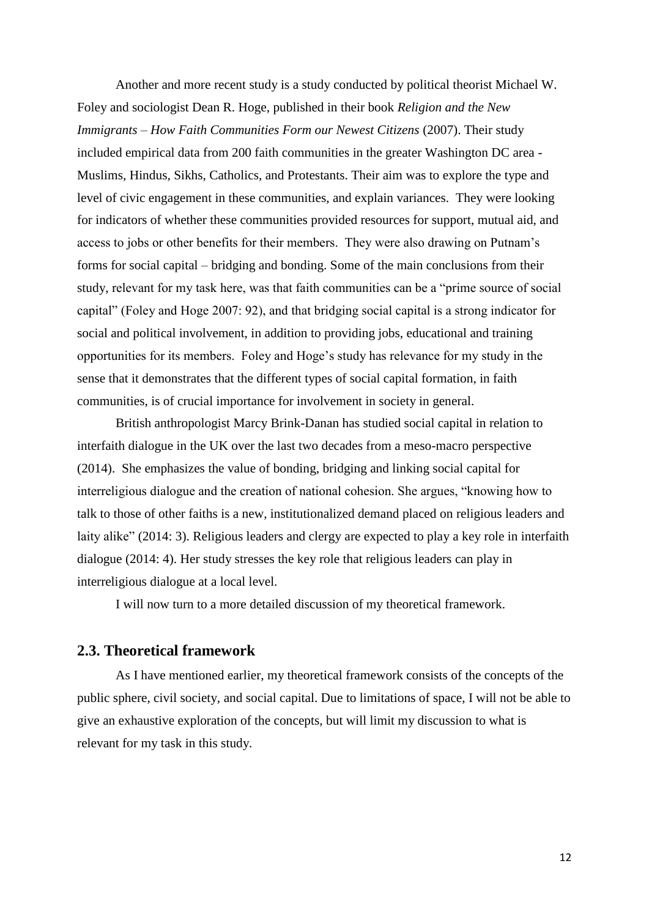Another and more recent study is a study conducted by political theorist Michael W. Foley and sociologist Dean R. Hoge, published in their book *Religion and the New Immigrants – How Faith Communities Form our Newest Citizens* (2007). Their study included empirical data from 200 faith communities in the greater Washington DC area - Muslims, Hindus, Sikhs, Catholics, and Protestants. Their aim was to explore the type and level of civic engagement in these communities, and explain variances. They were looking for indicators of whether these communities provided resources for support, mutual aid, and access to jobs or other benefits for their members. They were also drawing on Putnam's forms for social capital – bridging and bonding. Some of the main conclusions from their study, relevant for my task here, was that faith communities can be a "prime source of social capital" (Foley and Hoge 2007: 92), and that bridging social capital is a strong indicator for social and political involvement, in addition to providing jobs, educational and training opportunities for its members. Foley and Hoge's study has relevance for my study in the sense that it demonstrates that the different types of social capital formation, in faith communities, is of crucial importance for involvement in society in general.

British anthropologist Marcy Brink-Danan has studied social capital in relation to interfaith dialogue in the UK over the last two decades from a meso-macro perspective (2014). She emphasizes the value of bonding, bridging and linking social capital for interreligious dialogue and the creation of national cohesion. She argues, "knowing how to talk to those of other faiths is a new, institutionalized demand placed on religious leaders and laity alike" (2014: 3). Religious leaders and clergy are expected to play a key role in interfaith dialogue (2014: 4). Her study stresses the key role that religious leaders can play in interreligious dialogue at a local level.

I will now turn to a more detailed discussion of my theoretical framework.

## **2.3. Theoretical framework**

As I have mentioned earlier, my theoretical framework consists of the concepts of the public sphere, civil society, and social capital. Due to limitations of space, I will not be able to give an exhaustive exploration of the concepts, but will limit my discussion to what is relevant for my task in this study.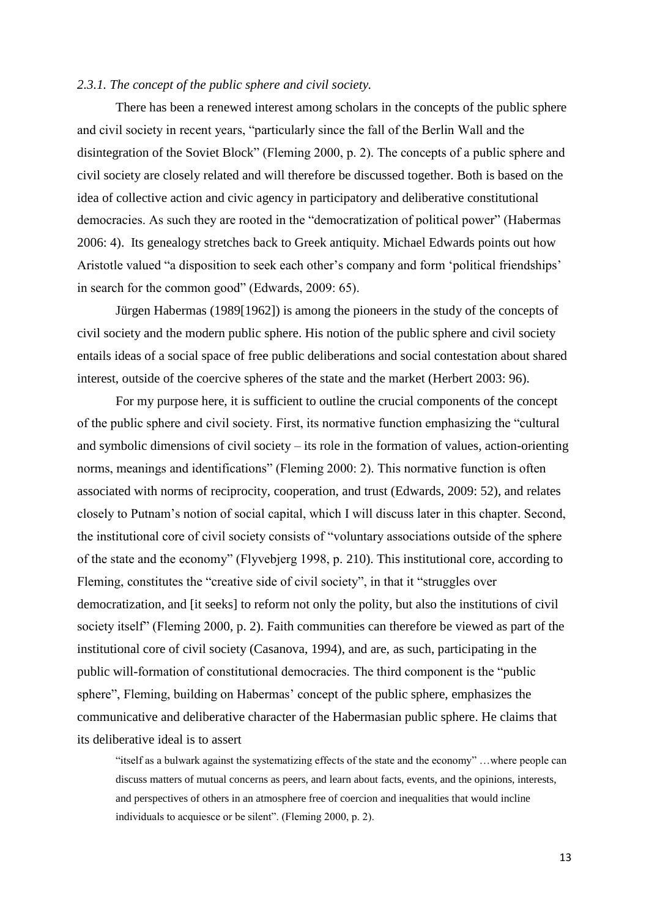#### *2.3.1. The concept of the public sphere and civil society.*

There has been a renewed interest among scholars in the concepts of the public sphere and civil society in recent years, "particularly since the fall of the Berlin Wall and the disintegration of the Soviet Block" (Fleming 2000, p. 2). The concepts of a public sphere and civil society are closely related and will therefore be discussed together. Both is based on the idea of collective action and civic agency in participatory and deliberative constitutional democracies. As such they are rooted in the "democratization of political power" (Habermas 2006: 4). Its genealogy stretches back to Greek antiquity. Michael Edwards points out how Aristotle valued "a disposition to seek each other's company and form 'political friendships' in search for the common good" (Edwards, 2009: 65).

Jürgen Habermas (1989[1962]) is among the pioneers in the study of the concepts of civil society and the modern public sphere. His notion of the public sphere and civil society entails ideas of a social space of free public deliberations and social contestation about shared interest, outside of the coercive spheres of the state and the market (Herbert 2003: 96).

For my purpose here, it is sufficient to outline the crucial components of the concept of the public sphere and civil society. First, its normative function emphasizing the "cultural and symbolic dimensions of civil society – its role in the formation of values, action-orienting norms, meanings and identifications" (Fleming 2000: 2). This normative function is often associated with norms of reciprocity, cooperation, and trust (Edwards, 2009: 52), and relates closely to Putnam's notion of social capital, which I will discuss later in this chapter. Second, the institutional core of civil society consists of "voluntary associations outside of the sphere of the state and the economy" (Flyvebjerg 1998, p. 210). This institutional core, according to Fleming, constitutes the "creative side of civil society", in that it "struggles over democratization, and [it seeks] to reform not only the polity, but also the institutions of civil society itself" (Fleming 2000, p. 2). Faith communities can therefore be viewed as part of the institutional core of civil society (Casanova, 1994), and are, as such, participating in the public will-formation of constitutional democracies. The third component is the "public sphere", Fleming, building on Habermas' concept of the public sphere, emphasizes the communicative and deliberative character of the Habermasian public sphere. He claims that its deliberative ideal is to assert

"itself as a bulwark against the systematizing effects of the state and the economy" …where people can discuss matters of mutual concerns as peers, and learn about facts, events, and the opinions, interests, and perspectives of others in an atmosphere free of coercion and inequalities that would incline individuals to acquiesce or be silent". (Fleming 2000, p. 2).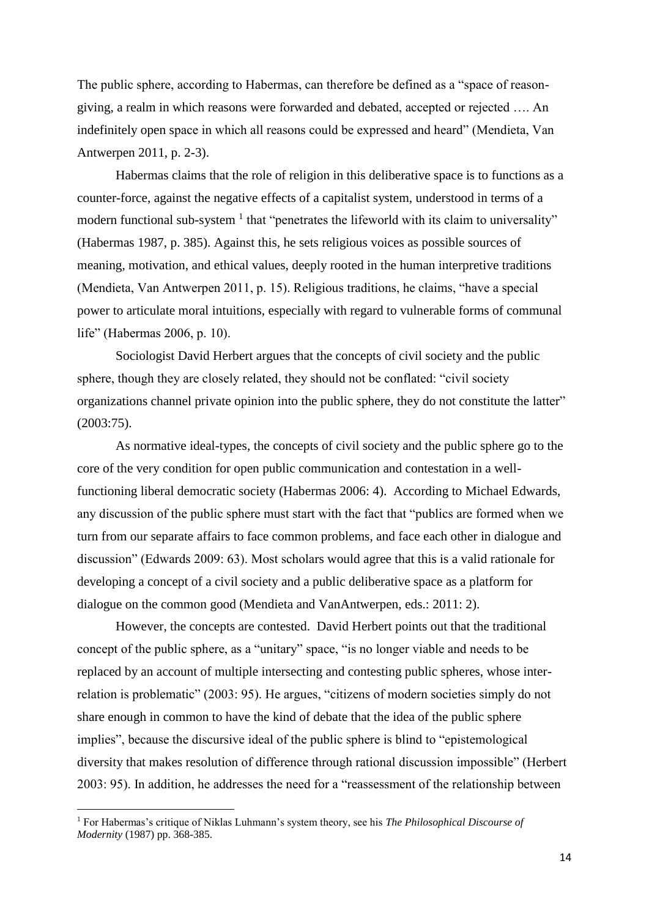The public sphere, according to Habermas, can therefore be defined as a "space of reasongiving, a realm in which reasons were forwarded and debated, accepted or rejected …. An indefinitely open space in which all reasons could be expressed and heard" (Mendieta, Van Antwerpen 2011, p. 2-3).

Habermas claims that the role of religion in this deliberative space is to functions as a counter-force, against the negative effects of a capitalist system, understood in terms of a modern functional sub-system  $<sup>1</sup>$  that "penetrates the lifeworld with its claim to universality"</sup> (Habermas 1987, p. 385). Against this, he sets religious voices as possible sources of meaning, motivation, and ethical values, deeply rooted in the human interpretive traditions (Mendieta, Van Antwerpen 2011, p. 15). Religious traditions, he claims, "have a special power to articulate moral intuitions, especially with regard to vulnerable forms of communal life" (Habermas 2006, p. 10).

Sociologist David Herbert argues that the concepts of civil society and the public sphere, though they are closely related, they should not be conflated: "civil society organizations channel private opinion into the public sphere, they do not constitute the latter" (2003:75).

As normative ideal-types, the concepts of civil society and the public sphere go to the core of the very condition for open public communication and contestation in a wellfunctioning liberal democratic society (Habermas 2006: 4). According to Michael Edwards, any discussion of the public sphere must start with the fact that "publics are formed when we turn from our separate affairs to face common problems, and face each other in dialogue and discussion" (Edwards 2009: 63). Most scholars would agree that this is a valid rationale for developing a concept of a civil society and a public deliberative space as a platform for dialogue on the common good (Mendieta and VanAntwerpen, eds.: 2011: 2).

However, the concepts are contested. David Herbert points out that the traditional concept of the public sphere, as a "unitary" space, "is no longer viable and needs to be replaced by an account of multiple intersecting and contesting public spheres, whose interrelation is problematic" (2003: 95). He argues, "citizens of modern societies simply do not share enough in common to have the kind of debate that the idea of the public sphere implies", because the discursive ideal of the public sphere is blind to "epistemological diversity that makes resolution of difference through rational discussion impossible" (Herbert 2003: 95). In addition, he addresses the need for a "reassessment of the relationship between

<u>.</u>

<sup>1</sup> For Habermas's critique of Niklas Luhmann's system theory, see his *The Philosophical Discourse of Modernity* (1987) pp. 368-385.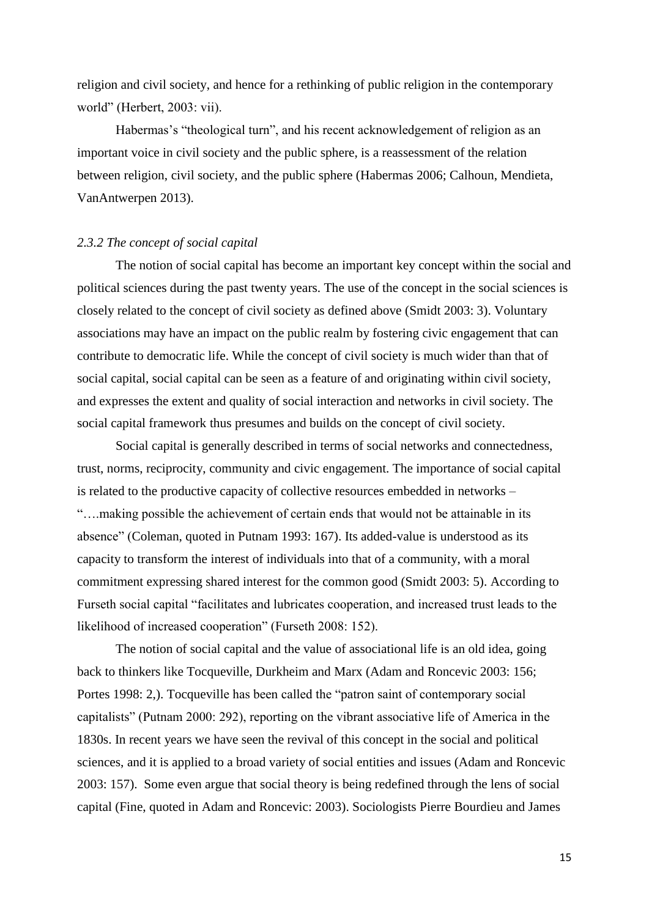religion and civil society, and hence for a rethinking of public religion in the contemporary world" (Herbert, 2003: vii).

Habermas's "theological turn", and his recent acknowledgement of religion as an important voice in civil society and the public sphere, is a reassessment of the relation between religion, civil society, and the public sphere (Habermas 2006; Calhoun, Mendieta, VanAntwerpen 2013).

#### *2.3.2 The concept of social capital*

The notion of social capital has become an important key concept within the social and political sciences during the past twenty years. The use of the concept in the social sciences is closely related to the concept of civil society as defined above (Smidt 2003: 3). Voluntary associations may have an impact on the public realm by fostering civic engagement that can contribute to democratic life. While the concept of civil society is much wider than that of social capital, social capital can be seen as a feature of and originating within civil society, and expresses the extent and quality of social interaction and networks in civil society. The social capital framework thus presumes and builds on the concept of civil society.

Social capital is generally described in terms of social networks and connectedness, trust, norms, reciprocity, community and civic engagement. The importance of social capital is related to the productive capacity of collective resources embedded in networks – "….making possible the achievement of certain ends that would not be attainable in its absence" (Coleman, quoted in Putnam 1993: 167). Its added-value is understood as its capacity to transform the interest of individuals into that of a community, with a moral commitment expressing shared interest for the common good (Smidt 2003: 5). According to Furseth social capital "facilitates and lubricates cooperation, and increased trust leads to the likelihood of increased cooperation" (Furseth 2008: 152).

The notion of social capital and the value of associational life is an old idea, going back to thinkers like Tocqueville, Durkheim and Marx (Adam and Roncevic 2003: 156; Portes 1998: 2,). Tocqueville has been called the "patron saint of contemporary social capitalists" (Putnam 2000: 292), reporting on the vibrant associative life of America in the 1830s. In recent years we have seen the revival of this concept in the social and political sciences, and it is applied to a broad variety of social entities and issues (Adam and Roncevic 2003: 157). Some even argue that social theory is being redefined through the lens of social capital (Fine, quoted in Adam and Roncevic: 2003). Sociologists Pierre Bourdieu and James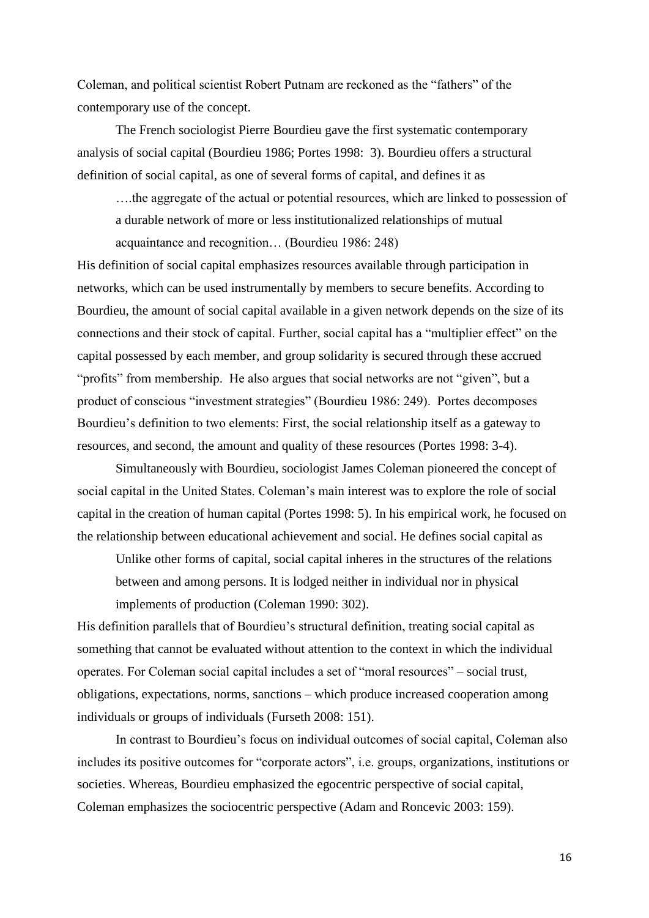Coleman, and political scientist Robert Putnam are reckoned as the "fathers" of the contemporary use of the concept.

The French sociologist Pierre Bourdieu gave the first systematic contemporary analysis of social capital (Bourdieu 1986; Portes 1998: 3). Bourdieu offers a structural definition of social capital, as one of several forms of capital, and defines it as

….the aggregate of the actual or potential resources, which are linked to possession of a durable network of more or less institutionalized relationships of mutual acquaintance and recognition… (Bourdieu 1986: 248)

His definition of social capital emphasizes resources available through participation in networks, which can be used instrumentally by members to secure benefits. According to Bourdieu, the amount of social capital available in a given network depends on the size of its connections and their stock of capital. Further, social capital has a "multiplier effect" on the capital possessed by each member, and group solidarity is secured through these accrued "profits" from membership. He also argues that social networks are not "given", but a product of conscious "investment strategies" (Bourdieu 1986: 249). Portes decomposes Bourdieu's definition to two elements: First, the social relationship itself as a gateway to resources, and second, the amount and quality of these resources (Portes 1998: 3-4).

Simultaneously with Bourdieu, sociologist James Coleman pioneered the concept of social capital in the United States. Coleman's main interest was to explore the role of social capital in the creation of human capital (Portes 1998: 5). In his empirical work, he focused on the relationship between educational achievement and social. He defines social capital as

Unlike other forms of capital, social capital inheres in the structures of the relations between and among persons. It is lodged neither in individual nor in physical implements of production (Coleman 1990: 302).

His definition parallels that of Bourdieu's structural definition, treating social capital as something that cannot be evaluated without attention to the context in which the individual operates. For Coleman social capital includes a set of "moral resources" – social trust, obligations, expectations, norms, sanctions – which produce increased cooperation among individuals or groups of individuals (Furseth 2008: 151).

In contrast to Bourdieu's focus on individual outcomes of social capital, Coleman also includes its positive outcomes for "corporate actors", i.e. groups, organizations, institutions or societies. Whereas, Bourdieu emphasized the egocentric perspective of social capital, Coleman emphasizes the sociocentric perspective (Adam and Roncevic 2003: 159).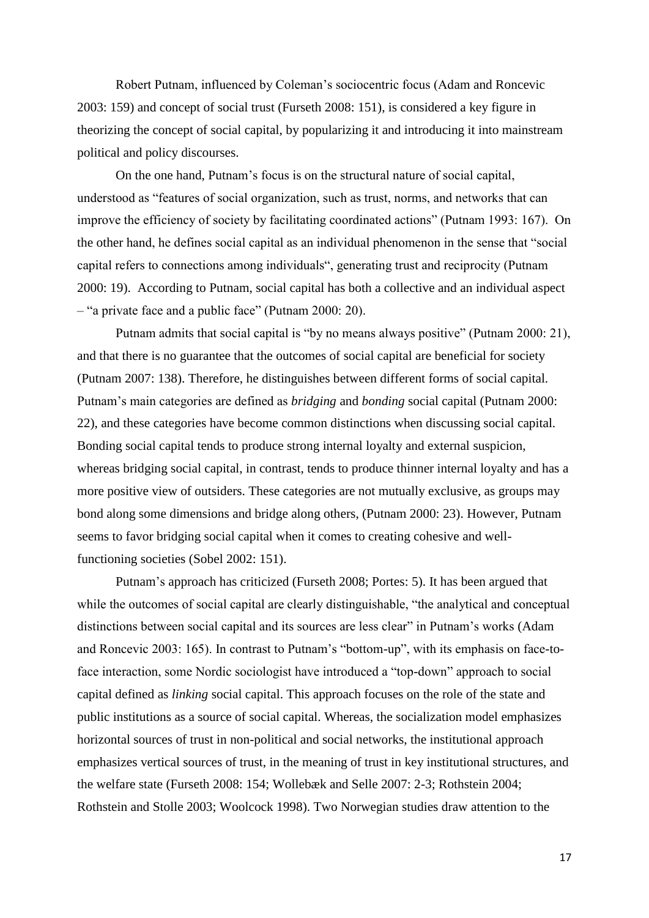Robert Putnam, influenced by Coleman's sociocentric focus (Adam and Roncevic 2003: 159) and concept of social trust (Furseth 2008: 151), is considered a key figure in theorizing the concept of social capital, by popularizing it and introducing it into mainstream political and policy discourses.

On the one hand, Putnam's focus is on the structural nature of social capital, understood as "features of social organization, such as trust, norms, and networks that can improve the efficiency of society by facilitating coordinated actions" (Putnam 1993: 167). On the other hand, he defines social capital as an individual phenomenon in the sense that "social capital refers to connections among individuals", generating trust and reciprocity (Putnam 2000: 19). According to Putnam, social capital has both a collective and an individual aspect – "a private face and a public face" (Putnam 2000: 20).

Putnam admits that social capital is "by no means always positive" (Putnam 2000: 21), and that there is no guarantee that the outcomes of social capital are beneficial for society (Putnam 2007: 138). Therefore, he distinguishes between different forms of social capital. Putnam's main categories are defined as *bridging* and *bonding* social capital (Putnam 2000: 22), and these categories have become common distinctions when discussing social capital. Bonding social capital tends to produce strong internal loyalty and external suspicion, whereas bridging social capital, in contrast, tends to produce thinner internal loyalty and has a more positive view of outsiders. These categories are not mutually exclusive, as groups may bond along some dimensions and bridge along others, (Putnam 2000: 23). However, Putnam seems to favor bridging social capital when it comes to creating cohesive and wellfunctioning societies (Sobel 2002: 151).

Putnam's approach has criticized (Furseth 2008; Portes: 5). It has been argued that while the outcomes of social capital are clearly distinguishable, "the analytical and conceptual distinctions between social capital and its sources are less clear" in Putnam's works (Adam and Roncevic 2003: 165). In contrast to Putnam's "bottom-up", with its emphasis on face-toface interaction, some Nordic sociologist have introduced a "top-down" approach to social capital defined as *linking* social capital. This approach focuses on the role of the state and public institutions as a source of social capital. Whereas, the socialization model emphasizes horizontal sources of trust in non-political and social networks, the institutional approach emphasizes vertical sources of trust, in the meaning of trust in key institutional structures, and the welfare state (Furseth 2008: 154; Wollebæk and Selle 2007: 2-3; Rothstein 2004; Rothstein and Stolle 2003; Woolcock 1998). Two Norwegian studies draw attention to the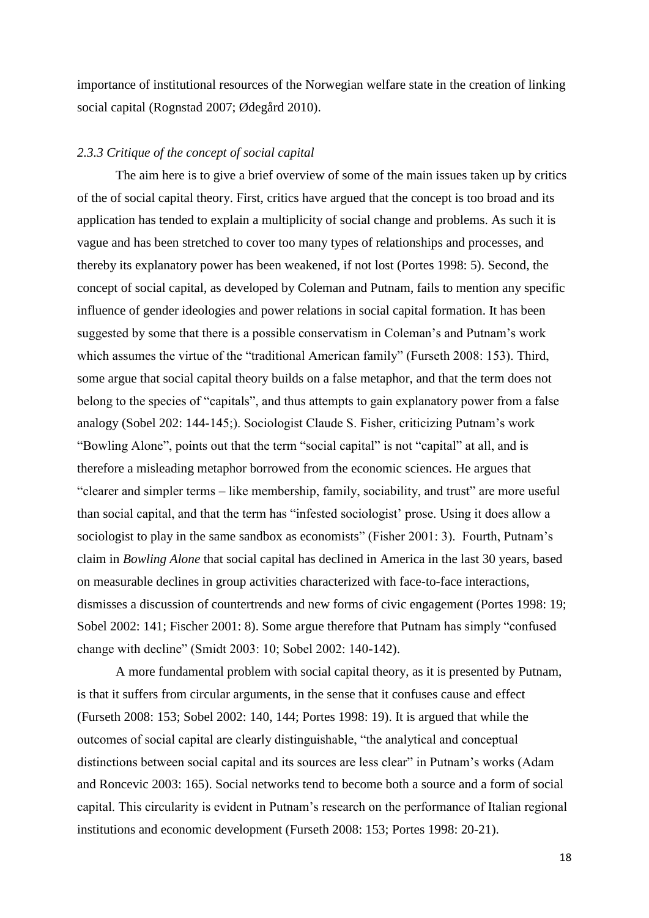importance of institutional resources of the Norwegian welfare state in the creation of linking social capital (Rognstad 2007; Ødegård 2010).

#### *2.3.3 Critique of the concept of social capital*

The aim here is to give a brief overview of some of the main issues taken up by critics of the of social capital theory. First, critics have argued that the concept is too broad and its application has tended to explain a multiplicity of social change and problems. As such it is vague and has been stretched to cover too many types of relationships and processes, and thereby its explanatory power has been weakened, if not lost (Portes 1998: 5). Second, the concept of social capital, as developed by Coleman and Putnam, fails to mention any specific influence of gender ideologies and power relations in social capital formation. It has been suggested by some that there is a possible conservatism in Coleman's and Putnam's work which assumes the virtue of the "traditional American family" (Furseth 2008: 153). Third, some argue that social capital theory builds on a false metaphor, and that the term does not belong to the species of "capitals", and thus attempts to gain explanatory power from a false analogy (Sobel 202: 144-145;). Sociologist Claude S. Fisher, criticizing Putnam's work "Bowling Alone", points out that the term "social capital" is not "capital" at all, and is therefore a misleading metaphor borrowed from the economic sciences. He argues that "clearer and simpler terms – like membership, family, sociability, and trust" are more useful than social capital, and that the term has "infested sociologist' prose. Using it does allow a sociologist to play in the same sandbox as economists" (Fisher 2001: 3). Fourth, Putnam's claim in *Bowling Alone* that social capital has declined in America in the last 30 years, based on measurable declines in group activities characterized with face-to-face interactions, dismisses a discussion of countertrends and new forms of civic engagement (Portes 1998: 19; Sobel 2002: 141; Fischer 2001: 8). Some argue therefore that Putnam has simply "confused change with decline" (Smidt 2003: 10; Sobel 2002: 140-142).

A more fundamental problem with social capital theory, as it is presented by Putnam, is that it suffers from circular arguments, in the sense that it confuses cause and effect (Furseth 2008: 153; Sobel 2002: 140, 144; Portes 1998: 19). It is argued that while the outcomes of social capital are clearly distinguishable, "the analytical and conceptual distinctions between social capital and its sources are less clear" in Putnam's works (Adam and Roncevic 2003: 165). Social networks tend to become both a source and a form of social capital. This circularity is evident in Putnam's research on the performance of Italian regional institutions and economic development (Furseth 2008: 153; Portes 1998: 20-21).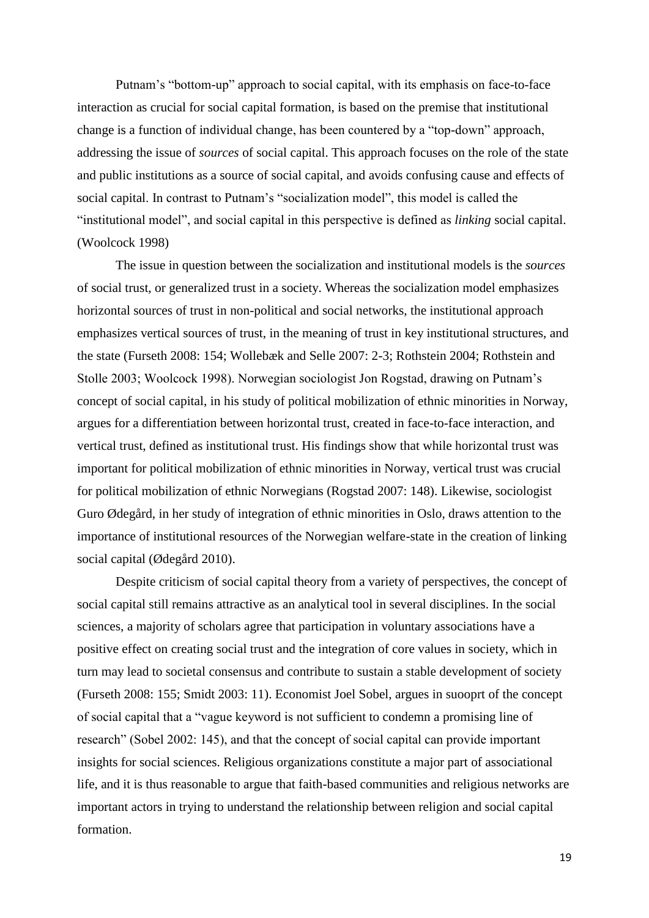Putnam's "bottom-up" approach to social capital, with its emphasis on face-to-face interaction as crucial for social capital formation, is based on the premise that institutional change is a function of individual change, has been countered by a "top-down" approach, addressing the issue of *sources* of social capital. This approach focuses on the role of the state and public institutions as a source of social capital, and avoids confusing cause and effects of social capital. In contrast to Putnam's "socialization model", this model is called the "institutional model", and social capital in this perspective is defined as *linking* social capital. (Woolcock 1998)

The issue in question between the socialization and institutional models is the *sources*  of social trust, or generalized trust in a society. Whereas the socialization model emphasizes horizontal sources of trust in non-political and social networks, the institutional approach emphasizes vertical sources of trust, in the meaning of trust in key institutional structures, and the state (Furseth 2008: 154; Wollebæk and Selle 2007: 2-3; Rothstein 2004; Rothstein and Stolle 2003; Woolcock 1998). Norwegian sociologist Jon Rogstad, drawing on Putnam's concept of social capital, in his study of political mobilization of ethnic minorities in Norway, argues for a differentiation between horizontal trust, created in face-to-face interaction, and vertical trust, defined as institutional trust. His findings show that while horizontal trust was important for political mobilization of ethnic minorities in Norway, vertical trust was crucial for political mobilization of ethnic Norwegians (Rogstad 2007: 148). Likewise, sociologist Guro Ødegård, in her study of integration of ethnic minorities in Oslo, draws attention to the importance of institutional resources of the Norwegian welfare-state in the creation of linking social capital (Ødegård 2010).

Despite criticism of social capital theory from a variety of perspectives, the concept of social capital still remains attractive as an analytical tool in several disciplines. In the social sciences, a majority of scholars agree that participation in voluntary associations have a positive effect on creating social trust and the integration of core values in society, which in turn may lead to societal consensus and contribute to sustain a stable development of society (Furseth 2008: 155; Smidt 2003: 11). Economist Joel Sobel, argues in suooprt of the concept of social capital that a "vague keyword is not sufficient to condemn a promising line of research" (Sobel 2002: 145), and that the concept of social capital can provide important insights for social sciences. Religious organizations constitute a major part of associational life, and it is thus reasonable to argue that faith-based communities and religious networks are important actors in trying to understand the relationship between religion and social capital formation.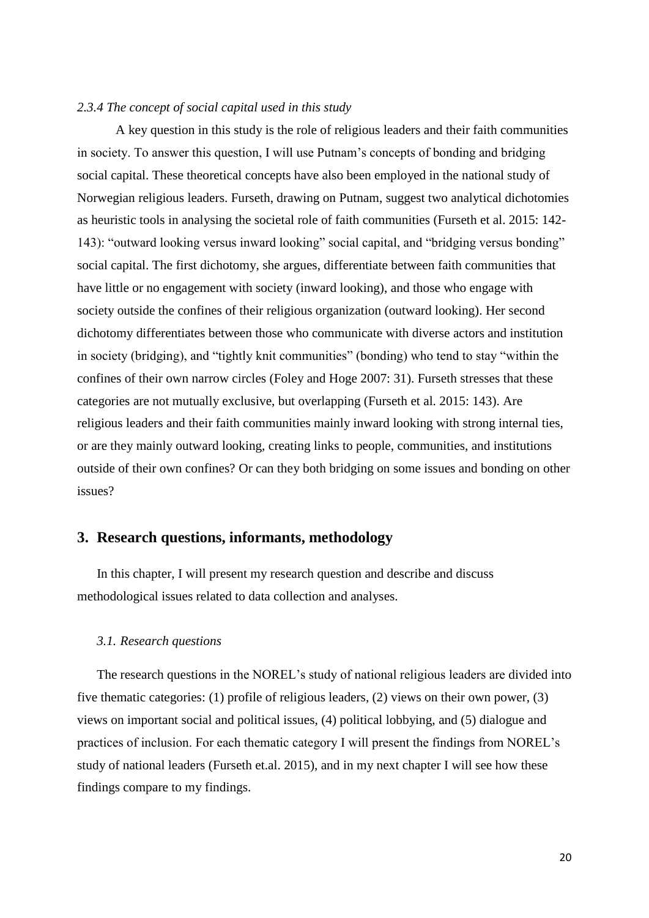#### *2.3.4 The concept of social capital used in this study*

A key question in this study is the role of religious leaders and their faith communities in society. To answer this question, I will use Putnam's concepts of bonding and bridging social capital. These theoretical concepts have also been employed in the national study of Norwegian religious leaders. Furseth, drawing on Putnam, suggest two analytical dichotomies as heuristic tools in analysing the societal role of faith communities (Furseth et al. 2015: 142- 143): "outward looking versus inward looking" social capital, and "bridging versus bonding" social capital. The first dichotomy, she argues, differentiate between faith communities that have little or no engagement with society (inward looking), and those who engage with society outside the confines of their religious organization (outward looking). Her second dichotomy differentiates between those who communicate with diverse actors and institution in society (bridging), and "tightly knit communities" (bonding) who tend to stay "within the confines of their own narrow circles (Foley and Hoge 2007: 31). Furseth stresses that these categories are not mutually exclusive, but overlapping (Furseth et al. 2015: 143). Are religious leaders and their faith communities mainly inward looking with strong internal ties, or are they mainly outward looking, creating links to people, communities, and institutions outside of their own confines? Or can they both bridging on some issues and bonding on other issues?

## **3. Research questions, informants, methodology**

In this chapter, I will present my research question and describe and discuss methodological issues related to data collection and analyses.

#### *3.1. Research questions*

The research questions in the NOREL's study of national religious leaders are divided into five thematic categories: (1) profile of religious leaders, (2) views on their own power, (3) views on important social and political issues, (4) political lobbying, and (5) dialogue and practices of inclusion. For each thematic category I will present the findings from NOREL's study of national leaders (Furseth et.al. 2015), and in my next chapter I will see how these findings compare to my findings.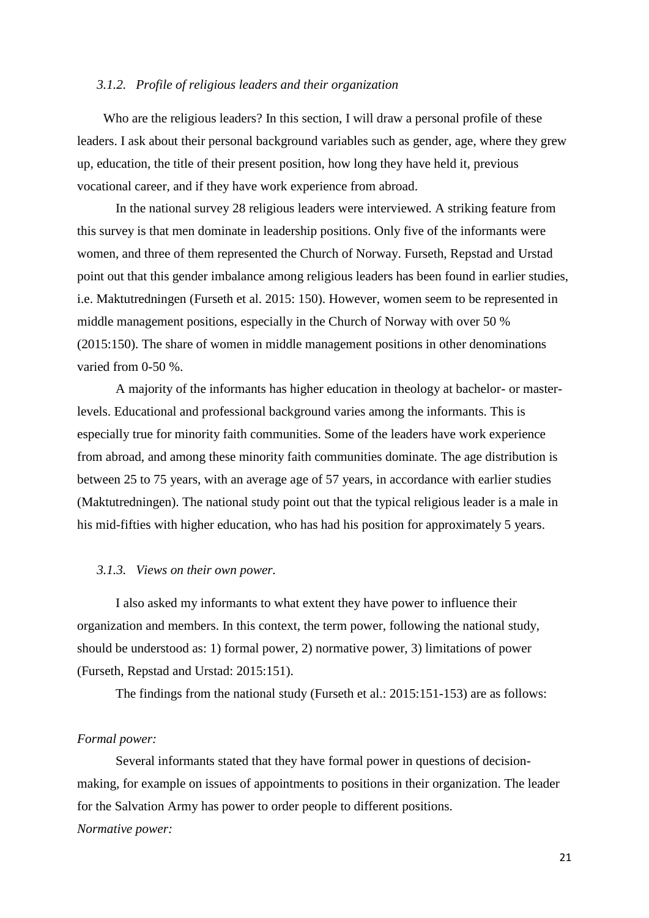#### *3.1.2. Profile of religious leaders and their organization*

Who are the religious leaders? In this section, I will draw a personal profile of these leaders. I ask about their personal background variables such as gender, age, where they grew up, education, the title of their present position, how long they have held it, previous vocational career, and if they have work experience from abroad.

In the national survey 28 religious leaders were interviewed. A striking feature from this survey is that men dominate in leadership positions. Only five of the informants were women, and three of them represented the Church of Norway. Furseth, Repstad and Urstad point out that this gender imbalance among religious leaders has been found in earlier studies, i.e. Maktutredningen (Furseth et al. 2015: 150). However, women seem to be represented in middle management positions, especially in the Church of Norway with over 50 % (2015:150). The share of women in middle management positions in other denominations varied from 0-50 %.

A majority of the informants has higher education in theology at bachelor- or masterlevels. Educational and professional background varies among the informants. This is especially true for minority faith communities. Some of the leaders have work experience from abroad, and among these minority faith communities dominate. The age distribution is between 25 to 75 years, with an average age of 57 years, in accordance with earlier studies (Maktutredningen). The national study point out that the typical religious leader is a male in his mid-fifties with higher education, who has had his position for approximately 5 years.

#### *3.1.3. Views on their own power.*

I also asked my informants to what extent they have power to influence their organization and members. In this context, the term power, following the national study, should be understood as: 1) formal power, 2) normative power, 3) limitations of power (Furseth, Repstad and Urstad: 2015:151).

The findings from the national study (Furseth et al.: 2015:151-153) are as follows:

## *Formal power:*

Several informants stated that they have formal power in questions of decisionmaking, for example on issues of appointments to positions in their organization. The leader for the Salvation Army has power to order people to different positions. *Normative power:*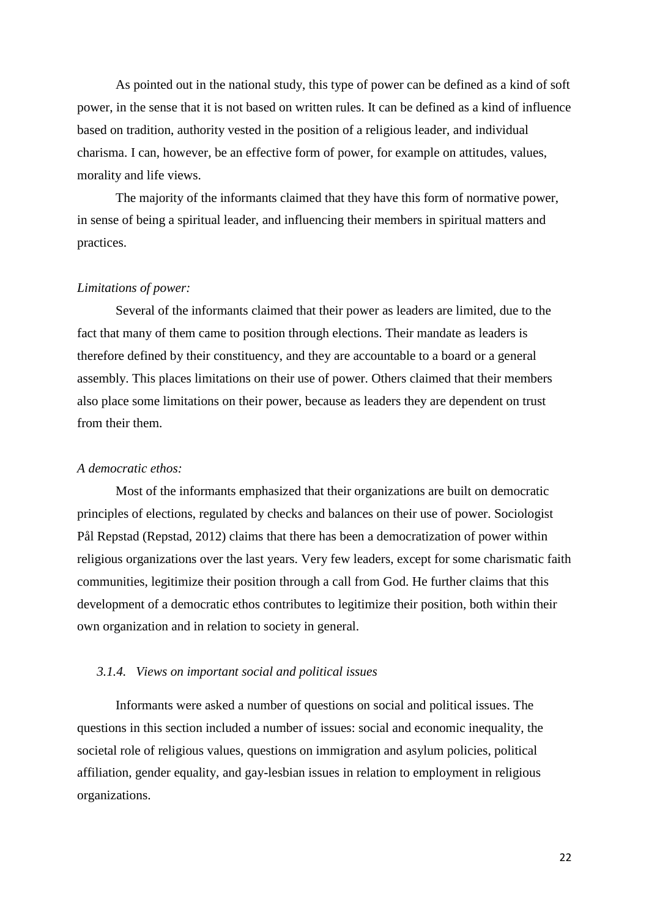As pointed out in the national study, this type of power can be defined as a kind of soft power, in the sense that it is not based on written rules. It can be defined as a kind of influence based on tradition, authority vested in the position of a religious leader, and individual charisma. I can, however, be an effective form of power, for example on attitudes, values, morality and life views.

The majority of the informants claimed that they have this form of normative power, in sense of being a spiritual leader, and influencing their members in spiritual matters and practices.

#### *Limitations of power:*

Several of the informants claimed that their power as leaders are limited, due to the fact that many of them came to position through elections. Their mandate as leaders is therefore defined by their constituency, and they are accountable to a board or a general assembly. This places limitations on their use of power. Others claimed that their members also place some limitations on their power, because as leaders they are dependent on trust from their them.

#### *A democratic ethos:*

Most of the informants emphasized that their organizations are built on democratic principles of elections, regulated by checks and balances on their use of power. Sociologist Pål Repstad (Repstad, 2012) claims that there has been a democratization of power within religious organizations over the last years. Very few leaders, except for some charismatic faith communities, legitimize their position through a call from God. He further claims that this development of a democratic ethos contributes to legitimize their position, both within their own organization and in relation to society in general.

#### *3.1.4. Views on important social and political issues*

Informants were asked a number of questions on social and political issues. The questions in this section included a number of issues: social and economic inequality, the societal role of religious values, questions on immigration and asylum policies, political affiliation, gender equality, and gay-lesbian issues in relation to employment in religious organizations.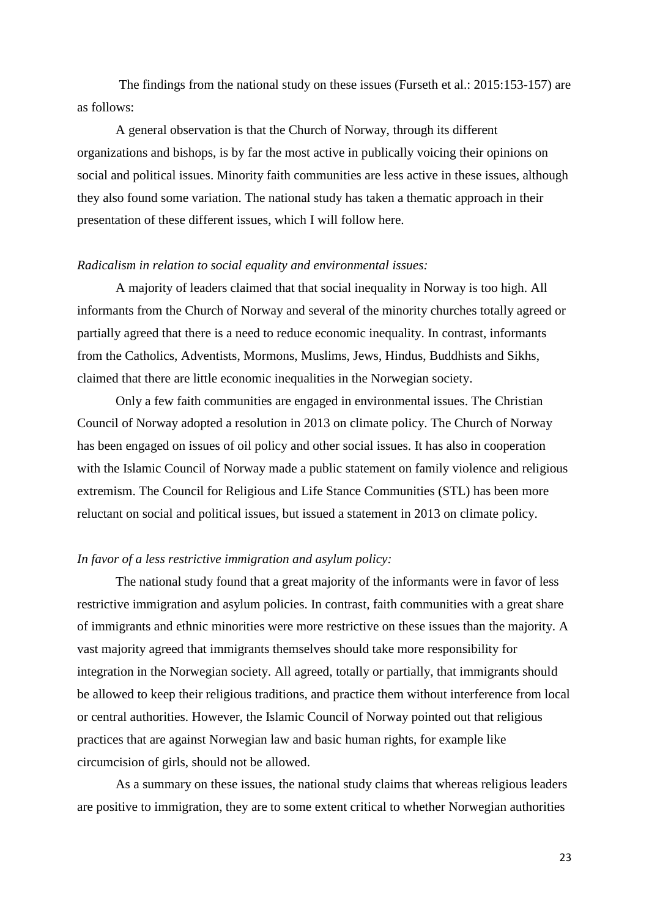The findings from the national study on these issues (Furseth et al.: 2015:153-157) are as follows:

A general observation is that the Church of Norway, through its different organizations and bishops, is by far the most active in publically voicing their opinions on social and political issues. Minority faith communities are less active in these issues, although they also found some variation. The national study has taken a thematic approach in their presentation of these different issues, which I will follow here.

#### *Radicalism in relation to social equality and environmental issues:*

A majority of leaders claimed that that social inequality in Norway is too high. All informants from the Church of Norway and several of the minority churches totally agreed or partially agreed that there is a need to reduce economic inequality. In contrast, informants from the Catholics, Adventists, Mormons, Muslims, Jews, Hindus, Buddhists and Sikhs, claimed that there are little economic inequalities in the Norwegian society.

Only a few faith communities are engaged in environmental issues. The Christian Council of Norway adopted a resolution in 2013 on climate policy. The Church of Norway has been engaged on issues of oil policy and other social issues. It has also in cooperation with the Islamic Council of Norway made a public statement on family violence and religious extremism. The Council for Religious and Life Stance Communities (STL) has been more reluctant on social and political issues, but issued a statement in 2013 on climate policy.

## *In favor of a less restrictive immigration and asylum policy:*

The national study found that a great majority of the informants were in favor of less restrictive immigration and asylum policies. In contrast, faith communities with a great share of immigrants and ethnic minorities were more restrictive on these issues than the majority. A vast majority agreed that immigrants themselves should take more responsibility for integration in the Norwegian society. All agreed, totally or partially, that immigrants should be allowed to keep their religious traditions, and practice them without interference from local or central authorities. However, the Islamic Council of Norway pointed out that religious practices that are against Norwegian law and basic human rights, for example like circumcision of girls, should not be allowed.

As a summary on these issues, the national study claims that whereas religious leaders are positive to immigration, they are to some extent critical to whether Norwegian authorities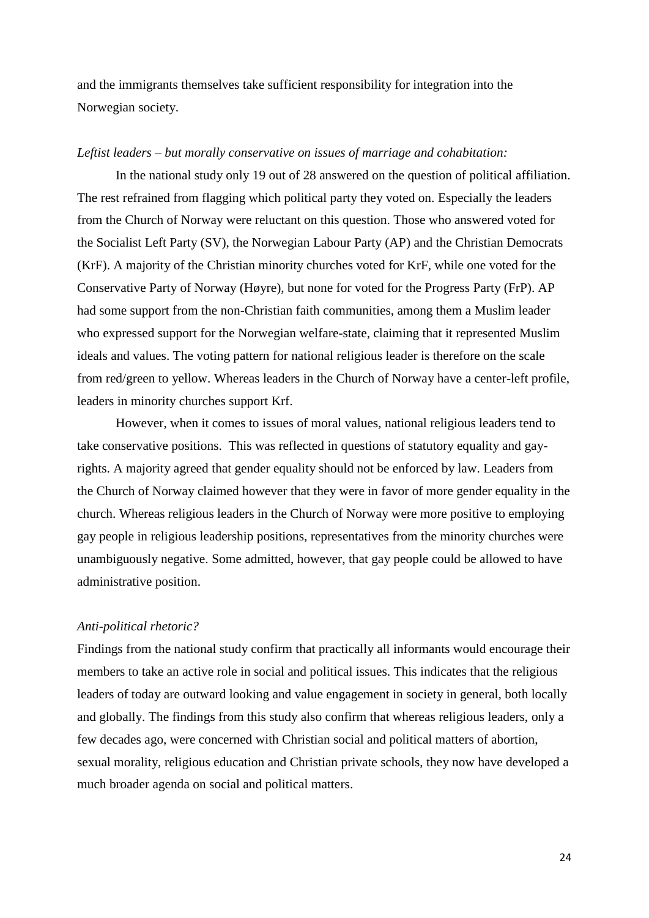and the immigrants themselves take sufficient responsibility for integration into the Norwegian society.

#### *Leftist leaders – but morally conservative on issues of marriage and cohabitation:*

In the national study only 19 out of 28 answered on the question of political affiliation. The rest refrained from flagging which political party they voted on. Especially the leaders from the Church of Norway were reluctant on this question. Those who answered voted for the Socialist Left Party (SV), the Norwegian Labour Party (AP) and the Christian Democrats (KrF). A majority of the Christian minority churches voted for KrF, while one voted for the Conservative Party of Norway (Høyre), but none for voted for the Progress Party (FrP). AP had some support from the non-Christian faith communities, among them a Muslim leader who expressed support for the Norwegian welfare-state, claiming that it represented Muslim ideals and values. The voting pattern for national religious leader is therefore on the scale from red/green to yellow. Whereas leaders in the Church of Norway have a center-left profile, leaders in minority churches support Krf.

However, when it comes to issues of moral values, national religious leaders tend to take conservative positions. This was reflected in questions of statutory equality and gayrights. A majority agreed that gender equality should not be enforced by law. Leaders from the Church of Norway claimed however that they were in favor of more gender equality in the church. Whereas religious leaders in the Church of Norway were more positive to employing gay people in religious leadership positions, representatives from the minority churches were unambiguously negative. Some admitted, however, that gay people could be allowed to have administrative position.

## *Anti-political rhetoric?*

Findings from the national study confirm that practically all informants would encourage their members to take an active role in social and political issues. This indicates that the religious leaders of today are outward looking and value engagement in society in general, both locally and globally. The findings from this study also confirm that whereas religious leaders, only a few decades ago, were concerned with Christian social and political matters of abortion, sexual morality, religious education and Christian private schools, they now have developed a much broader agenda on social and political matters.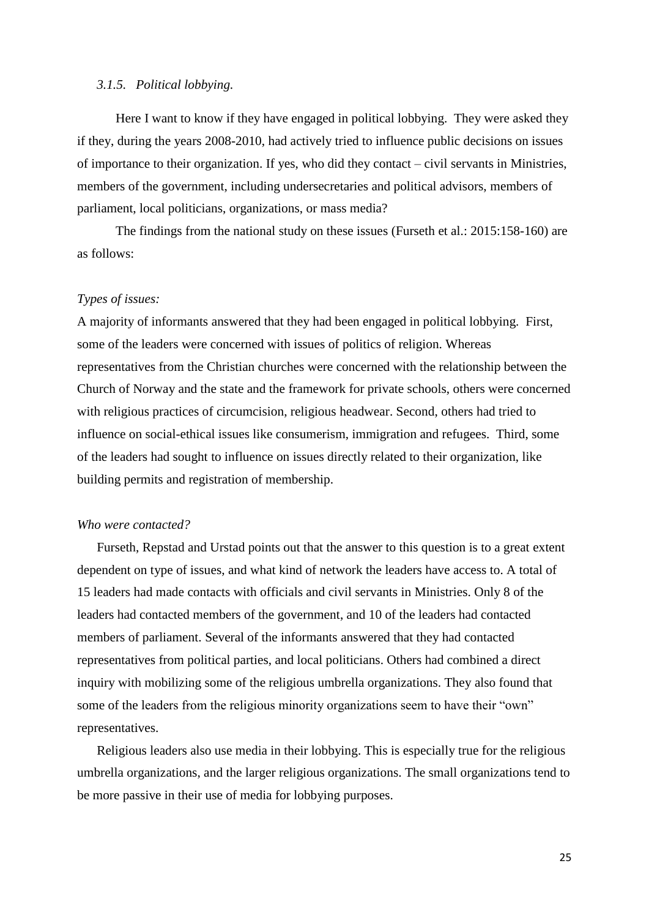#### *3.1.5. Political lobbying.*

Here I want to know if they have engaged in political lobbying. They were asked they if they, during the years 2008-2010, had actively tried to influence public decisions on issues of importance to their organization. If yes, who did they contact – civil servants in Ministries, members of the government, including undersecretaries and political advisors, members of parliament, local politicians, organizations, or mass media?

The findings from the national study on these issues (Furseth et al.: 2015:158-160) are as follows:

#### *Types of issues:*

A majority of informants answered that they had been engaged in political lobbying. First, some of the leaders were concerned with issues of politics of religion. Whereas representatives from the Christian churches were concerned with the relationship between the Church of Norway and the state and the framework for private schools, others were concerned with religious practices of circumcision, religious headwear. Second, others had tried to influence on social-ethical issues like consumerism, immigration and refugees. Third, some of the leaders had sought to influence on issues directly related to their organization, like building permits and registration of membership.

#### *Who were contacted?*

Furseth, Repstad and Urstad points out that the answer to this question is to a great extent dependent on type of issues, and what kind of network the leaders have access to. A total of 15 leaders had made contacts with officials and civil servants in Ministries. Only 8 of the leaders had contacted members of the government, and 10 of the leaders had contacted members of parliament. Several of the informants answered that they had contacted representatives from political parties, and local politicians. Others had combined a direct inquiry with mobilizing some of the religious umbrella organizations. They also found that some of the leaders from the religious minority organizations seem to have their "own" representatives.

Religious leaders also use media in their lobbying. This is especially true for the religious umbrella organizations, and the larger religious organizations. The small organizations tend to be more passive in their use of media for lobbying purposes.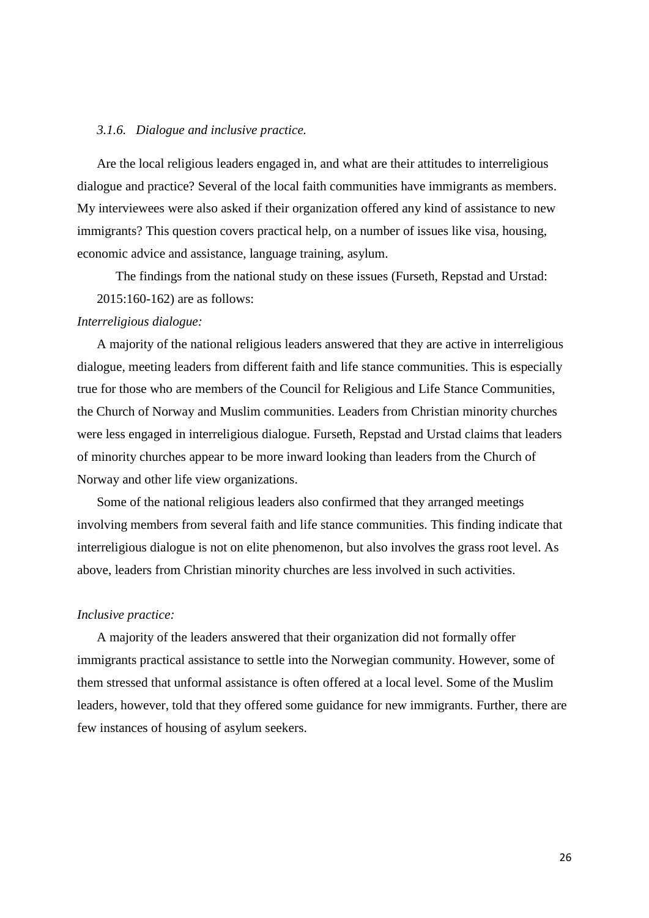#### *3.1.6. Dialogue and inclusive practice.*

Are the local religious leaders engaged in, and what are their attitudes to interreligious dialogue and practice? Several of the local faith communities have immigrants as members. My interviewees were also asked if their organization offered any kind of assistance to new immigrants? This question covers practical help, on a number of issues like visa, housing, economic advice and assistance, language training, asylum.

The findings from the national study on these issues (Furseth, Repstad and Urstad: 2015:160-162) are as follows:

## *Interreligious dialogue:*

A majority of the national religious leaders answered that they are active in interreligious dialogue, meeting leaders from different faith and life stance communities. This is especially true for those who are members of the Council for Religious and Life Stance Communities, the Church of Norway and Muslim communities. Leaders from Christian minority churches were less engaged in interreligious dialogue. Furseth, Repstad and Urstad claims that leaders of minority churches appear to be more inward looking than leaders from the Church of Norway and other life view organizations.

Some of the national religious leaders also confirmed that they arranged meetings involving members from several faith and life stance communities. This finding indicate that interreligious dialogue is not on elite phenomenon, but also involves the grass root level. As above, leaders from Christian minority churches are less involved in such activities.

#### *Inclusive practice:*

A majority of the leaders answered that their organization did not formally offer immigrants practical assistance to settle into the Norwegian community. However, some of them stressed that unformal assistance is often offered at a local level. Some of the Muslim leaders, however, told that they offered some guidance for new immigrants. Further, there are few instances of housing of asylum seekers.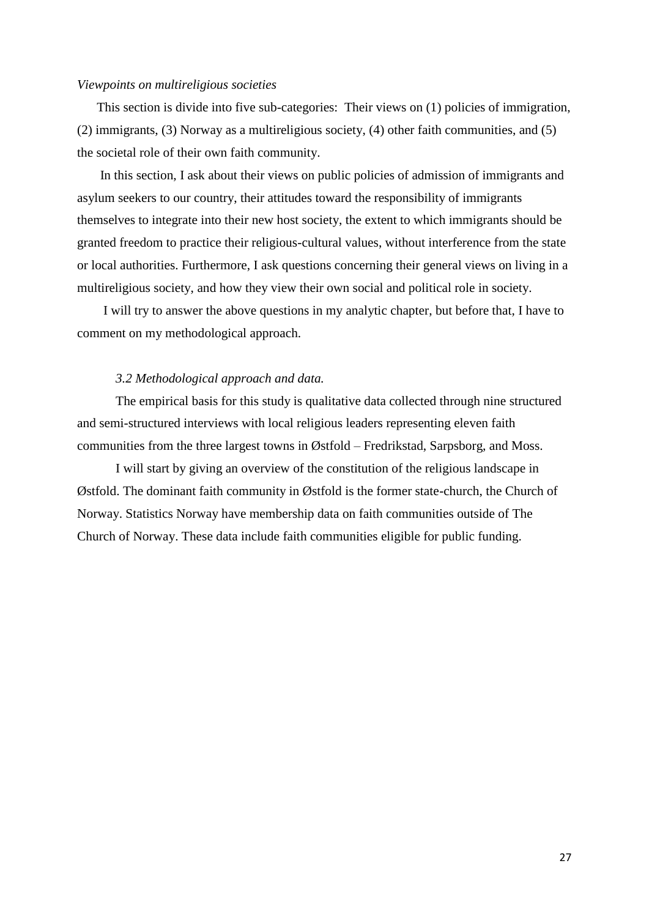#### *Viewpoints on multireligious societies*

This section is divide into five sub-categories: Their views on (1) policies of immigration, (2) immigrants, (3) Norway as a multireligious society, (4) other faith communities, and (5) the societal role of their own faith community.

 In this section, I ask about their views on public policies of admission of immigrants and asylum seekers to our country, their attitudes toward the responsibility of immigrants themselves to integrate into their new host society, the extent to which immigrants should be granted freedom to practice their religious-cultural values, without interference from the state or local authorities. Furthermore, I ask questions concerning their general views on living in a multireligious society, and how they view their own social and political role in society.

 I will try to answer the above questions in my analytic chapter, but before that, I have to comment on my methodological approach.

#### *3.2 Methodological approach and data.*

The empirical basis for this study is qualitative data collected through nine structured and semi-structured interviews with local religious leaders representing eleven faith communities from the three largest towns in Østfold – Fredrikstad, Sarpsborg, and Moss.

I will start by giving an overview of the constitution of the religious landscape in Østfold. The dominant faith community in Østfold is the former state-church, the Church of Norway. Statistics Norway have membership data on faith communities outside of The Church of Norway. These data include faith communities eligible for public funding.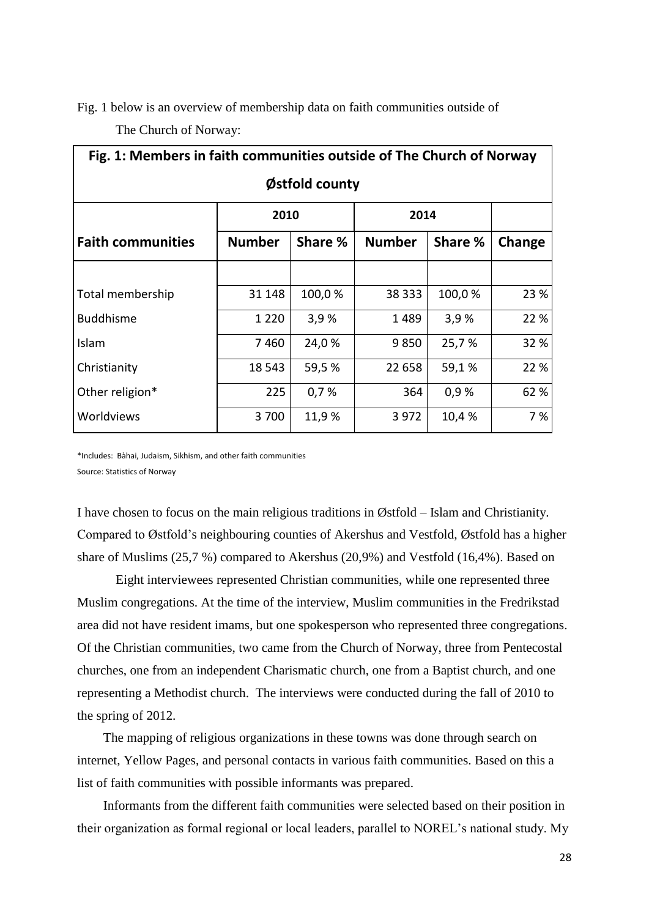Fig. 1 below is an overview of membership data on faith communities outside of The Church of Norway:

| Fig. 1: Members in faith communities outside of The Church of Norway |               |         |               |         |        |  |  |
|----------------------------------------------------------------------|---------------|---------|---------------|---------|--------|--|--|
| Østfold county                                                       |               |         |               |         |        |  |  |
|                                                                      | 2010          |         | 2014          |         |        |  |  |
| <b>Faith communities</b>                                             | <b>Number</b> | Share % | <b>Number</b> | Share % | Change |  |  |
|                                                                      |               |         |               |         |        |  |  |
| Total membership                                                     | 31 148        | 100,0%  | 38 333        | 100,0%  | 23 %   |  |  |
| <b>Buddhisme</b>                                                     | 1 2 2 0       | 3,9%    | 1489          | 3,9%    | 22 %   |  |  |
| Islam                                                                | 7460          | 24,0 %  | 9850          | 25,7%   | 32 %   |  |  |
| Christianity                                                         | 18 5 43       | 59,5 %  | 22 658        | 59,1%   | 22 %   |  |  |
| Other religion*                                                      | 225           | 0,7%    | 364           | 0,9%    | 62 %   |  |  |
| Worldviews                                                           | 3700          | 11,9%   | 3 9 7 2       | 10,4 %  | 7 %    |  |  |

\*Includes: Bàhai, Judaism, Sikhism, and other faith communities Source: Statistics of Norway

I have chosen to focus on the main religious traditions in Østfold – Islam and Christianity. Compared to Østfold's neighbouring counties of Akershus and Vestfold, Østfold has a higher share of Muslims (25,7 %) compared to Akershus (20,9%) and Vestfold (16,4%). Based on

Eight interviewees represented Christian communities, while one represented three Muslim congregations. At the time of the interview, Muslim communities in the Fredrikstad area did not have resident imams, but one spokesperson who represented three congregations. Of the Christian communities, two came from the Church of Norway, three from Pentecostal churches, one from an independent Charismatic church, one from a Baptist church, and one representing a Methodist church. The interviews were conducted during the fall of 2010 to the spring of 2012.

The mapping of religious organizations in these towns was done through search on internet, Yellow Pages, and personal contacts in various faith communities. Based on this a list of faith communities with possible informants was prepared.

Informants from the different faith communities were selected based on their position in their organization as formal regional or local leaders, parallel to NOREL's national study. My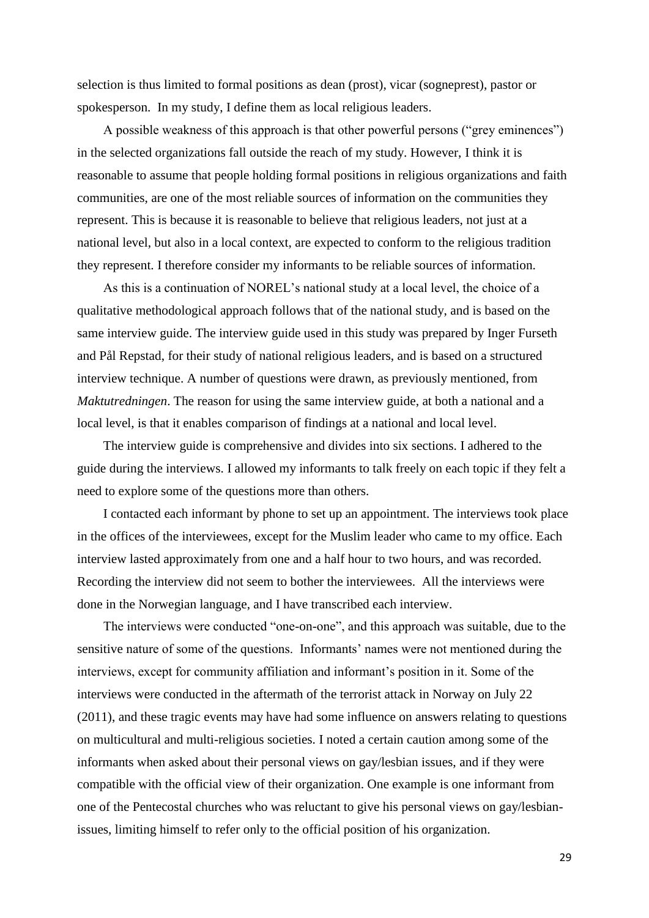selection is thus limited to formal positions as dean (prost), vicar (sogneprest), pastor or spokesperson. In my study, I define them as local religious leaders.

A possible weakness of this approach is that other powerful persons ("grey eminences") in the selected organizations fall outside the reach of my study. However, I think it is reasonable to assume that people holding formal positions in religious organizations and faith communities, are one of the most reliable sources of information on the communities they represent. This is because it is reasonable to believe that religious leaders, not just at a national level, but also in a local context, are expected to conform to the religious tradition they represent. I therefore consider my informants to be reliable sources of information.

As this is a continuation of NOREL's national study at a local level, the choice of a qualitative methodological approach follows that of the national study, and is based on the same interview guide. The interview guide used in this study was prepared by Inger Furseth and Pål Repstad, for their study of national religious leaders, and is based on a structured interview technique. A number of questions were drawn, as previously mentioned, from *Maktutredningen*. The reason for using the same interview guide, at both a national and a local level, is that it enables comparison of findings at a national and local level.

The interview guide is comprehensive and divides into six sections. I adhered to the guide during the interviews. I allowed my informants to talk freely on each topic if they felt a need to explore some of the questions more than others.

I contacted each informant by phone to set up an appointment. The interviews took place in the offices of the interviewees, except for the Muslim leader who came to my office. Each interview lasted approximately from one and a half hour to two hours, and was recorded. Recording the interview did not seem to bother the interviewees. All the interviews were done in the Norwegian language, and I have transcribed each interview.

The interviews were conducted "one-on-one", and this approach was suitable, due to the sensitive nature of some of the questions. Informants' names were not mentioned during the interviews, except for community affiliation and informant's position in it. Some of the interviews were conducted in the aftermath of the terrorist attack in Norway on July 22 (2011), and these tragic events may have had some influence on answers relating to questions on multicultural and multi-religious societies. I noted a certain caution among some of the informants when asked about their personal views on gay/lesbian issues, and if they were compatible with the official view of their organization. One example is one informant from one of the Pentecostal churches who was reluctant to give his personal views on gay/lesbianissues, limiting himself to refer only to the official position of his organization.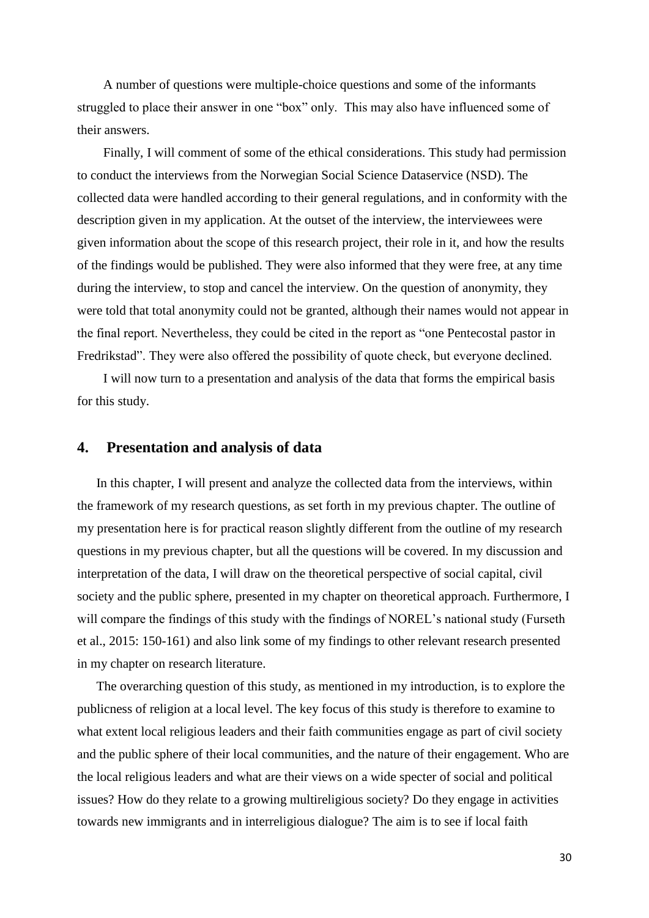A number of questions were multiple-choice questions and some of the informants struggled to place their answer in one "box" only. This may also have influenced some of their answers.

Finally, I will comment of some of the ethical considerations. This study had permission to conduct the interviews from the Norwegian Social Science Dataservice (NSD). The collected data were handled according to their general regulations, and in conformity with the description given in my application. At the outset of the interview, the interviewees were given information about the scope of this research project, their role in it, and how the results of the findings would be published. They were also informed that they were free, at any time during the interview, to stop and cancel the interview. On the question of anonymity, they were told that total anonymity could not be granted, although their names would not appear in the final report. Nevertheless, they could be cited in the report as "one Pentecostal pastor in Fredrikstad". They were also offered the possibility of quote check, but everyone declined.

I will now turn to a presentation and analysis of the data that forms the empirical basis for this study.

## **4. Presentation and analysis of data**

In this chapter, I will present and analyze the collected data from the interviews, within the framework of my research questions, as set forth in my previous chapter. The outline of my presentation here is for practical reason slightly different from the outline of my research questions in my previous chapter, but all the questions will be covered. In my discussion and interpretation of the data, I will draw on the theoretical perspective of social capital, civil society and the public sphere, presented in my chapter on theoretical approach. Furthermore, I will compare the findings of this study with the findings of NOREL's national study (Furseth et al., 2015: 150-161) and also link some of my findings to other relevant research presented in my chapter on research literature.

The overarching question of this study, as mentioned in my introduction, is to explore the publicness of religion at a local level. The key focus of this study is therefore to examine to what extent local religious leaders and their faith communities engage as part of civil society and the public sphere of their local communities, and the nature of their engagement. Who are the local religious leaders and what are their views on a wide specter of social and political issues? How do they relate to a growing multireligious society? Do they engage in activities towards new immigrants and in interreligious dialogue? The aim is to see if local faith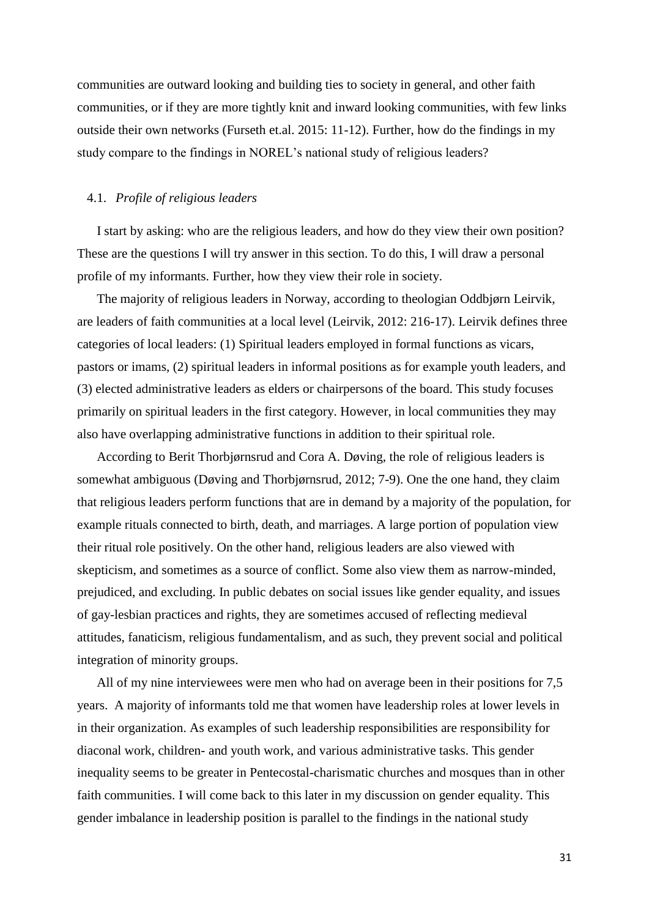communities are outward looking and building ties to society in general, and other faith communities, or if they are more tightly knit and inward looking communities, with few links outside their own networks (Furseth et.al. 2015: 11-12). Further, how do the findings in my study compare to the findings in NOREL's national study of religious leaders?

## 4.1. *Profile of religious leaders*

I start by asking: who are the religious leaders, and how do they view their own position? These are the questions I will try answer in this section. To do this, I will draw a personal profile of my informants. Further, how they view their role in society.

The majority of religious leaders in Norway, according to theologian Oddbjørn Leirvik, are leaders of faith communities at a local level (Leirvik, 2012: 216-17). Leirvik defines three categories of local leaders: (1) Spiritual leaders employed in formal functions as vicars, pastors or imams, (2) spiritual leaders in informal positions as for example youth leaders, and (3) elected administrative leaders as elders or chairpersons of the board. This study focuses primarily on spiritual leaders in the first category. However, in local communities they may also have overlapping administrative functions in addition to their spiritual role.

According to Berit Thorbjørnsrud and Cora A. Døving, the role of religious leaders is somewhat ambiguous (Døving and Thorbjørnsrud, 2012; 7-9). One the one hand, they claim that religious leaders perform functions that are in demand by a majority of the population, for example rituals connected to birth, death, and marriages. A large portion of population view their ritual role positively. On the other hand, religious leaders are also viewed with skepticism, and sometimes as a source of conflict. Some also view them as narrow-minded, prejudiced, and excluding. In public debates on social issues like gender equality, and issues of gay-lesbian practices and rights, they are sometimes accused of reflecting medieval attitudes, fanaticism, religious fundamentalism, and as such, they prevent social and political integration of minority groups.

All of my nine interviewees were men who had on average been in their positions for 7,5 years. A majority of informants told me that women have leadership roles at lower levels in in their organization. As examples of such leadership responsibilities are responsibility for diaconal work, children- and youth work, and various administrative tasks. This gender inequality seems to be greater in Pentecostal-charismatic churches and mosques than in other faith communities. I will come back to this later in my discussion on gender equality. This gender imbalance in leadership position is parallel to the findings in the national study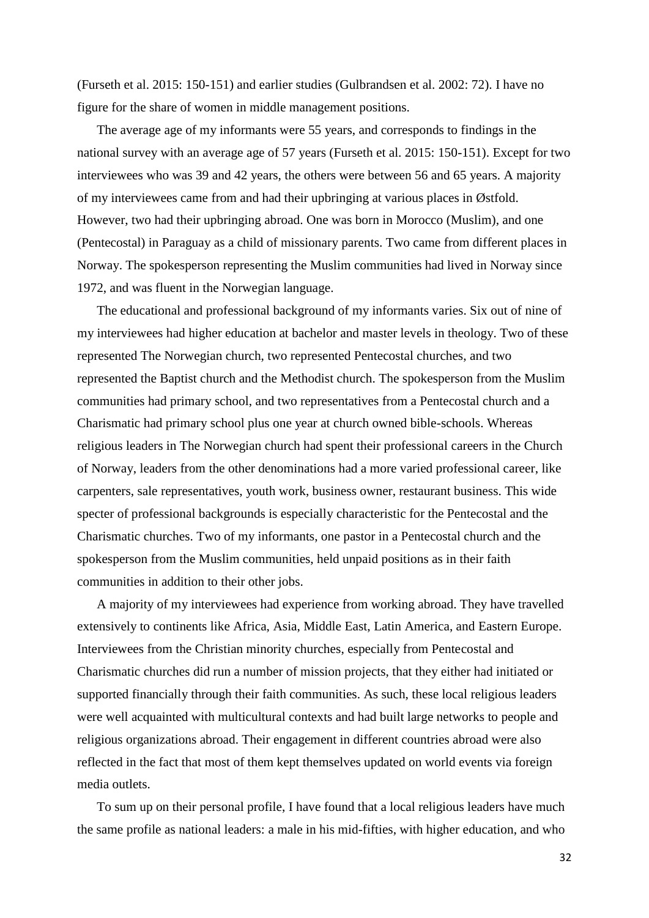(Furseth et al. 2015: 150-151) and earlier studies (Gulbrandsen et al. 2002: 72). I have no figure for the share of women in middle management positions.

The average age of my informants were 55 years, and corresponds to findings in the national survey with an average age of 57 years (Furseth et al. 2015: 150-151). Except for two interviewees who was 39 and 42 years, the others were between 56 and 65 years. A majority of my interviewees came from and had their upbringing at various places in Østfold. However, two had their upbringing abroad. One was born in Morocco (Muslim), and one (Pentecostal) in Paraguay as a child of missionary parents. Two came from different places in Norway. The spokesperson representing the Muslim communities had lived in Norway since 1972, and was fluent in the Norwegian language.

The educational and professional background of my informants varies. Six out of nine of my interviewees had higher education at bachelor and master levels in theology. Two of these represented The Norwegian church, two represented Pentecostal churches, and two represented the Baptist church and the Methodist church. The spokesperson from the Muslim communities had primary school, and two representatives from a Pentecostal church and a Charismatic had primary school plus one year at church owned bible-schools. Whereas religious leaders in The Norwegian church had spent their professional careers in the Church of Norway, leaders from the other denominations had a more varied professional career, like carpenters, sale representatives, youth work, business owner, restaurant business. This wide specter of professional backgrounds is especially characteristic for the Pentecostal and the Charismatic churches. Two of my informants, one pastor in a Pentecostal church and the spokesperson from the Muslim communities, held unpaid positions as in their faith communities in addition to their other jobs.

A majority of my interviewees had experience from working abroad. They have travelled extensively to continents like Africa, Asia, Middle East, Latin America, and Eastern Europe. Interviewees from the Christian minority churches, especially from Pentecostal and Charismatic churches did run a number of mission projects, that they either had initiated or supported financially through their faith communities. As such, these local religious leaders were well acquainted with multicultural contexts and had built large networks to people and religious organizations abroad. Their engagement in different countries abroad were also reflected in the fact that most of them kept themselves updated on world events via foreign media outlets.

To sum up on their personal profile, I have found that a local religious leaders have much the same profile as national leaders: a male in his mid-fifties, with higher education, and who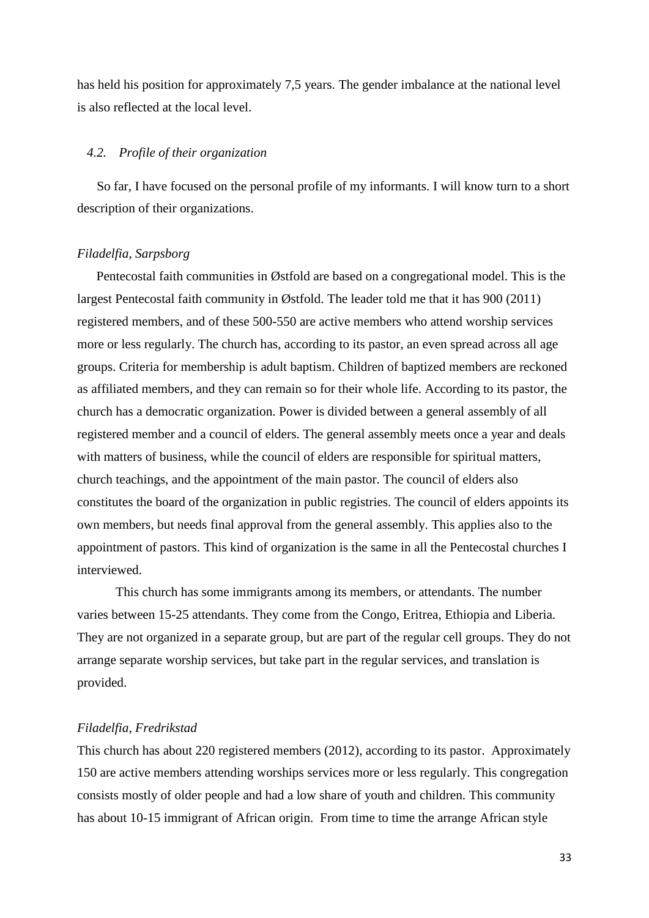has held his position for approximately 7,5 years. The gender imbalance at the national level is also reflected at the local level.

#### *4.2. Profile of their organization*

So far, I have focused on the personal profile of my informants. I will know turn to a short description of their organizations.

#### *Filadelfia, Sarpsborg*

Pentecostal faith communities in Østfold are based on a congregational model. This is the largest Pentecostal faith community in Østfold. The leader told me that it has 900 (2011) registered members, and of these 500-550 are active members who attend worship services more or less regularly. The church has, according to its pastor, an even spread across all age groups. Criteria for membership is adult baptism. Children of baptized members are reckoned as affiliated members, and they can remain so for their whole life. According to its pastor, the church has a democratic organization. Power is divided between a general assembly of all registered member and a council of elders. The general assembly meets once a year and deals with matters of business, while the council of elders are responsible for spiritual matters, church teachings, and the appointment of the main pastor. The council of elders also constitutes the board of the organization in public registries. The council of elders appoints its own members, but needs final approval from the general assembly. This applies also to the appointment of pastors. This kind of organization is the same in all the Pentecostal churches I interviewed.

This church has some immigrants among its members, or attendants. The number varies between 15-25 attendants. They come from the Congo, Eritrea, Ethiopia and Liberia. They are not organized in a separate group, but are part of the regular cell groups. They do not arrange separate worship services, but take part in the regular services, and translation is provided.

## *Filadelfia, Fredrikstad*

This church has about 220 registered members (2012), according to its pastor. Approximately 150 are active members attending worships services more or less regularly. This congregation consists mostly of older people and had a low share of youth and children. This community has about 10-15 immigrant of African origin. From time to time the arrange African style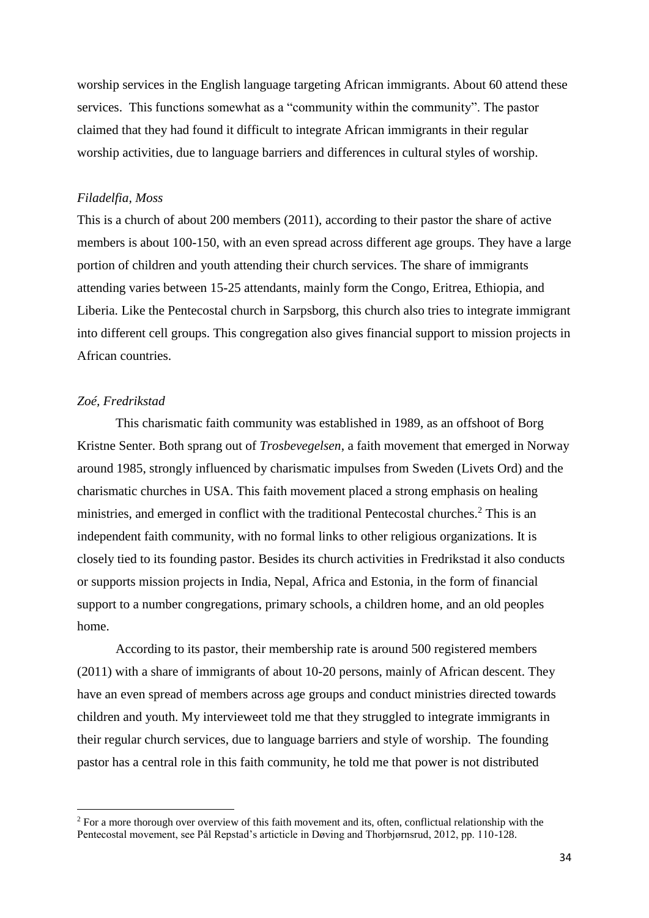worship services in the English language targeting African immigrants. About 60 attend these services. This functions somewhat as a "community within the community". The pastor claimed that they had found it difficult to integrate African immigrants in their regular worship activities, due to language barriers and differences in cultural styles of worship.

#### *Filadelfia, Moss*

This is a church of about 200 members (2011), according to their pastor the share of active members is about 100-150, with an even spread across different age groups. They have a large portion of children and youth attending their church services. The share of immigrants attending varies between 15-25 attendants, mainly form the Congo, Eritrea, Ethiopia, and Liberia. Like the Pentecostal church in Sarpsborg, this church also tries to integrate immigrant into different cell groups. This congregation also gives financial support to mission projects in African countries.

#### *Zoé, Fredrikstad*

<u>.</u>

This charismatic faith community was established in 1989, as an offshoot of Borg Kristne Senter. Both sprang out of *Trosbevegelsen*, a faith movement that emerged in Norway around 1985, strongly influenced by charismatic impulses from Sweden (Livets Ord) and the charismatic churches in USA. This faith movement placed a strong emphasis on healing ministries, and emerged in conflict with the traditional Pentecostal churches.<sup>2</sup> This is an independent faith community, with no formal links to other religious organizations. It is closely tied to its founding pastor. Besides its church activities in Fredrikstad it also conducts or supports mission projects in India, Nepal, Africa and Estonia, in the form of financial support to a number congregations, primary schools, a children home, and an old peoples home.

According to its pastor, their membership rate is around 500 registered members (2011) with a share of immigrants of about 10-20 persons, mainly of African descent. They have an even spread of members across age groups and conduct ministries directed towards children and youth. My intervieweet told me that they struggled to integrate immigrants in their regular church services, due to language barriers and style of worship. The founding pastor has a central role in this faith community, he told me that power is not distributed

<sup>&</sup>lt;sup>2</sup> For a more thorough over overview of this faith movement and its, often, conflictual relationship with the Pentecostal movement, see Pål Repstad's articticle in Døving and Thorbjørnsrud, 2012, pp. 110-128.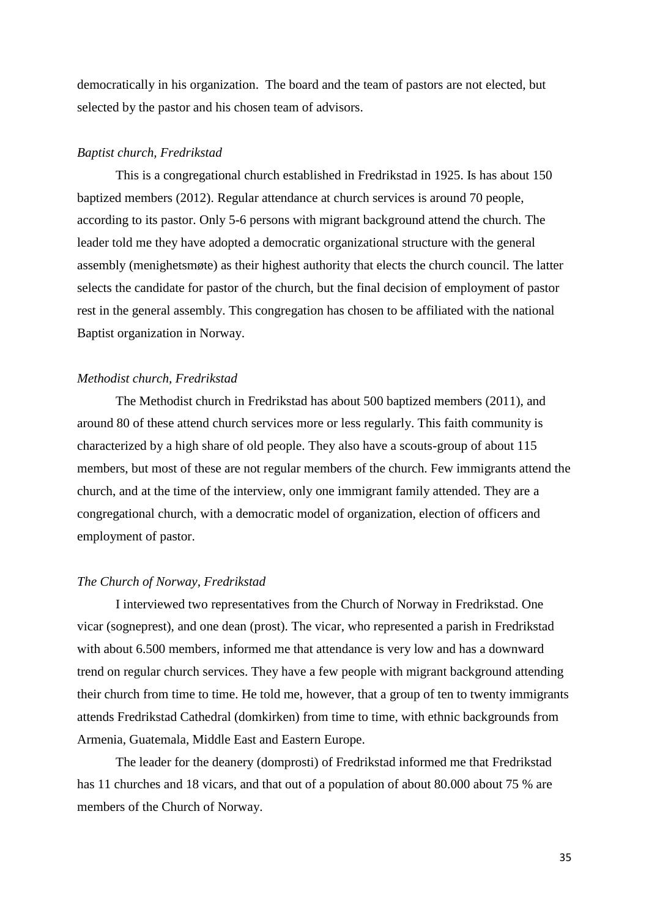democratically in his organization. The board and the team of pastors are not elected, but selected by the pastor and his chosen team of advisors.

#### *Baptist church, Fredrikstad*

This is a congregational church established in Fredrikstad in 1925. Is has about 150 baptized members (2012). Regular attendance at church services is around 70 people, according to its pastor. Only 5-6 persons with migrant background attend the church. The leader told me they have adopted a democratic organizational structure with the general assembly (menighetsmøte) as their highest authority that elects the church council. The latter selects the candidate for pastor of the church, but the final decision of employment of pastor rest in the general assembly. This congregation has chosen to be affiliated with the national Baptist organization in Norway.

## *Methodist church, Fredrikstad*

The Methodist church in Fredrikstad has about 500 baptized members (2011), and around 80 of these attend church services more or less regularly. This faith community is characterized by a high share of old people. They also have a scouts-group of about 115 members, but most of these are not regular members of the church. Few immigrants attend the church, and at the time of the interview, only one immigrant family attended. They are a congregational church, with a democratic model of organization, election of officers and employment of pastor.

#### *The Church of Norway, Fredrikstad*

I interviewed two representatives from the Church of Norway in Fredrikstad. One vicar (sogneprest), and one dean (prost). The vicar, who represented a parish in Fredrikstad with about 6.500 members, informed me that attendance is very low and has a downward trend on regular church services. They have a few people with migrant background attending their church from time to time. He told me, however, that a group of ten to twenty immigrants attends Fredrikstad Cathedral (domkirken) from time to time, with ethnic backgrounds from Armenia, Guatemala, Middle East and Eastern Europe.

The leader for the deanery (domprosti) of Fredrikstad informed me that Fredrikstad has 11 churches and 18 vicars, and that out of a population of about 80.000 about 75 % are members of the Church of Norway.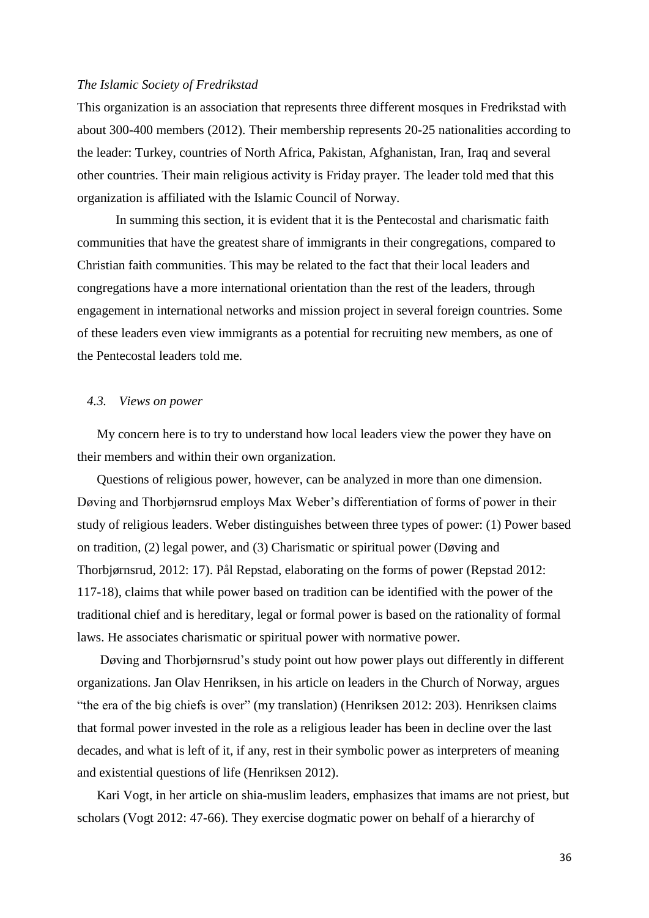#### *The Islamic Society of Fredrikstad*

This organization is an association that represents three different mosques in Fredrikstad with about 300-400 members (2012). Their membership represents 20-25 nationalities according to the leader: Turkey, countries of North Africa, Pakistan, Afghanistan, Iran, Iraq and several other countries. Their main religious activity is Friday prayer. The leader told med that this organization is affiliated with the Islamic Council of Norway.

In summing this section, it is evident that it is the Pentecostal and charismatic faith communities that have the greatest share of immigrants in their congregations, compared to Christian faith communities. This may be related to the fact that their local leaders and congregations have a more international orientation than the rest of the leaders, through engagement in international networks and mission project in several foreign countries. Some of these leaders even view immigrants as a potential for recruiting new members, as one of the Pentecostal leaders told me.

#### *4.3. Views on power*

My concern here is to try to understand how local leaders view the power they have on their members and within their own organization.

Questions of religious power, however, can be analyzed in more than one dimension. Døving and Thorbjørnsrud employs Max Weber's differentiation of forms of power in their study of religious leaders. Weber distinguishes between three types of power: (1) Power based on tradition, (2) legal power, and (3) Charismatic or spiritual power (Døving and Thorbjørnsrud, 2012: 17). Pål Repstad, elaborating on the forms of power (Repstad 2012: 117-18), claims that while power based on tradition can be identified with the power of the traditional chief and is hereditary, legal or formal power is based on the rationality of formal laws. He associates charismatic or spiritual power with normative power.

Døving and Thorbjørnsrud's study point out how power plays out differently in different organizations. Jan Olav Henriksen, in his article on leaders in the Church of Norway, argues "the era of the big chiefs is over" (my translation) (Henriksen 2012: 203). Henriksen claims that formal power invested in the role as a religious leader has been in decline over the last decades, and what is left of it, if any, rest in their symbolic power as interpreters of meaning and existential questions of life (Henriksen 2012).

Kari Vogt, in her article on shia-muslim leaders, emphasizes that imams are not priest, but scholars (Vogt 2012: 47-66). They exercise dogmatic power on behalf of a hierarchy of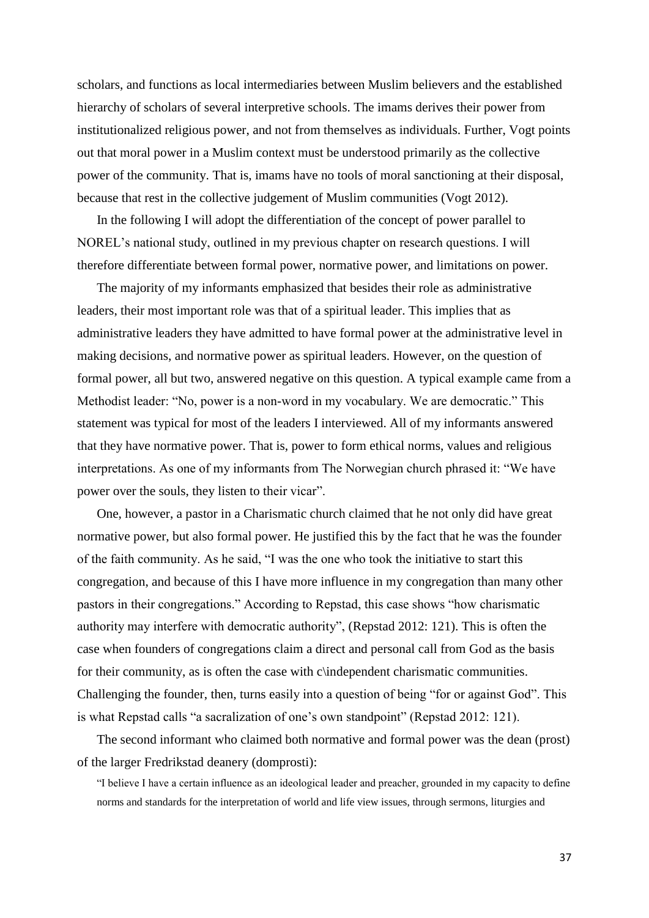scholars, and functions as local intermediaries between Muslim believers and the established hierarchy of scholars of several interpretive schools. The imams derives their power from institutionalized religious power, and not from themselves as individuals. Further, Vogt points out that moral power in a Muslim context must be understood primarily as the collective power of the community. That is, imams have no tools of moral sanctioning at their disposal, because that rest in the collective judgement of Muslim communities (Vogt 2012).

In the following I will adopt the differentiation of the concept of power parallel to NOREL's national study, outlined in my previous chapter on research questions. I will therefore differentiate between formal power, normative power, and limitations on power.

The majority of my informants emphasized that besides their role as administrative leaders, their most important role was that of a spiritual leader. This implies that as administrative leaders they have admitted to have formal power at the administrative level in making decisions, and normative power as spiritual leaders. However, on the question of formal power, all but two, answered negative on this question. A typical example came from a Methodist leader: "No, power is a non-word in my vocabulary. We are democratic." This statement was typical for most of the leaders I interviewed. All of my informants answered that they have normative power. That is, power to form ethical norms, values and religious interpretations. As one of my informants from The Norwegian church phrased it: "We have power over the souls, they listen to their vicar".

One, however, a pastor in a Charismatic church claimed that he not only did have great normative power, but also formal power. He justified this by the fact that he was the founder of the faith community. As he said, "I was the one who took the initiative to start this congregation, and because of this I have more influence in my congregation than many other pastors in their congregations." According to Repstad, this case shows "how charismatic authority may interfere with democratic authority", (Repstad 2012: 121). This is often the case when founders of congregations claim a direct and personal call from God as the basis for their community, as is often the case with c $\theta$ independent charismatic communities. Challenging the founder, then, turns easily into a question of being "for or against God". This is what Repstad calls "a sacralization of one's own standpoint" (Repstad 2012: 121).

The second informant who claimed both normative and formal power was the dean (prost) of the larger Fredrikstad deanery (domprosti):

"I believe I have a certain influence as an ideological leader and preacher, grounded in my capacity to define norms and standards for the interpretation of world and life view issues, through sermons, liturgies and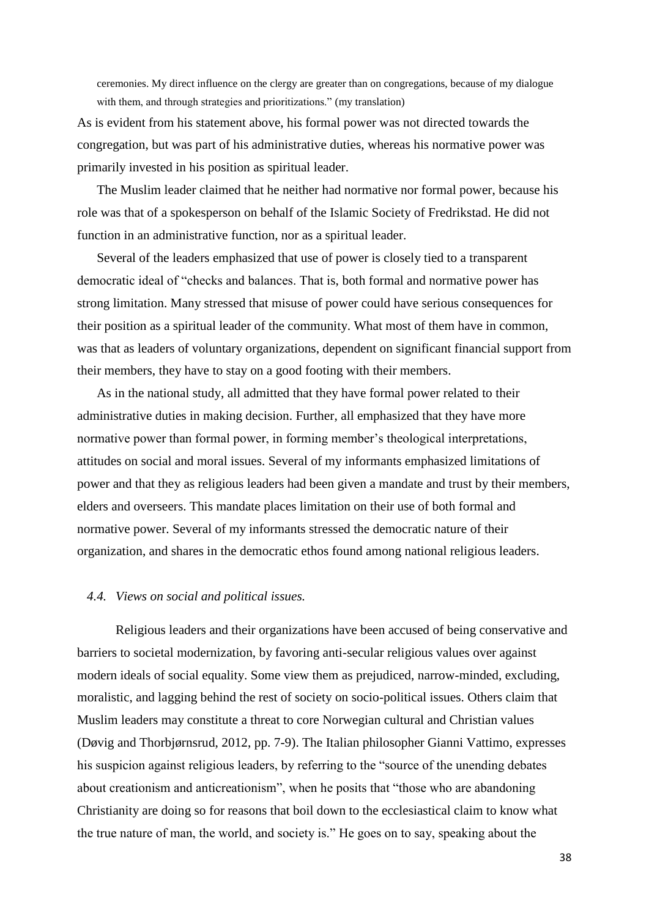ceremonies. My direct influence on the clergy are greater than on congregations, because of my dialogue with them, and through strategies and prioritizations." (my translation)

As is evident from his statement above, his formal power was not directed towards the congregation, but was part of his administrative duties, whereas his normative power was primarily invested in his position as spiritual leader.

The Muslim leader claimed that he neither had normative nor formal power, because his role was that of a spokesperson on behalf of the Islamic Society of Fredrikstad. He did not function in an administrative function, nor as a spiritual leader.

Several of the leaders emphasized that use of power is closely tied to a transparent democratic ideal of "checks and balances. That is, both formal and normative power has strong limitation. Many stressed that misuse of power could have serious consequences for their position as a spiritual leader of the community. What most of them have in common, was that as leaders of voluntary organizations, dependent on significant financial support from their members, they have to stay on a good footing with their members.

As in the national study, all admitted that they have formal power related to their administrative duties in making decision. Further, all emphasized that they have more normative power than formal power, in forming member's theological interpretations, attitudes on social and moral issues. Several of my informants emphasized limitations of power and that they as religious leaders had been given a mandate and trust by their members, elders and overseers. This mandate places limitation on their use of both formal and normative power. Several of my informants stressed the democratic nature of their organization, and shares in the democratic ethos found among national religious leaders.

#### *4.4. Views on social and political issues.*

Religious leaders and their organizations have been accused of being conservative and barriers to societal modernization, by favoring anti-secular religious values over against modern ideals of social equality. Some view them as prejudiced, narrow-minded, excluding, moralistic, and lagging behind the rest of society on socio-political issues. Others claim that Muslim leaders may constitute a threat to core Norwegian cultural and Christian values (Døvig and Thorbjørnsrud, 2012, pp. 7-9). The Italian philosopher Gianni Vattimo, expresses his suspicion against religious leaders, by referring to the "source of the unending debates about creationism and anticreationism", when he posits that "those who are abandoning Christianity are doing so for reasons that boil down to the ecclesiastical claim to know what the true nature of man, the world, and society is." He goes on to say, speaking about the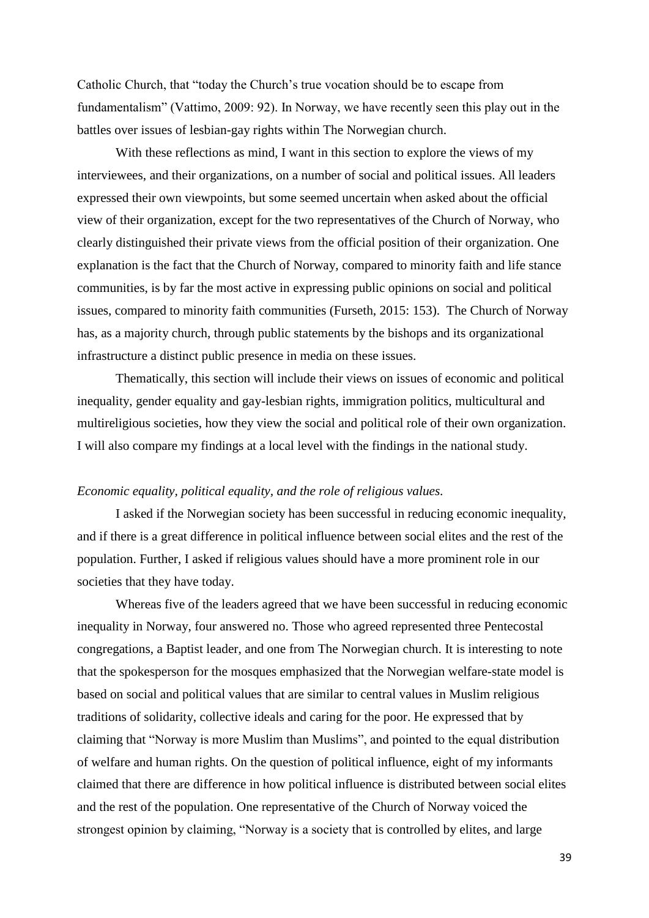Catholic Church, that "today the Church's true vocation should be to escape from fundamentalism" (Vattimo, 2009: 92). In Norway, we have recently seen this play out in the battles over issues of lesbian-gay rights within The Norwegian church.

With these reflections as mind, I want in this section to explore the views of my interviewees, and their organizations, on a number of social and political issues. All leaders expressed their own viewpoints, but some seemed uncertain when asked about the official view of their organization, except for the two representatives of the Church of Norway, who clearly distinguished their private views from the official position of their organization. One explanation is the fact that the Church of Norway, compared to minority faith and life stance communities, is by far the most active in expressing public opinions on social and political issues, compared to minority faith communities (Furseth, 2015: 153). The Church of Norway has, as a majority church, through public statements by the bishops and its organizational infrastructure a distinct public presence in media on these issues.

Thematically, this section will include their views on issues of economic and political inequality, gender equality and gay-lesbian rights, immigration politics, multicultural and multireligious societies, how they view the social and political role of their own organization. I will also compare my findings at a local level with the findings in the national study.

#### *Economic equality, political equality, and the role of religious values.*

I asked if the Norwegian society has been successful in reducing economic inequality, and if there is a great difference in political influence between social elites and the rest of the population. Further, I asked if religious values should have a more prominent role in our societies that they have today.

Whereas five of the leaders agreed that we have been successful in reducing economic inequality in Norway, four answered no. Those who agreed represented three Pentecostal congregations, a Baptist leader, and one from The Norwegian church. It is interesting to note that the spokesperson for the mosques emphasized that the Norwegian welfare-state model is based on social and political values that are similar to central values in Muslim religious traditions of solidarity, collective ideals and caring for the poor. He expressed that by claiming that "Norway is more Muslim than Muslims", and pointed to the equal distribution of welfare and human rights. On the question of political influence, eight of my informants claimed that there are difference in how political influence is distributed between social elites and the rest of the population. One representative of the Church of Norway voiced the strongest opinion by claiming, "Norway is a society that is controlled by elites, and large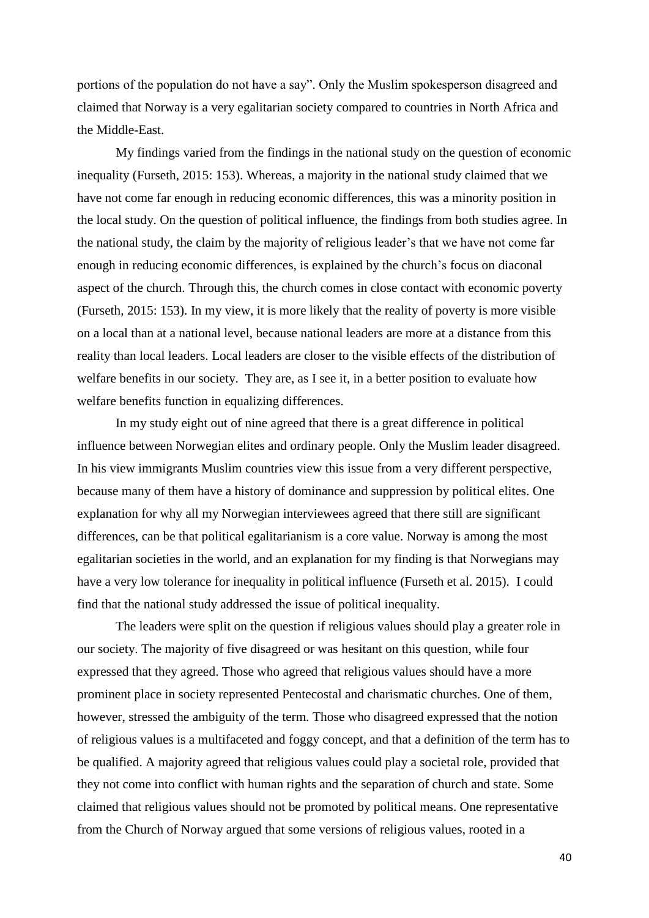portions of the population do not have a say". Only the Muslim spokesperson disagreed and claimed that Norway is a very egalitarian society compared to countries in North Africa and the Middle-East.

My findings varied from the findings in the national study on the question of economic inequality (Furseth, 2015: 153). Whereas, a majority in the national study claimed that we have not come far enough in reducing economic differences, this was a minority position in the local study. On the question of political influence, the findings from both studies agree. In the national study, the claim by the majority of religious leader's that we have not come far enough in reducing economic differences, is explained by the church's focus on diaconal aspect of the church. Through this, the church comes in close contact with economic poverty (Furseth, 2015: 153). In my view, it is more likely that the reality of poverty is more visible on a local than at a national level, because national leaders are more at a distance from this reality than local leaders. Local leaders are closer to the visible effects of the distribution of welfare benefits in our society. They are, as I see it, in a better position to evaluate how welfare benefits function in equalizing differences.

In my study eight out of nine agreed that there is a great difference in political influence between Norwegian elites and ordinary people. Only the Muslim leader disagreed. In his view immigrants Muslim countries view this issue from a very different perspective, because many of them have a history of dominance and suppression by political elites. One explanation for why all my Norwegian interviewees agreed that there still are significant differences, can be that political egalitarianism is a core value. Norway is among the most egalitarian societies in the world, and an explanation for my finding is that Norwegians may have a very low tolerance for inequality in political influence (Furseth et al. 2015). I could find that the national study addressed the issue of political inequality.

The leaders were split on the question if religious values should play a greater role in our society. The majority of five disagreed or was hesitant on this question, while four expressed that they agreed. Those who agreed that religious values should have a more prominent place in society represented Pentecostal and charismatic churches. One of them, however, stressed the ambiguity of the term. Those who disagreed expressed that the notion of religious values is a multifaceted and foggy concept, and that a definition of the term has to be qualified. A majority agreed that religious values could play a societal role, provided that they not come into conflict with human rights and the separation of church and state. Some claimed that religious values should not be promoted by political means. One representative from the Church of Norway argued that some versions of religious values, rooted in a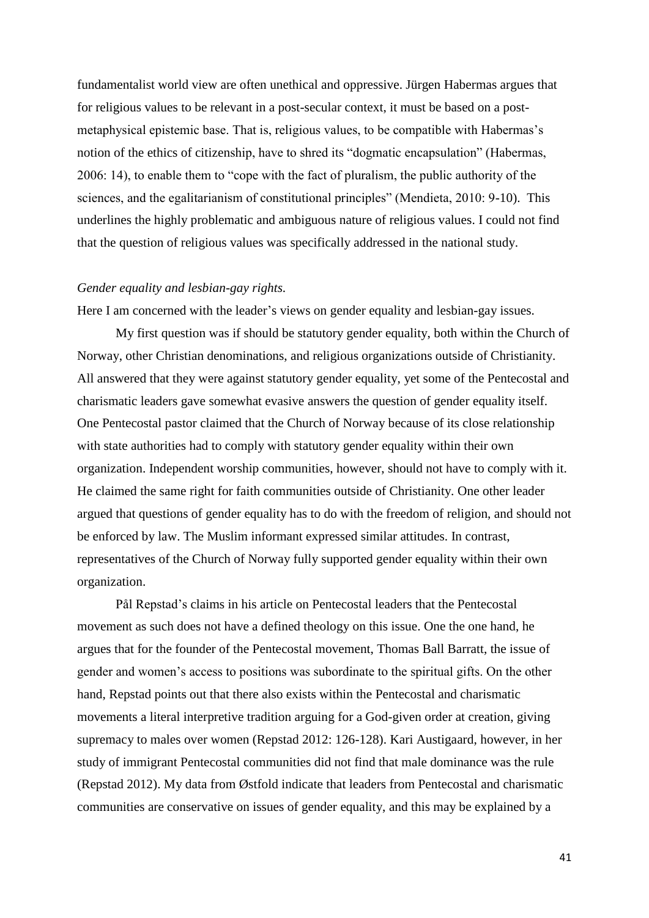fundamentalist world view are often unethical and oppressive. Jürgen Habermas argues that for religious values to be relevant in a post-secular context, it must be based on a postmetaphysical epistemic base. That is, religious values, to be compatible with Habermas's notion of the ethics of citizenship, have to shred its "dogmatic encapsulation" (Habermas, 2006: 14), to enable them to "cope with the fact of pluralism, the public authority of the sciences, and the egalitarianism of constitutional principles" (Mendieta, 2010: 9-10). This underlines the highly problematic and ambiguous nature of religious values. I could not find that the question of religious values was specifically addressed in the national study.

#### *Gender equality and lesbian-gay rights.*

Here I am concerned with the leader's views on gender equality and lesbian-gay issues.

My first question was if should be statutory gender equality, both within the Church of Norway, other Christian denominations, and religious organizations outside of Christianity. All answered that they were against statutory gender equality, yet some of the Pentecostal and charismatic leaders gave somewhat evasive answers the question of gender equality itself. One Pentecostal pastor claimed that the Church of Norway because of its close relationship with state authorities had to comply with statutory gender equality within their own organization. Independent worship communities, however, should not have to comply with it. He claimed the same right for faith communities outside of Christianity. One other leader argued that questions of gender equality has to do with the freedom of religion, and should not be enforced by law. The Muslim informant expressed similar attitudes. In contrast, representatives of the Church of Norway fully supported gender equality within their own organization.

Pål Repstad's claims in his article on Pentecostal leaders that the Pentecostal movement as such does not have a defined theology on this issue. One the one hand, he argues that for the founder of the Pentecostal movement, Thomas Ball Barratt, the issue of gender and women's access to positions was subordinate to the spiritual gifts. On the other hand, Repstad points out that there also exists within the Pentecostal and charismatic movements a literal interpretive tradition arguing for a God-given order at creation, giving supremacy to males over women (Repstad 2012: 126-128). Kari Austigaard, however, in her study of immigrant Pentecostal communities did not find that male dominance was the rule (Repstad 2012). My data from Østfold indicate that leaders from Pentecostal and charismatic communities are conservative on issues of gender equality, and this may be explained by a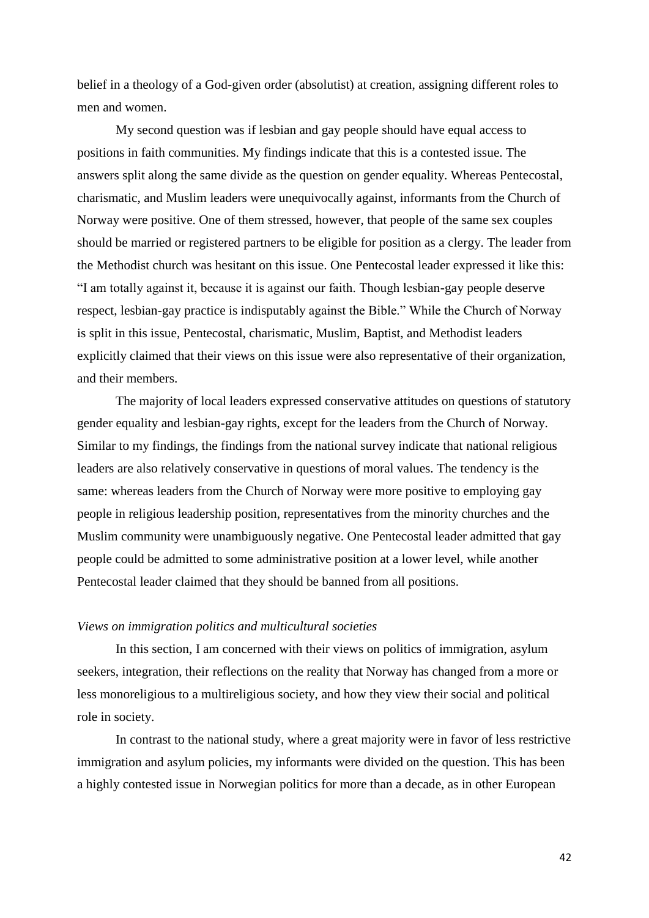belief in a theology of a God-given order (absolutist) at creation, assigning different roles to men and women.

My second question was if lesbian and gay people should have equal access to positions in faith communities. My findings indicate that this is a contested issue. The answers split along the same divide as the question on gender equality. Whereas Pentecostal, charismatic, and Muslim leaders were unequivocally against, informants from the Church of Norway were positive. One of them stressed, however, that people of the same sex couples should be married or registered partners to be eligible for position as a clergy. The leader from the Methodist church was hesitant on this issue. One Pentecostal leader expressed it like this: "I am totally against it, because it is against our faith. Though lesbian-gay people deserve respect, lesbian-gay practice is indisputably against the Bible." While the Church of Norway is split in this issue, Pentecostal, charismatic, Muslim, Baptist, and Methodist leaders explicitly claimed that their views on this issue were also representative of their organization, and their members.

The majority of local leaders expressed conservative attitudes on questions of statutory gender equality and lesbian-gay rights, except for the leaders from the Church of Norway. Similar to my findings, the findings from the national survey indicate that national religious leaders are also relatively conservative in questions of moral values. The tendency is the same: whereas leaders from the Church of Norway were more positive to employing gay people in religious leadership position, representatives from the minority churches and the Muslim community were unambiguously negative. One Pentecostal leader admitted that gay people could be admitted to some administrative position at a lower level, while another Pentecostal leader claimed that they should be banned from all positions.

#### *Views on immigration politics and multicultural societies*

In this section, I am concerned with their views on politics of immigration, asylum seekers, integration, their reflections on the reality that Norway has changed from a more or less monoreligious to a multireligious society, and how they view their social and political role in society.

In contrast to the national study, where a great majority were in favor of less restrictive immigration and asylum policies, my informants were divided on the question. This has been a highly contested issue in Norwegian politics for more than a decade, as in other European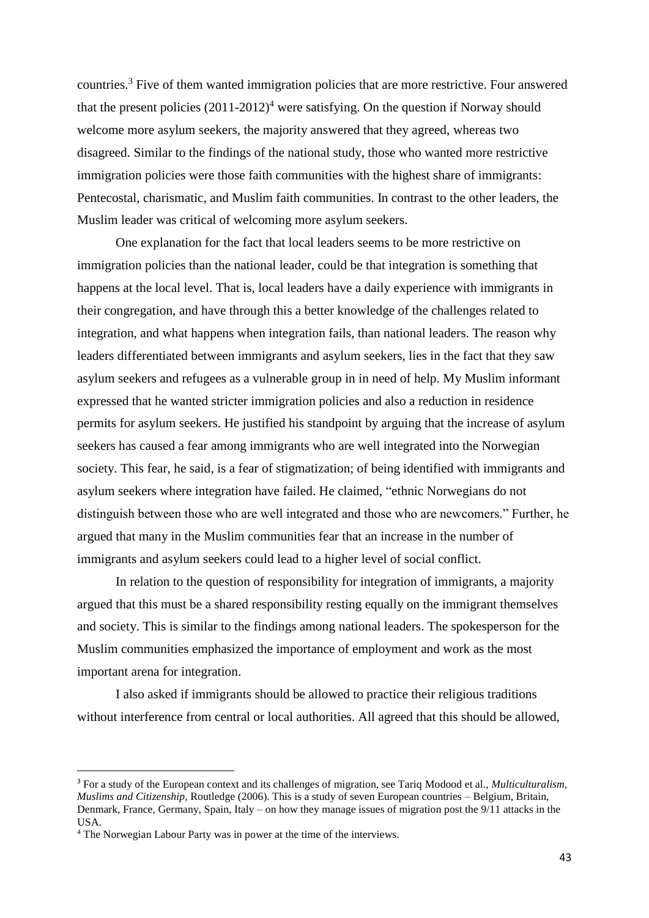countries.<sup>3</sup> Five of them wanted immigration policies that are more restrictive. Four answered that the present policies  $(2011-2012)^4$  were satisfying. On the question if Norway should welcome more asylum seekers, the majority answered that they agreed, whereas two disagreed. Similar to the findings of the national study, those who wanted more restrictive immigration policies were those faith communities with the highest share of immigrants: Pentecostal, charismatic, and Muslim faith communities. In contrast to the other leaders, the Muslim leader was critical of welcoming more asylum seekers.

One explanation for the fact that local leaders seems to be more restrictive on immigration policies than the national leader, could be that integration is something that happens at the local level. That is, local leaders have a daily experience with immigrants in their congregation, and have through this a better knowledge of the challenges related to integration, and what happens when integration fails, than national leaders. The reason why leaders differentiated between immigrants and asylum seekers, lies in the fact that they saw asylum seekers and refugees as a vulnerable group in in need of help. My Muslim informant expressed that he wanted stricter immigration policies and also a reduction in residence permits for asylum seekers. He justified his standpoint by arguing that the increase of asylum seekers has caused a fear among immigrants who are well integrated into the Norwegian society. This fear, he said, is a fear of stigmatization; of being identified with immigrants and asylum seekers where integration have failed. He claimed, "ethnic Norwegians do not distinguish between those who are well integrated and those who are newcomers." Further, he argued that many in the Muslim communities fear that an increase in the number of immigrants and asylum seekers could lead to a higher level of social conflict.

In relation to the question of responsibility for integration of immigrants, a majority argued that this must be a shared responsibility resting equally on the immigrant themselves and society. This is similar to the findings among national leaders. The spokesperson for the Muslim communities emphasized the importance of employment and work as the most important arena for integration.

I also asked if immigrants should be allowed to practice their religious traditions without interference from central or local authorities. All agreed that this should be allowed,

<u>.</u>

<sup>3</sup> For a study of the European context and its challenges of migration, see Tariq Modood et al., *Multiculturalism, Muslims and Citizenship*, Routledge (2006). This is a study of seven European countries – Belgium, Britain, Denmark, France, Germany, Spain, Italy – on how they manage issues of migration post the 9/11 attacks in the USA.

<sup>4</sup> The Norwegian Labour Party was in power at the time of the interviews.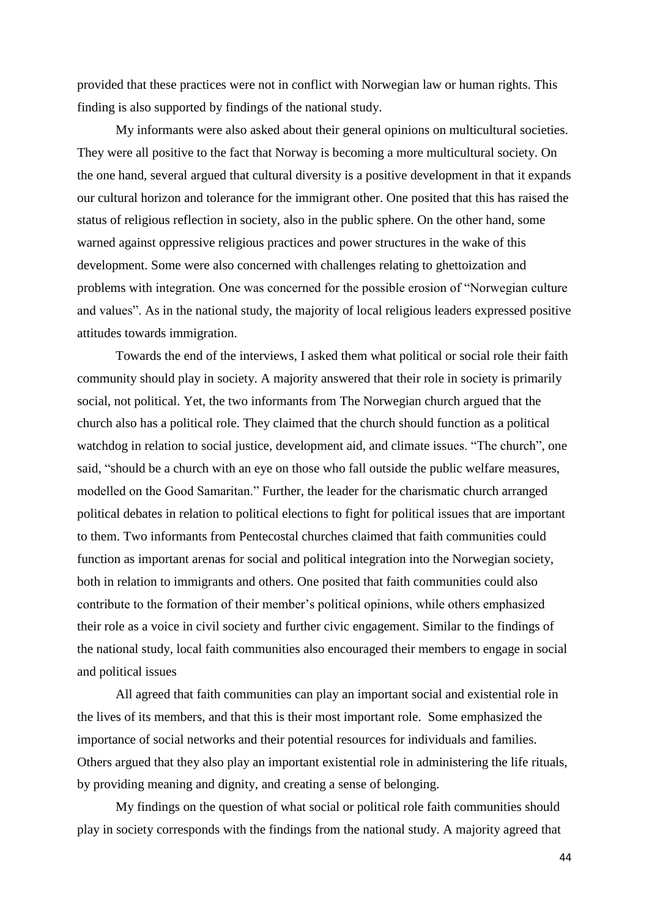provided that these practices were not in conflict with Norwegian law or human rights. This finding is also supported by findings of the national study.

My informants were also asked about their general opinions on multicultural societies. They were all positive to the fact that Norway is becoming a more multicultural society. On the one hand, several argued that cultural diversity is a positive development in that it expands our cultural horizon and tolerance for the immigrant other. One posited that this has raised the status of religious reflection in society, also in the public sphere. On the other hand, some warned against oppressive religious practices and power structures in the wake of this development. Some were also concerned with challenges relating to ghettoization and problems with integration. One was concerned for the possible erosion of "Norwegian culture and values". As in the national study, the majority of local religious leaders expressed positive attitudes towards immigration.

Towards the end of the interviews, I asked them what political or social role their faith community should play in society. A majority answered that their role in society is primarily social, not political. Yet, the two informants from The Norwegian church argued that the church also has a political role. They claimed that the church should function as a political watchdog in relation to social justice, development aid, and climate issues. "The church", one said, "should be a church with an eye on those who fall outside the public welfare measures, modelled on the Good Samaritan." Further, the leader for the charismatic church arranged political debates in relation to political elections to fight for political issues that are important to them. Two informants from Pentecostal churches claimed that faith communities could function as important arenas for social and political integration into the Norwegian society, both in relation to immigrants and others. One posited that faith communities could also contribute to the formation of their member's political opinions, while others emphasized their role as a voice in civil society and further civic engagement. Similar to the findings of the national study, local faith communities also encouraged their members to engage in social and political issues

All agreed that faith communities can play an important social and existential role in the lives of its members, and that this is their most important role. Some emphasized the importance of social networks and their potential resources for individuals and families. Others argued that they also play an important existential role in administering the life rituals, by providing meaning and dignity, and creating a sense of belonging.

My findings on the question of what social or political role faith communities should play in society corresponds with the findings from the national study. A majority agreed that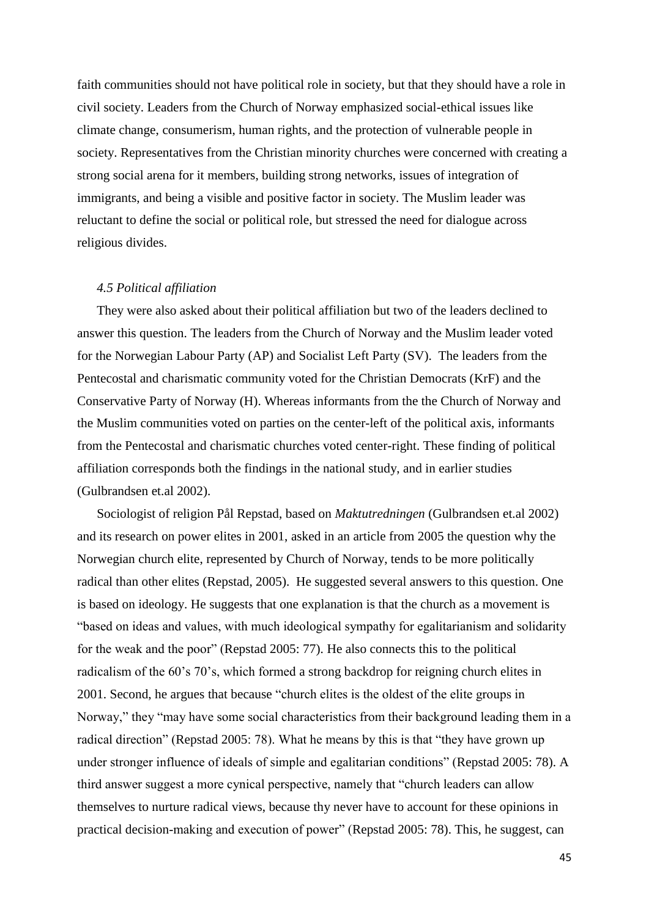faith communities should not have political role in society, but that they should have a role in civil society. Leaders from the Church of Norway emphasized social-ethical issues like climate change, consumerism, human rights, and the protection of vulnerable people in society. Representatives from the Christian minority churches were concerned with creating a strong social arena for it members, building strong networks, issues of integration of immigrants, and being a visible and positive factor in society. The Muslim leader was reluctant to define the social or political role, but stressed the need for dialogue across religious divides.

#### *4.5 Political affiliation*

They were also asked about their political affiliation but two of the leaders declined to answer this question. The leaders from the Church of Norway and the Muslim leader voted for the Norwegian Labour Party (AP) and Socialist Left Party (SV). The leaders from the Pentecostal and charismatic community voted for the Christian Democrats (KrF) and the Conservative Party of Norway (H). Whereas informants from the the Church of Norway and the Muslim communities voted on parties on the center-left of the political axis, informants from the Pentecostal and charismatic churches voted center-right. These finding of political affiliation corresponds both the findings in the national study, and in earlier studies (Gulbrandsen et.al 2002).

Sociologist of religion Pål Repstad, based on *Maktutredningen* (Gulbrandsen et.al 2002) and its research on power elites in 2001, asked in an article from 2005 the question why the Norwegian church elite, represented by Church of Norway, tends to be more politically radical than other elites (Repstad, 2005). He suggested several answers to this question. One is based on ideology. He suggests that one explanation is that the church as a movement is "based on ideas and values, with much ideological sympathy for egalitarianism and solidarity for the weak and the poor" (Repstad 2005: 77). He also connects this to the political radicalism of the 60's 70's, which formed a strong backdrop for reigning church elites in 2001. Second, he argues that because "church elites is the oldest of the elite groups in Norway," they "may have some social characteristics from their background leading them in a radical direction" (Repstad 2005: 78). What he means by this is that "they have grown up under stronger influence of ideals of simple and egalitarian conditions" (Repstad 2005: 78). A third answer suggest a more cynical perspective, namely that "church leaders can allow themselves to nurture radical views, because thy never have to account for these opinions in practical decision-making and execution of power" (Repstad 2005: 78). This, he suggest, can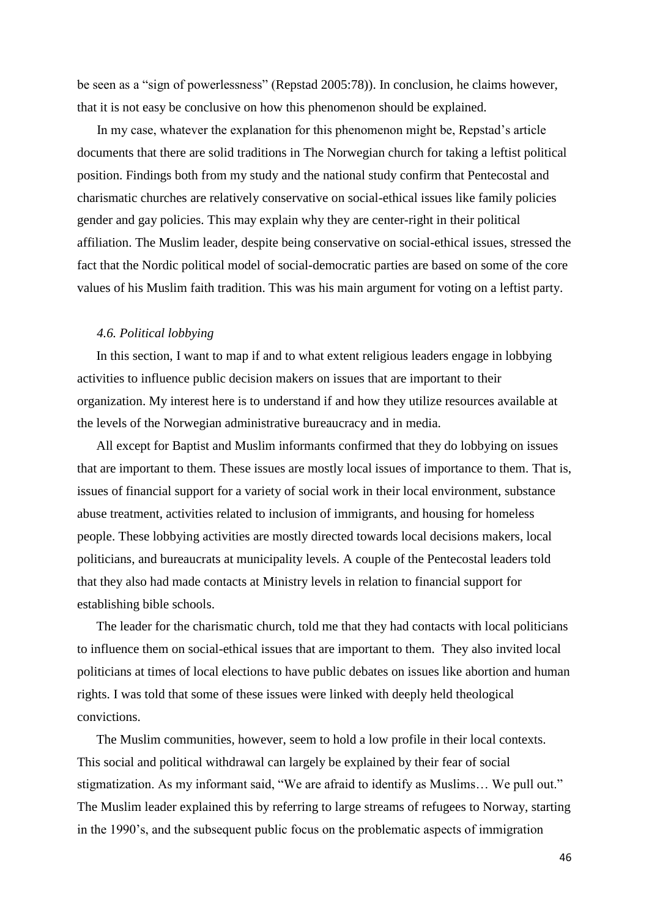be seen as a "sign of powerlessness" (Repstad 2005:78)). In conclusion, he claims however, that it is not easy be conclusive on how this phenomenon should be explained.

In my case, whatever the explanation for this phenomenon might be, Repstad's article documents that there are solid traditions in The Norwegian church for taking a leftist political position. Findings both from my study and the national study confirm that Pentecostal and charismatic churches are relatively conservative on social-ethical issues like family policies gender and gay policies. This may explain why they are center-right in their political affiliation. The Muslim leader, despite being conservative on social-ethical issues, stressed the fact that the Nordic political model of social-democratic parties are based on some of the core values of his Muslim faith tradition. This was his main argument for voting on a leftist party.

#### *4.6. Political lobbying*

In this section, I want to map if and to what extent religious leaders engage in lobbying activities to influence public decision makers on issues that are important to their organization. My interest here is to understand if and how they utilize resources available at the levels of the Norwegian administrative bureaucracy and in media.

All except for Baptist and Muslim informants confirmed that they do lobbying on issues that are important to them. These issues are mostly local issues of importance to them. That is, issues of financial support for a variety of social work in their local environment, substance abuse treatment, activities related to inclusion of immigrants, and housing for homeless people. These lobbying activities are mostly directed towards local decisions makers, local politicians, and bureaucrats at municipality levels. A couple of the Pentecostal leaders told that they also had made contacts at Ministry levels in relation to financial support for establishing bible schools.

The leader for the charismatic church, told me that they had contacts with local politicians to influence them on social-ethical issues that are important to them. They also invited local politicians at times of local elections to have public debates on issues like abortion and human rights. I was told that some of these issues were linked with deeply held theological convictions.

The Muslim communities, however, seem to hold a low profile in their local contexts. This social and political withdrawal can largely be explained by their fear of social stigmatization. As my informant said, "We are afraid to identify as Muslims… We pull out." The Muslim leader explained this by referring to large streams of refugees to Norway, starting in the 1990's, and the subsequent public focus on the problematic aspects of immigration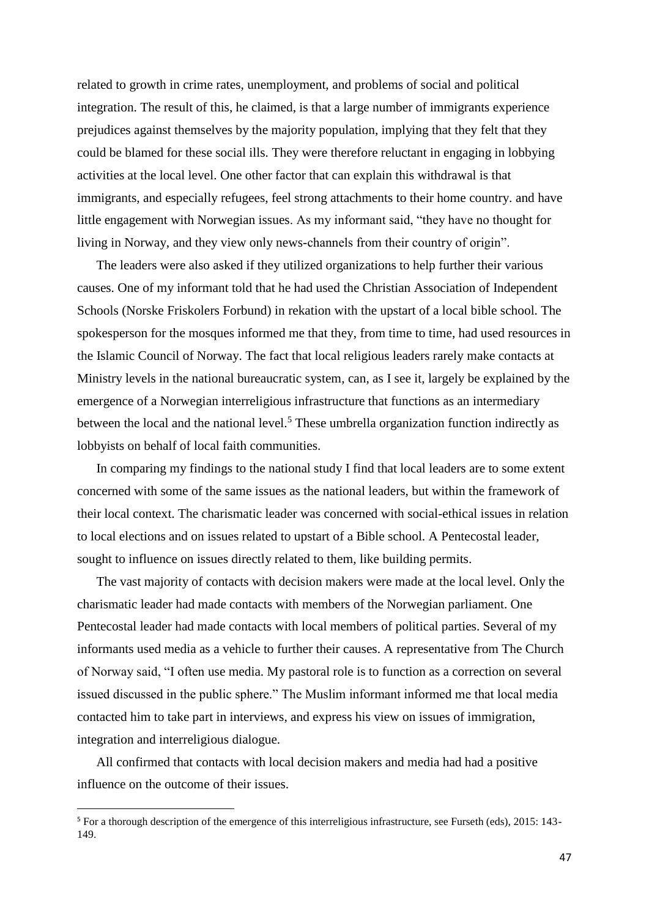related to growth in crime rates, unemployment, and problems of social and political integration. The result of this, he claimed, is that a large number of immigrants experience prejudices against themselves by the majority population, implying that they felt that they could be blamed for these social ills. They were therefore reluctant in engaging in lobbying activities at the local level. One other factor that can explain this withdrawal is that immigrants, and especially refugees, feel strong attachments to their home country. and have little engagement with Norwegian issues. As my informant said, "they have no thought for living in Norway, and they view only news-channels from their country of origin".

The leaders were also asked if they utilized organizations to help further their various causes. One of my informant told that he had used the Christian Association of Independent Schools (Norske Friskolers Forbund) in rekation with the upstart of a local bible school. The spokesperson for the mosques informed me that they, from time to time, had used resources in the Islamic Council of Norway. The fact that local religious leaders rarely make contacts at Ministry levels in the national bureaucratic system, can, as I see it, largely be explained by the emergence of a Norwegian interreligious infrastructure that functions as an intermediary between the local and the national level.<sup>5</sup> These umbrella organization function indirectly as lobbyists on behalf of local faith communities.

In comparing my findings to the national study I find that local leaders are to some extent concerned with some of the same issues as the national leaders, but within the framework of their local context. The charismatic leader was concerned with social-ethical issues in relation to local elections and on issues related to upstart of a Bible school. A Pentecostal leader, sought to influence on issues directly related to them, like building permits.

The vast majority of contacts with decision makers were made at the local level. Only the charismatic leader had made contacts with members of the Norwegian parliament. One Pentecostal leader had made contacts with local members of political parties. Several of my informants used media as a vehicle to further their causes. A representative from The Church of Norway said, "I often use media. My pastoral role is to function as a correction on several issued discussed in the public sphere." The Muslim informant informed me that local media contacted him to take part in interviews, and express his view on issues of immigration, integration and interreligious dialogue.

All confirmed that contacts with local decision makers and media had had a positive influence on the outcome of their issues.

<u>.</u>

<sup>&</sup>lt;sup>5</sup> For a thorough description of the emergence of this interreligious infrastructure, see Furseth (eds), 2015: 143-149.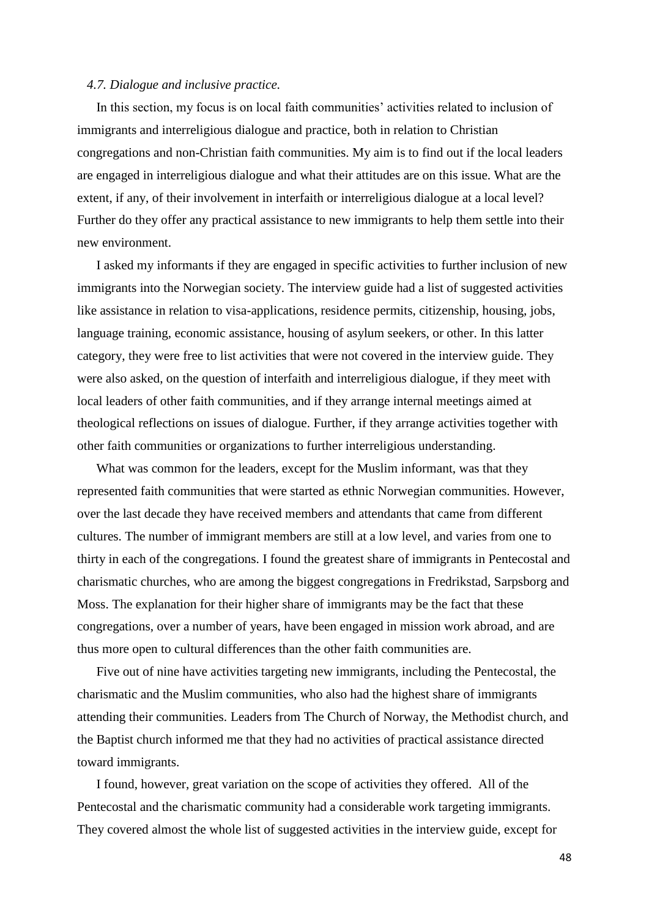#### *4.7. Dialogue and inclusive practice.*

In this section, my focus is on local faith communities' activities related to inclusion of immigrants and interreligious dialogue and practice, both in relation to Christian congregations and non-Christian faith communities. My aim is to find out if the local leaders are engaged in interreligious dialogue and what their attitudes are on this issue. What are the extent, if any, of their involvement in interfaith or interreligious dialogue at a local level? Further do they offer any practical assistance to new immigrants to help them settle into their new environment.

I asked my informants if they are engaged in specific activities to further inclusion of new immigrants into the Norwegian society. The interview guide had a list of suggested activities like assistance in relation to visa-applications, residence permits, citizenship, housing, jobs, language training, economic assistance, housing of asylum seekers, or other. In this latter category, they were free to list activities that were not covered in the interview guide. They were also asked, on the question of interfaith and interreligious dialogue, if they meet with local leaders of other faith communities, and if they arrange internal meetings aimed at theological reflections on issues of dialogue. Further, if they arrange activities together with other faith communities or organizations to further interreligious understanding.

What was common for the leaders, except for the Muslim informant, was that they represented faith communities that were started as ethnic Norwegian communities. However, over the last decade they have received members and attendants that came from different cultures. The number of immigrant members are still at a low level, and varies from one to thirty in each of the congregations. I found the greatest share of immigrants in Pentecostal and charismatic churches, who are among the biggest congregations in Fredrikstad, Sarpsborg and Moss. The explanation for their higher share of immigrants may be the fact that these congregations, over a number of years, have been engaged in mission work abroad, and are thus more open to cultural differences than the other faith communities are.

Five out of nine have activities targeting new immigrants, including the Pentecostal, the charismatic and the Muslim communities, who also had the highest share of immigrants attending their communities. Leaders from The Church of Norway, the Methodist church, and the Baptist church informed me that they had no activities of practical assistance directed toward immigrants.

I found, however, great variation on the scope of activities they offered. All of the Pentecostal and the charismatic community had a considerable work targeting immigrants. They covered almost the whole list of suggested activities in the interview guide, except for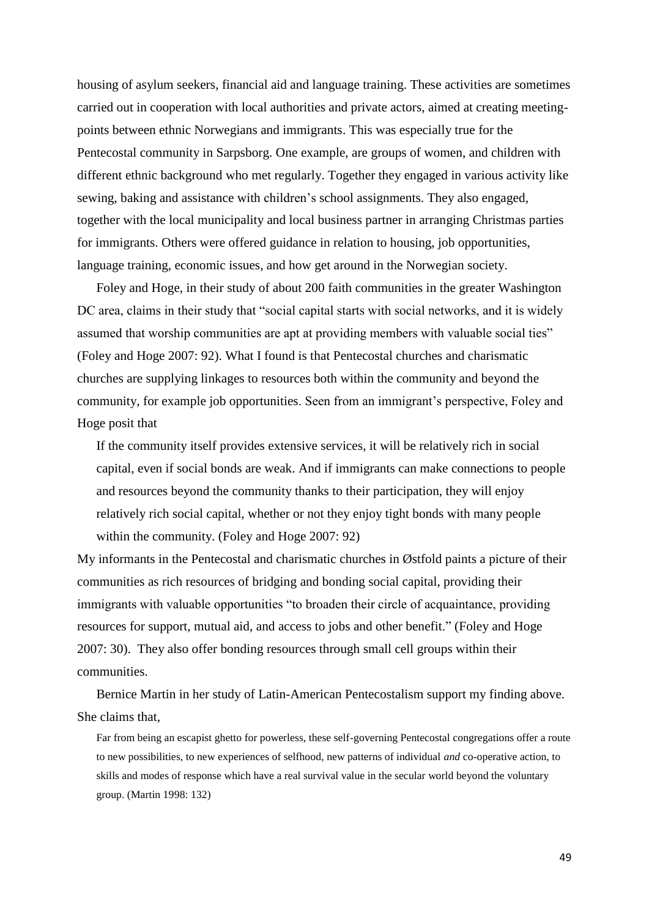housing of asylum seekers, financial aid and language training. These activities are sometimes carried out in cooperation with local authorities and private actors, aimed at creating meetingpoints between ethnic Norwegians and immigrants. This was especially true for the Pentecostal community in Sarpsborg. One example, are groups of women, and children with different ethnic background who met regularly. Together they engaged in various activity like sewing, baking and assistance with children's school assignments. They also engaged, together with the local municipality and local business partner in arranging Christmas parties for immigrants. Others were offered guidance in relation to housing, job opportunities, language training, economic issues, and how get around in the Norwegian society.

Foley and Hoge, in their study of about 200 faith communities in the greater Washington DC area, claims in their study that "social capital starts with social networks, and it is widely assumed that worship communities are apt at providing members with valuable social ties" (Foley and Hoge 2007: 92). What I found is that Pentecostal churches and charismatic churches are supplying linkages to resources both within the community and beyond the community, for example job opportunities. Seen from an immigrant's perspective, Foley and Hoge posit that

If the community itself provides extensive services, it will be relatively rich in social capital, even if social bonds are weak. And if immigrants can make connections to people and resources beyond the community thanks to their participation, they will enjoy relatively rich social capital, whether or not they enjoy tight bonds with many people within the community. (Foley and Hoge 2007: 92)

My informants in the Pentecostal and charismatic churches in Østfold paints a picture of their communities as rich resources of bridging and bonding social capital, providing their immigrants with valuable opportunities "to broaden their circle of acquaintance, providing resources for support, mutual aid, and access to jobs and other benefit." (Foley and Hoge 2007: 30). They also offer bonding resources through small cell groups within their communities.

Bernice Martin in her study of Latin-American Pentecostalism support my finding above. She claims that,

Far from being an escapist ghetto for powerless, these self-governing Pentecostal congregations offer a route to new possibilities, to new experiences of selfhood, new patterns of individual *and* co-operative action, to skills and modes of response which have a real survival value in the secular world beyond the voluntary group. (Martin 1998: 132)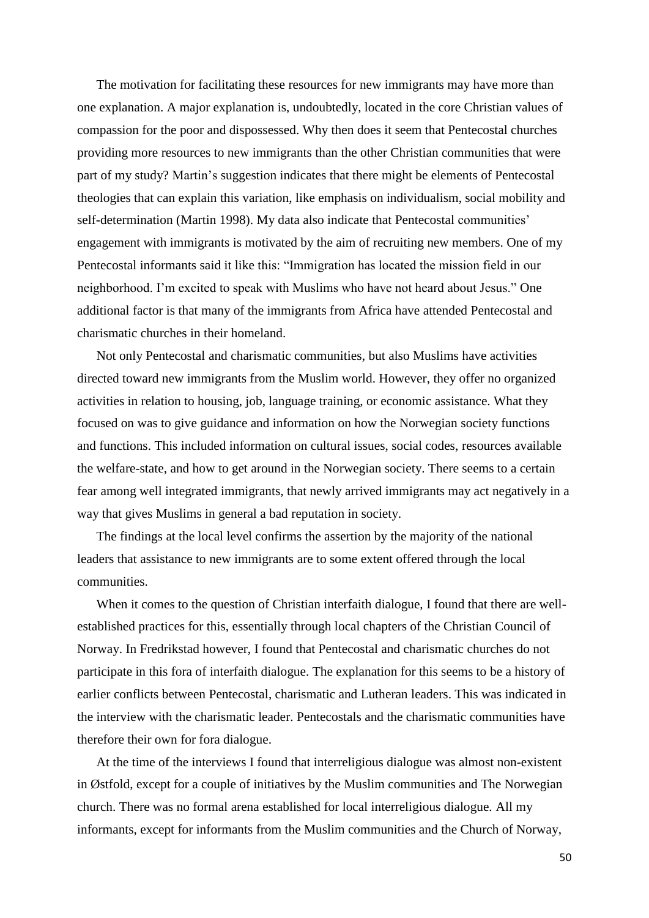The motivation for facilitating these resources for new immigrants may have more than one explanation. A major explanation is, undoubtedly, located in the core Christian values of compassion for the poor and dispossessed. Why then does it seem that Pentecostal churches providing more resources to new immigrants than the other Christian communities that were part of my study? Martin's suggestion indicates that there might be elements of Pentecostal theologies that can explain this variation, like emphasis on individualism, social mobility and self-determination (Martin 1998). My data also indicate that Pentecostal communities' engagement with immigrants is motivated by the aim of recruiting new members. One of my Pentecostal informants said it like this: "Immigration has located the mission field in our neighborhood. I'm excited to speak with Muslims who have not heard about Jesus." One additional factor is that many of the immigrants from Africa have attended Pentecostal and charismatic churches in their homeland.

Not only Pentecostal and charismatic communities, but also Muslims have activities directed toward new immigrants from the Muslim world. However, they offer no organized activities in relation to housing, job, language training, or economic assistance. What they focused on was to give guidance and information on how the Norwegian society functions and functions. This included information on cultural issues, social codes, resources available the welfare-state, and how to get around in the Norwegian society. There seems to a certain fear among well integrated immigrants, that newly arrived immigrants may act negatively in a way that gives Muslims in general a bad reputation in society.

The findings at the local level confirms the assertion by the majority of the national leaders that assistance to new immigrants are to some extent offered through the local communities.

When it comes to the question of Christian interfaith dialogue, I found that there are wellestablished practices for this, essentially through local chapters of the Christian Council of Norway. In Fredrikstad however, I found that Pentecostal and charismatic churches do not participate in this fora of interfaith dialogue. The explanation for this seems to be a history of earlier conflicts between Pentecostal, charismatic and Lutheran leaders. This was indicated in the interview with the charismatic leader. Pentecostals and the charismatic communities have therefore their own for fora dialogue.

At the time of the interviews I found that interreligious dialogue was almost non-existent in Østfold, except for a couple of initiatives by the Muslim communities and The Norwegian church. There was no formal arena established for local interreligious dialogue. All my informants, except for informants from the Muslim communities and the Church of Norway,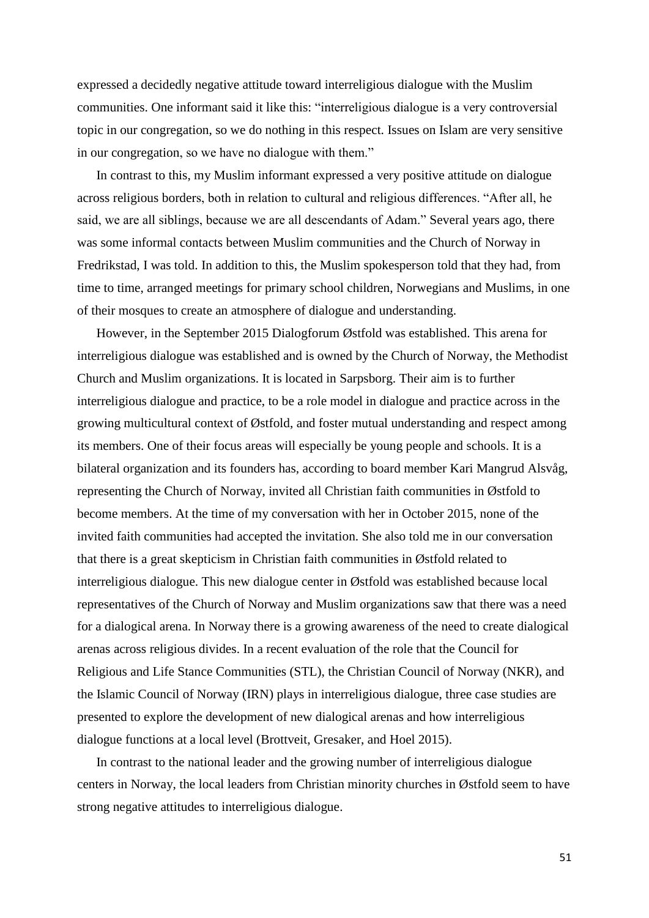expressed a decidedly negative attitude toward interreligious dialogue with the Muslim communities. One informant said it like this: "interreligious dialogue is a very controversial topic in our congregation, so we do nothing in this respect. Issues on Islam are very sensitive in our congregation, so we have no dialogue with them."

In contrast to this, my Muslim informant expressed a very positive attitude on dialogue across religious borders, both in relation to cultural and religious differences. "After all, he said, we are all siblings, because we are all descendants of Adam." Several years ago, there was some informal contacts between Muslim communities and the Church of Norway in Fredrikstad, I was told. In addition to this, the Muslim spokesperson told that they had, from time to time, arranged meetings for primary school children, Norwegians and Muslims, in one of their mosques to create an atmosphere of dialogue and understanding.

However, in the September 2015 Dialogforum Østfold was established. This arena for interreligious dialogue was established and is owned by the Church of Norway, the Methodist Church and Muslim organizations. It is located in Sarpsborg. Their aim is to further interreligious dialogue and practice, to be a role model in dialogue and practice across in the growing multicultural context of Østfold, and foster mutual understanding and respect among its members. One of their focus areas will especially be young people and schools. It is a bilateral organization and its founders has, according to board member Kari Mangrud Alsvåg, representing the Church of Norway, invited all Christian faith communities in Østfold to become members. At the time of my conversation with her in October 2015, none of the invited faith communities had accepted the invitation. She also told me in our conversation that there is a great skepticism in Christian faith communities in Østfold related to interreligious dialogue. This new dialogue center in Østfold was established because local representatives of the Church of Norway and Muslim organizations saw that there was a need for a dialogical arena. In Norway there is a growing awareness of the need to create dialogical arenas across religious divides. In a recent evaluation of the role that the Council for Religious and Life Stance Communities (STL), the Christian Council of Norway (NKR), and the Islamic Council of Norway (IRN) plays in interreligious dialogue, three case studies are presented to explore the development of new dialogical arenas and how interreligious dialogue functions at a local level (Brottveit, Gresaker, and Hoel 2015).

In contrast to the national leader and the growing number of interreligious dialogue centers in Norway, the local leaders from Christian minority churches in Østfold seem to have strong negative attitudes to interreligious dialogue.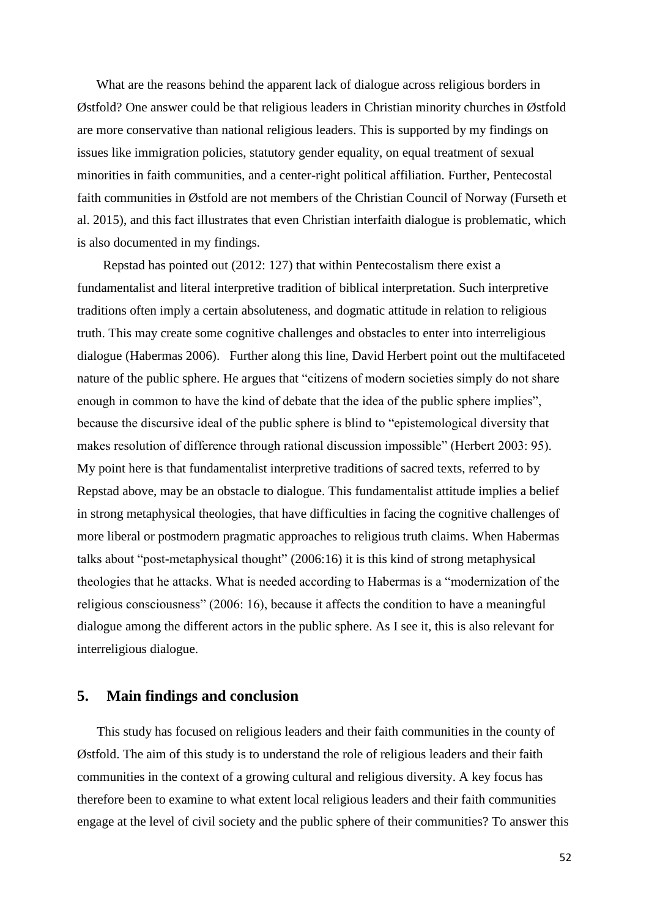What are the reasons behind the apparent lack of dialogue across religious borders in Østfold? One answer could be that religious leaders in Christian minority churches in Østfold are more conservative than national religious leaders. This is supported by my findings on issues like immigration policies, statutory gender equality, on equal treatment of sexual minorities in faith communities, and a center-right political affiliation. Further, Pentecostal faith communities in Østfold are not members of the Christian Council of Norway (Furseth et al. 2015), and this fact illustrates that even Christian interfaith dialogue is problematic, which is also documented in my findings.

Repstad has pointed out (2012: 127) that within Pentecostalism there exist a fundamentalist and literal interpretive tradition of biblical interpretation. Such interpretive traditions often imply a certain absoluteness, and dogmatic attitude in relation to religious truth. This may create some cognitive challenges and obstacles to enter into interreligious dialogue (Habermas 2006). Further along this line, David Herbert point out the multifaceted nature of the public sphere. He argues that "citizens of modern societies simply do not share enough in common to have the kind of debate that the idea of the public sphere implies", because the discursive ideal of the public sphere is blind to "epistemological diversity that makes resolution of difference through rational discussion impossible" (Herbert 2003: 95). My point here is that fundamentalist interpretive traditions of sacred texts, referred to by Repstad above, may be an obstacle to dialogue. This fundamentalist attitude implies a belief in strong metaphysical theologies, that have difficulties in facing the cognitive challenges of more liberal or postmodern pragmatic approaches to religious truth claims. When Habermas talks about "post-metaphysical thought" (2006:16) it is this kind of strong metaphysical theologies that he attacks. What is needed according to Habermas is a "modernization of the religious consciousness" (2006: 16), because it affects the condition to have a meaningful dialogue among the different actors in the public sphere. As I see it, this is also relevant for interreligious dialogue.

## **5. Main findings and conclusion**

This study has focused on religious leaders and their faith communities in the county of Østfold. The aim of this study is to understand the role of religious leaders and their faith communities in the context of a growing cultural and religious diversity. A key focus has therefore been to examine to what extent local religious leaders and their faith communities engage at the level of civil society and the public sphere of their communities? To answer this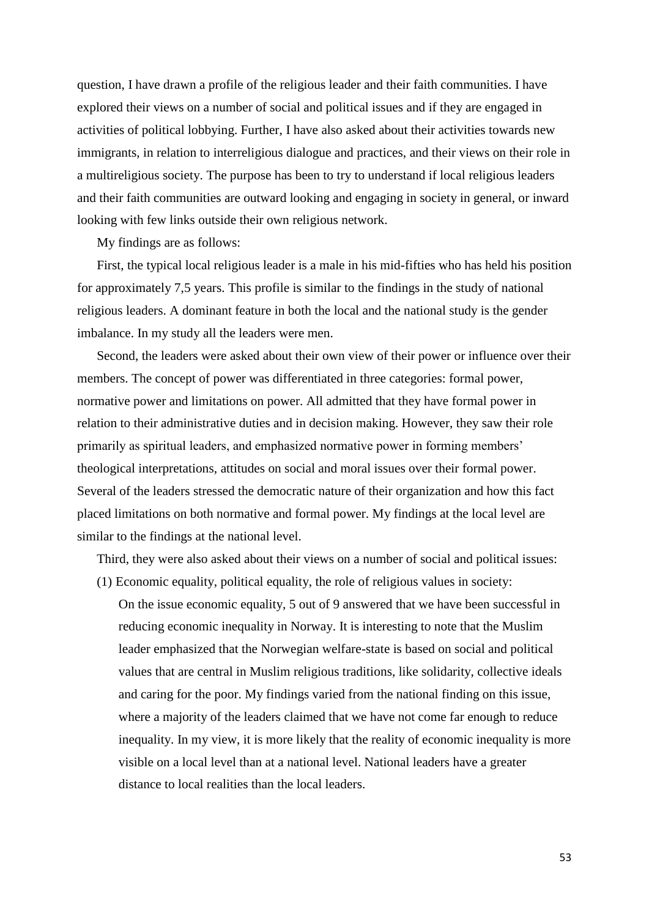question, I have drawn a profile of the religious leader and their faith communities. I have explored their views on a number of social and political issues and if they are engaged in activities of political lobbying. Further, I have also asked about their activities towards new immigrants, in relation to interreligious dialogue and practices, and their views on their role in a multireligious society. The purpose has been to try to understand if local religious leaders and their faith communities are outward looking and engaging in society in general, or inward looking with few links outside their own religious network.

My findings are as follows:

First, the typical local religious leader is a male in his mid-fifties who has held his position for approximately 7,5 years. This profile is similar to the findings in the study of national religious leaders. A dominant feature in both the local and the national study is the gender imbalance. In my study all the leaders were men.

Second, the leaders were asked about their own view of their power or influence over their members. The concept of power was differentiated in three categories: formal power, normative power and limitations on power. All admitted that they have formal power in relation to their administrative duties and in decision making. However, they saw their role primarily as spiritual leaders, and emphasized normative power in forming members' theological interpretations, attitudes on social and moral issues over their formal power. Several of the leaders stressed the democratic nature of their organization and how this fact placed limitations on both normative and formal power. My findings at the local level are similar to the findings at the national level.

Third, they were also asked about their views on a number of social and political issues:

(1) Economic equality, political equality, the role of religious values in society: On the issue economic equality, 5 out of 9 answered that we have been successful in reducing economic inequality in Norway. It is interesting to note that the Muslim leader emphasized that the Norwegian welfare-state is based on social and political values that are central in Muslim religious traditions, like solidarity, collective ideals and caring for the poor. My findings varied from the national finding on this issue, where a majority of the leaders claimed that we have not come far enough to reduce inequality. In my view, it is more likely that the reality of economic inequality is more visible on a local level than at a national level. National leaders have a greater distance to local realities than the local leaders.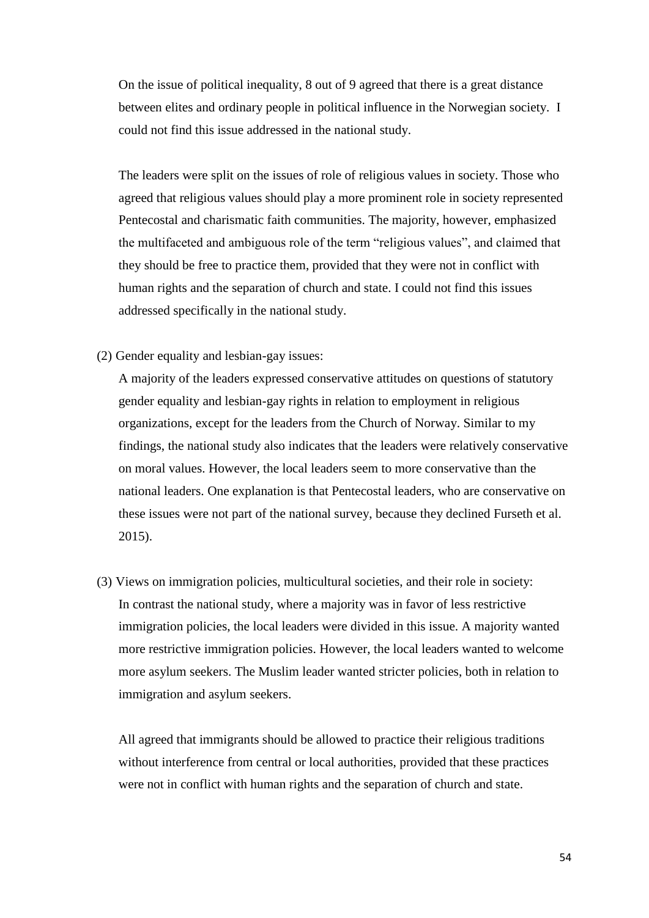On the issue of political inequality, 8 out of 9 agreed that there is a great distance between elites and ordinary people in political influence in the Norwegian society. I could not find this issue addressed in the national study.

The leaders were split on the issues of role of religious values in society. Those who agreed that religious values should play a more prominent role in society represented Pentecostal and charismatic faith communities. The majority, however, emphasized the multifaceted and ambiguous role of the term "religious values", and claimed that they should be free to practice them, provided that they were not in conflict with human rights and the separation of church and state. I could not find this issues addressed specifically in the national study.

(2) Gender equality and lesbian-gay issues:

A majority of the leaders expressed conservative attitudes on questions of statutory gender equality and lesbian-gay rights in relation to employment in religious organizations, except for the leaders from the Church of Norway. Similar to my findings, the national study also indicates that the leaders were relatively conservative on moral values. However, the local leaders seem to more conservative than the national leaders. One explanation is that Pentecostal leaders, who are conservative on these issues were not part of the national survey, because they declined Furseth et al. 2015).

(3) Views on immigration policies, multicultural societies, and their role in society: In contrast the national study, where a majority was in favor of less restrictive immigration policies, the local leaders were divided in this issue. A majority wanted more restrictive immigration policies. However, the local leaders wanted to welcome more asylum seekers. The Muslim leader wanted stricter policies, both in relation to immigration and asylum seekers.

All agreed that immigrants should be allowed to practice their religious traditions without interference from central or local authorities, provided that these practices were not in conflict with human rights and the separation of church and state.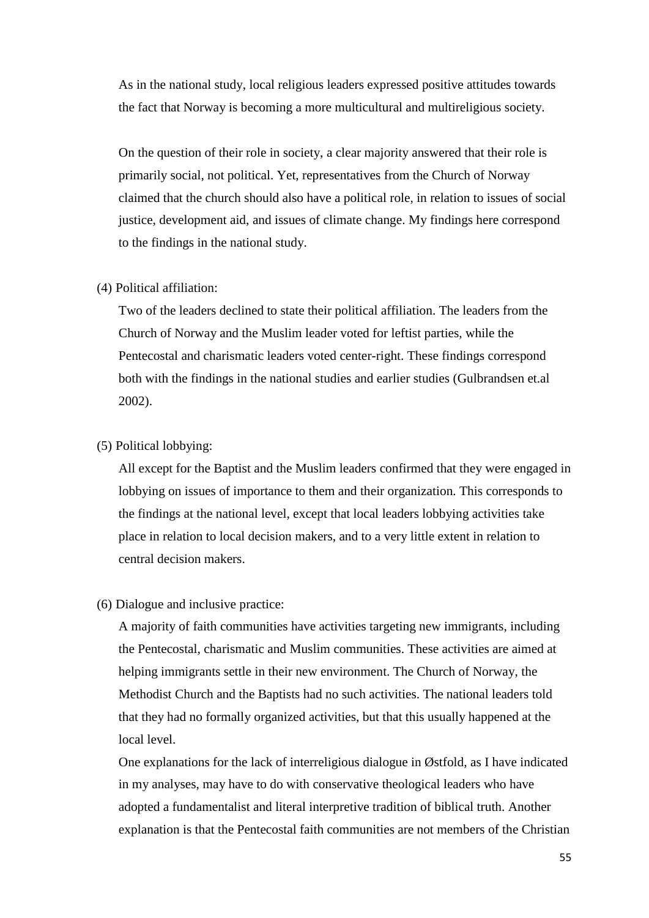As in the national study, local religious leaders expressed positive attitudes towards the fact that Norway is becoming a more multicultural and multireligious society.

On the question of their role in society, a clear majority answered that their role is primarily social, not political. Yet, representatives from the Church of Norway claimed that the church should also have a political role, in relation to issues of social justice, development aid, and issues of climate change. My findings here correspond to the findings in the national study.

#### (4) Political affiliation:

Two of the leaders declined to state their political affiliation. The leaders from the Church of Norway and the Muslim leader voted for leftist parties, while the Pentecostal and charismatic leaders voted center-right. These findings correspond both with the findings in the national studies and earlier studies (Gulbrandsen et.al 2002).

## (5) Political lobbying:

All except for the Baptist and the Muslim leaders confirmed that they were engaged in lobbying on issues of importance to them and their organization. This corresponds to the findings at the national level, except that local leaders lobbying activities take place in relation to local decision makers, and to a very little extent in relation to central decision makers.

#### (6) Dialogue and inclusive practice:

A majority of faith communities have activities targeting new immigrants, including the Pentecostal, charismatic and Muslim communities. These activities are aimed at helping immigrants settle in their new environment. The Church of Norway, the Methodist Church and the Baptists had no such activities. The national leaders told that they had no formally organized activities, but that this usually happened at the local level.

One explanations for the lack of interreligious dialogue in Østfold, as I have indicated in my analyses, may have to do with conservative theological leaders who have adopted a fundamentalist and literal interpretive tradition of biblical truth. Another explanation is that the Pentecostal faith communities are not members of the Christian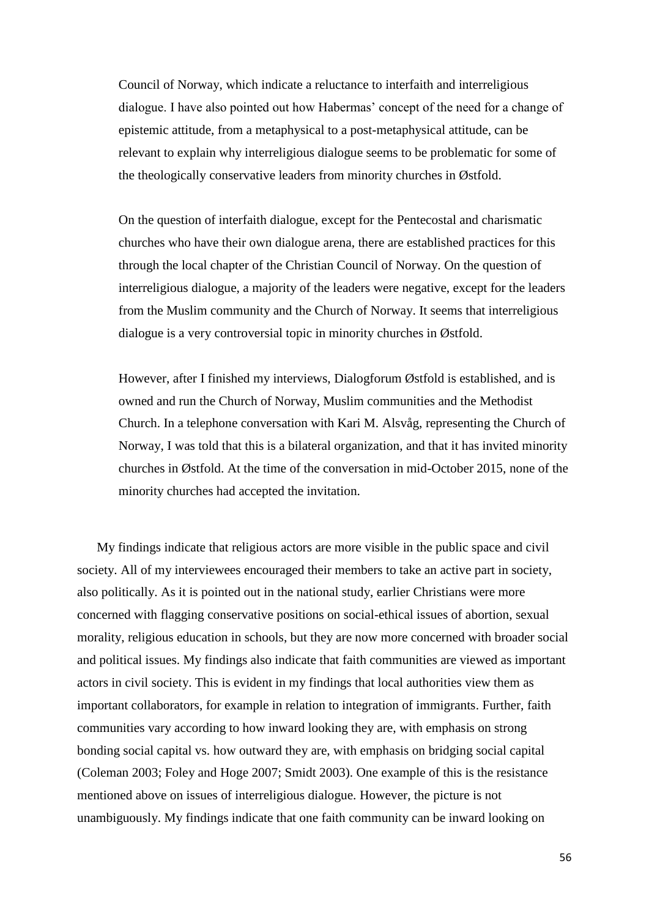Council of Norway, which indicate a reluctance to interfaith and interreligious dialogue. I have also pointed out how Habermas' concept of the need for a change of epistemic attitude, from a metaphysical to a post-metaphysical attitude, can be relevant to explain why interreligious dialogue seems to be problematic for some of the theologically conservative leaders from minority churches in Østfold.

On the question of interfaith dialogue, except for the Pentecostal and charismatic churches who have their own dialogue arena, there are established practices for this through the local chapter of the Christian Council of Norway. On the question of interreligious dialogue, a majority of the leaders were negative, except for the leaders from the Muslim community and the Church of Norway. It seems that interreligious dialogue is a very controversial topic in minority churches in Østfold.

However, after I finished my interviews, Dialogforum Østfold is established, and is owned and run the Church of Norway, Muslim communities and the Methodist Church. In a telephone conversation with Kari M. Alsvåg, representing the Church of Norway, I was told that this is a bilateral organization, and that it has invited minority churches in Østfold. At the time of the conversation in mid-October 2015, none of the minority churches had accepted the invitation.

My findings indicate that religious actors are more visible in the public space and civil society. All of my interviewees encouraged their members to take an active part in society, also politically. As it is pointed out in the national study, earlier Christians were more concerned with flagging conservative positions on social-ethical issues of abortion, sexual morality, religious education in schools, but they are now more concerned with broader social and political issues. My findings also indicate that faith communities are viewed as important actors in civil society. This is evident in my findings that local authorities view them as important collaborators, for example in relation to integration of immigrants. Further, faith communities vary according to how inward looking they are, with emphasis on strong bonding social capital vs. how outward they are, with emphasis on bridging social capital (Coleman 2003; Foley and Hoge 2007; Smidt 2003). One example of this is the resistance mentioned above on issues of interreligious dialogue. However, the picture is not unambiguously. My findings indicate that one faith community can be inward looking on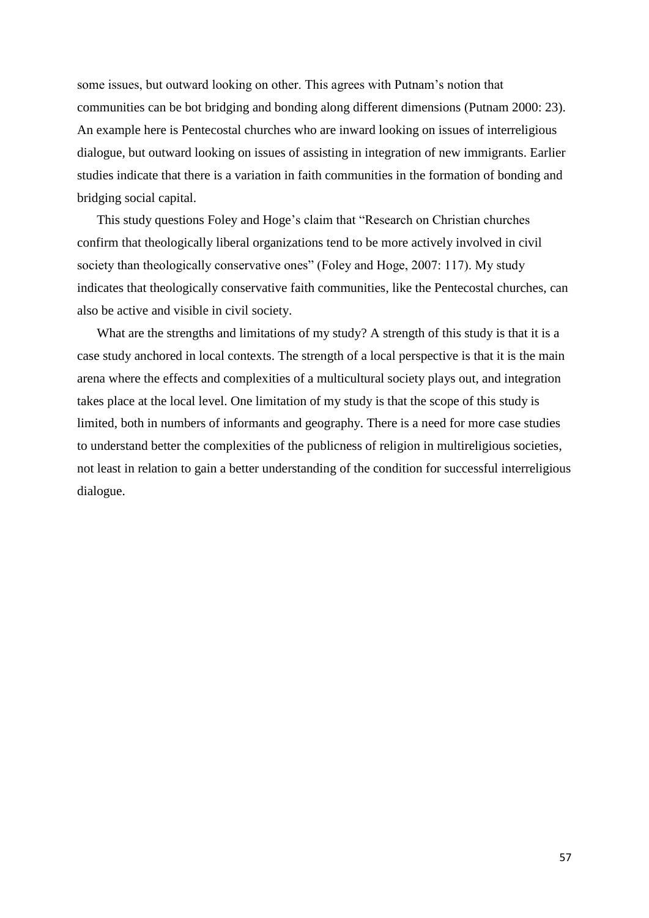some issues, but outward looking on other. This agrees with Putnam's notion that communities can be bot bridging and bonding along different dimensions (Putnam 2000: 23). An example here is Pentecostal churches who are inward looking on issues of interreligious dialogue, but outward looking on issues of assisting in integration of new immigrants. Earlier studies indicate that there is a variation in faith communities in the formation of bonding and bridging social capital.

This study questions Foley and Hoge's claim that "Research on Christian churches confirm that theologically liberal organizations tend to be more actively involved in civil society than theologically conservative ones" (Foley and Hoge, 2007: 117). My study indicates that theologically conservative faith communities, like the Pentecostal churches, can also be active and visible in civil society.

What are the strengths and limitations of my study? A strength of this study is that it is a case study anchored in local contexts. The strength of a local perspective is that it is the main arena where the effects and complexities of a multicultural society plays out, and integration takes place at the local level. One limitation of my study is that the scope of this study is limited, both in numbers of informants and geography. There is a need for more case studies to understand better the complexities of the publicness of religion in multireligious societies, not least in relation to gain a better understanding of the condition for successful interreligious dialogue.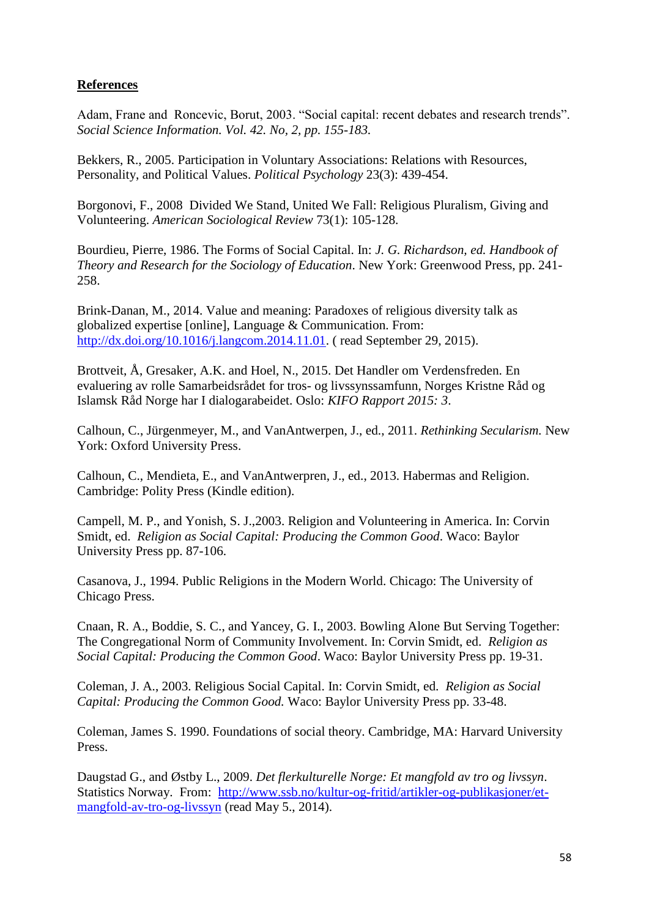## **References**

Adam, Frane and Roncevic, Borut, 2003. "Social capital: recent debates and research trends". *Social Science Information. Vol. 42. No, 2, pp. 155-183.*

Bekkers, R., 2005. Participation in Voluntary Associations: Relations with Resources, Personality, and Political Values. *Political Psychology* 23(3): 439-454.

Borgonovi, F., 2008 Divided We Stand, United We Fall: Religious Pluralism, Giving and Volunteering. *American Sociological Review* 73(1): 105-128.

Bourdieu, Pierre, 1986. The Forms of Social Capital. In: *J. G. Richardson, ed. Handbook of Theory and Research for the Sociology of Education*. New York: Greenwood Press, pp. 241- 258.

Brink-Danan, M., 2014. Value and meaning: Paradoxes of religious diversity talk as globalized expertise [online], Language & Communication. From: [http://dx.doi.org/10.1016/j.langcom.2014.11.01.](http://dx.doi.org/10.1016/j.langcom.2014.11.01) ( read September 29, 2015).

Brottveit, Å, Gresaker, A.K. and Hoel, N., 2015. Det Handler om Verdensfreden. En evaluering av rolle Samarbeidsrådet for tros- og livssynssamfunn, Norges Kristne Råd og Islamsk Råd Norge har I dialogarabeidet. Oslo: *KIFO Rapport 2015: 3*.

Calhoun, C., Jürgenmeyer, M., and VanAntwerpen, J., ed., 2011. *Rethinking Secularism.* New York: Oxford University Press.

Calhoun, C., Mendieta, E., and VanAntwerpren, J., ed., 2013. Habermas and Religion. Cambridge: Polity Press (Kindle edition).

Campell, M. P., and Yonish, S. J.,2003. Religion and Volunteering in America. In: Corvin Smidt, ed. *Religion as Social Capital: Producing the Common Good*. Waco: Baylor University Press pp. 87-106.

Casanova, J., 1994. Public Religions in the Modern World. Chicago: The University of Chicago Press.

Cnaan, R. A., Boddie, S. C., and Yancey, G. I., 2003. Bowling Alone But Serving Together: The Congregational Norm of Community Involvement. In: Corvin Smidt, ed. *Religion as Social Capital: Producing the Common Good*. Waco: Baylor University Press pp. 19-31.

Coleman, J. A., 2003. Religious Social Capital. In: Corvin Smidt, ed. *Religion as Social Capital: Producing the Common Good.* Waco: Baylor University Press pp. 33-48.

Coleman, James S. 1990. Foundations of social theory. Cambridge, MA: Harvard University Press.

Daugstad G., and Østby L., 2009. *Det flerkulturelle Norge: Et mangfold av tro og livssyn*. Statistics Norway. From: [http://www.ssb.no/kultur-og-fritid/artikler-og-publikasjoner/et](http://www.ssb.no/kultur-og-fritid/artikler-og-publikasjoner/et-mangfold-av-tro-og-livssyn)[mangfold-av-tro-og-livssyn](http://www.ssb.no/kultur-og-fritid/artikler-og-publikasjoner/et-mangfold-av-tro-og-livssyn) (read May 5., 2014).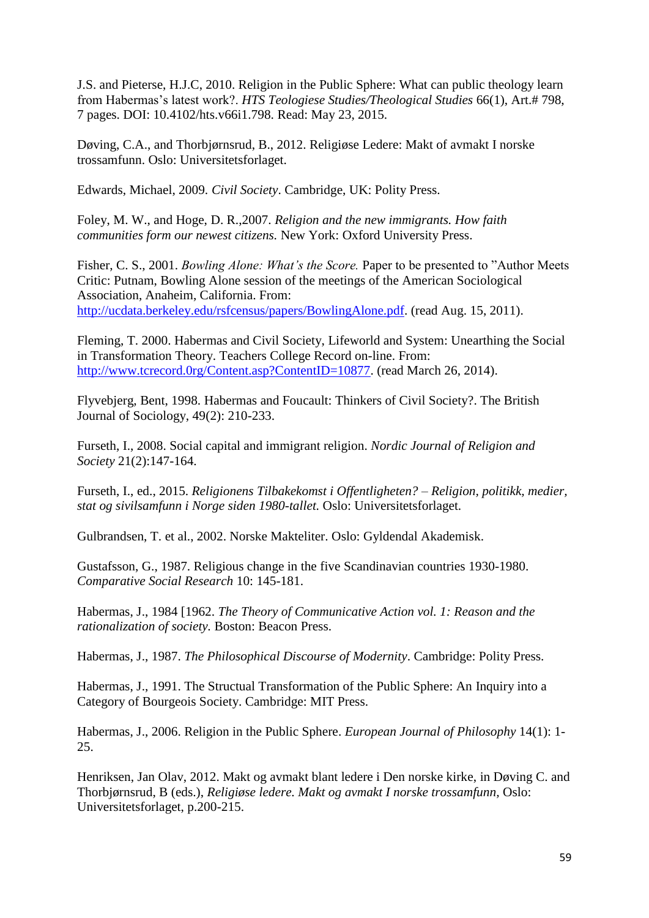J.S. and Pieterse, H.J.C, 2010. Religion in the Public Sphere: What can public theology learn from Habermas's latest work?. *HTS Teologiese Studies/Theological Studies* 66(1), Art.# 798, 7 pages. DOI: 10.4102/hts.v66i1.798. Read: May 23, 2015.

Døving, C.A., and Thorbjørnsrud, B., 2012. Religiøse Ledere: Makt of avmakt I norske trossamfunn. Oslo: Universitetsforlaget.

Edwards, Michael, 2009. *Civil Society*. Cambridge, UK: Polity Press.

Foley, M. W., and Hoge, D. R.,2007. *Religion and the new immigrants. How faith communities form our newest citizens.* New York: Oxford University Press.

Fisher, C. S., 2001. *Bowling Alone: What's the Score.* Paper to be presented to "Author Meets Critic: Putnam, Bowling Alone session of the meetings of the American Sociological Association, Anaheim, California. From: [http://ucdata.berkeley.edu/rsfcensus/papers/BowlingAlone.pdf.](http://ucdata.berkeley.edu/rsfcensus/papers/BowlingAlone.pdf) (read Aug. 15, 2011).

Fleming, T. 2000. Habermas and Civil Society, Lifeworld and System: Unearthing the Social in Transformation Theory. Teachers College Record on-line. From: [http://www.tcrecord.0rg/Content.asp?ContentID=10877.](http://www.tcrecord.0rg/Content.asp?ContentID=10877) (read March 26, 2014).

Flyvebjerg, Bent, 1998. Habermas and Foucault: Thinkers of Civil Society?. The British Journal of Sociology, 49(2): 210-233.

Furseth, I., 2008. Social capital and immigrant religion. *Nordic Journal of Religion and Society* 21(2):147-164.

Furseth, I., ed., 2015. *Religionens Tilbakekomst i Offentligheten? – Religion, politikk, medier, stat og sivilsamfunn i Norge siden 1980-tallet.* Oslo: Universitetsforlaget.

Gulbrandsen, T. et al., 2002. Norske Makteliter. Oslo: Gyldendal Akademisk.

Gustafsson, G., 1987. Religious change in the five Scandinavian countries 1930-1980. *Comparative Social Research* 10: 145-181.

Habermas, J., 1984 [1962. *The Theory of Communicative Action vol. 1: Reason and the rationalization of society.* Boston: Beacon Press.

Habermas, J., 1987. *The Philosophical Discourse of Modernity*. Cambridge: Polity Press.

Habermas, J., 1991. The Structual Transformation of the Public Sphere: An Inquiry into a Category of Bourgeois Society. Cambridge: MIT Press.

Habermas, J., 2006. Religion in the Public Sphere. *European Journal of Philosophy* 14(1): 1- 25.

Henriksen, Jan Olav, 2012. Makt og avmakt blant ledere i Den norske kirke, in Døving C. and Thorbjørnsrud, B (eds.), *Religiøse ledere. Makt og avmakt I norske trossamfunn,* Oslo: Universitetsforlaget, p.200-215.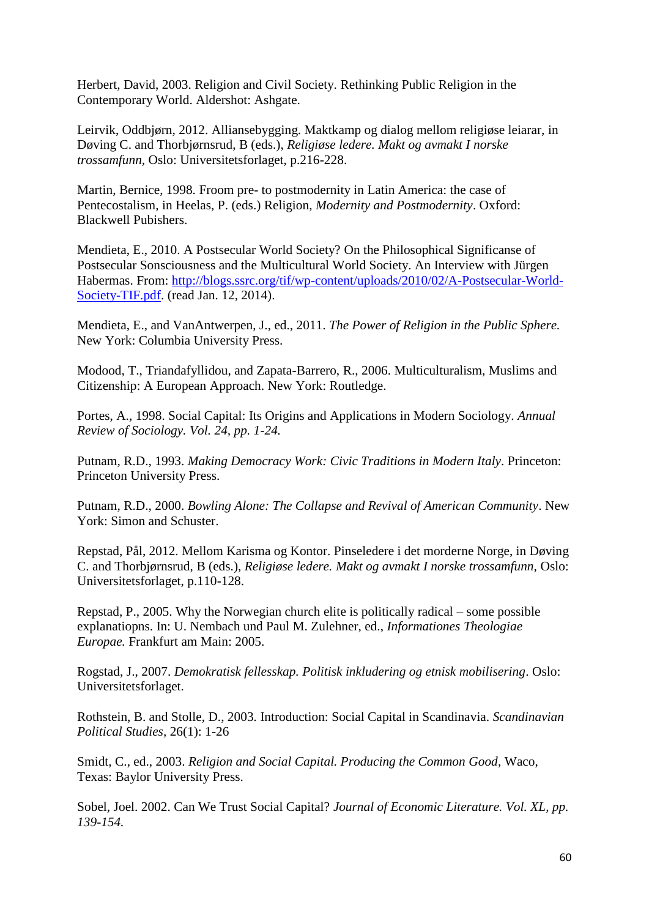Herbert, David, 2003. Religion and Civil Society. Rethinking Public Religion in the Contemporary World. Aldershot: Ashgate.

Leirvik, Oddbjørn, 2012. Alliansebygging. Maktkamp og dialog mellom religiøse leiarar, in Døving C. and Thorbjørnsrud, B (eds.), *Religiøse ledere. Makt og avmakt I norske trossamfunn,* Oslo: Universitetsforlaget, p.216-228.

Martin, Bernice, 1998. Froom pre- to postmodernity in Latin America: the case of Pentecostalism, in Heelas, P. (eds.) Religion, *Modernity and Postmodernity*. Oxford: Blackwell Pubishers.

Mendieta, E., 2010. A Postsecular World Society? On the Philosophical Significanse of Postsecular Sonsciousness and the Multicultural World Society. An Interview with Jürgen Habermas. From: [http://blogs.ssrc.org/tif/wp-content/uploads/2010/02/A-Postsecular-World-](http://blogs.ssrc.org/tif/wp-content/uploads/2010/02/A-Postsecular-World-Society-TIF.pdf)[Society-TIF.pdf.](http://blogs.ssrc.org/tif/wp-content/uploads/2010/02/A-Postsecular-World-Society-TIF.pdf) (read Jan. 12, 2014).

Mendieta, E., and VanAntwerpen, J., ed., 2011. *The Power of Religion in the Public Sphere.* New York: Columbia University Press.

Modood, T., Triandafyllidou, and Zapata-Barrero, R., 2006. Multiculturalism, Muslims and Citizenship: A European Approach. New York: Routledge.

Portes, A., 1998. Social Capital: Its Origins and Applications in Modern Sociology. *Annual Review of Sociology. Vol. 24, pp. 1-24.*

Putnam, R.D., 1993. *Making Democracy Work: Civic Traditions in Modern Italy*. Princeton: Princeton University Press.

Putnam, R.D., 2000. *Bowling Alone: The Collapse and Revival of American Community*. New York: Simon and Schuster.

Repstad, Pål, 2012. Mellom Karisma og Kontor. Pinseledere i det morderne Norge, in Døving C. and Thorbjørnsrud, B (eds.), *Religiøse ledere. Makt og avmakt I norske trossamfunn,* Oslo: Universitetsforlaget, p.110-128.

Repstad, P., 2005. Why the Norwegian church elite is politically radical – some possible explanatiopns. In: U. Nembach und Paul M. Zulehner, ed., *Informationes Theologiae Europae.* Frankfurt am Main: 2005.

Rogstad, J., 2007. *Demokratisk fellesskap. Politisk inkludering og etnisk mobilisering*. Oslo: Universitetsforlaget.

Rothstein, B. and Stolle, D., 2003. Introduction: Social Capital in Scandinavia. *Scandinavian Political Studies,* 26(1): 1-26

Smidt, C., ed., 2003. *Religion and Social Capital. Producing the Common Good*, Waco, Texas: Baylor University Press.

Sobel, Joel. 2002. Can We Trust Social Capital? *Journal of Economic Literature. Vol. XL, pp. 139-154.*